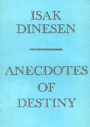

ANECDOTES



# DESTINY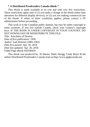#### **\* A Distributed Proofreaders Canada eBook \***

This ebook is made available at no cost and with very few restrictions. These restrictions apply only if (1) you make a change in the ebook (other than alteration for different display devices), or (2) you are making commercial use of the ebook. If either of these conditions applies, please contact a FP administrator before proceeding.

This work is in the Canadian public domain, but may be under copyright in some countries. If you live outside Canada, check your country's copyright laws. IF THE BOOK IS UNDER COPYRIGHT IN YOUR COUNTRY, DO NOT DOWNLOAD OR REDISTRIBUTE THIS FILE. *Title:* Anecdotes of Destiny *Date of first publication:* 1958 *Author:* Isak Dinesen (1885-1962) *Date first posted:* Apr. 26, 2018 *Date last updated:* Apr. 26, 2018 Faded Page eBook #20180435

This ebook was produced by: Al Haines, Mark Akrigg, Cindy Beyer & the online Distributed Proofreaders Canada team at http://www.pgdpcanada.net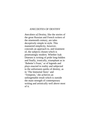#### ANECDOTES OF DESTINY

*Anecdotes of Destiny*, like the stories of the great Russian and French writers of the nineteenth century, are tales deceptively simple in style. This mannered simplicity, however, conceals an approach to, and treatment of, the subjects chosen which is penetratingly modern. Whether Isak Dinesen is writing of pride long-hidden and finally, ironically, triumphant as in 'Babette's Feast,' or of legends and plays enacted in reality and subjected to the unforeseen quirks of destiny, as in 'The Immortal Story' and 'Tempests,' she achieves an unforgettable result which is outside the main strength of contemporary writing and artistically well above most of it.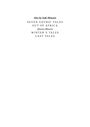*Also by Isak Dinesen*

SEVEN GOTHIC TALES OUT OF AFRICA (*Karen Blixen*) WINTER'S TALES LAST TALES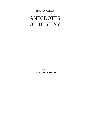ISAK DINESEN

# ANECDOTES OF DESTINY

*London* MICHAEL JOSEPH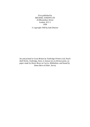*First published by MICHAEL JOSEPH LTD 26 Bloomsbury Street London, W.C.1 1958*

*© copyright 1958 by Isak Dinesen*

*Set and printed in Great Britain by Tonbridge Printers Ltd, Peach Hall Works, Tonbridge, Kent, in Janson ten on thirteen point, on paper made by Henry Bruce at Currie, Midlothian, and bound by James Burn at Esher, Surrey*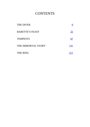# **CONTENTS**

| THE DIVER              | <u>ର</u>  |
|------------------------|-----------|
| <b>BABETTE'S FEAST</b> | <u>25</u> |
| <b>TEMPESTS</b>        | 67        |
| THE IMMORTAL STORY     | 141       |
| THE RING               | 211       |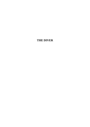### **THE DIVER**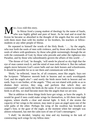M IRA JAMA told this story.<br>In Shiraz lived a you<br>who was highly gifted In Shiraz lived a young student of theology by the name of Saufe, who was highly gifted and pure of heart. As he read and re-read the Koran he became so absorbed in the thought of the angels that his soul dwelt with them more than with his mother or his brothers, his teachers or fellowstudents or any other people of Shiraz.

He repeated to himself the words of the Holy Book: '. . . by the angels, who tear forth the souls of men with violence, and by those who draw forth the souls of others with gentleness, by those who glide swimmingly through the air with the commands of God, by those who precede and usher the righteous into Paradise, and by those who subordinately govern the affairs of this world . . .'

'The throne of God,' he thought, 'will needs be placed so sky-high that the eye of man cannot reach it, and the mind of man reels before it. But the radiant angels move between God's azure halls and our dark houses and schoolrooms. It should be possible for us to see them and communicate with them.'

'Birds,' he reflected, 'must be, of all creatures, most like angels. Says not the Scripture: "Whatever moveth both in heaven and on earth worshippeth God, and the angels also"—and surely the birds move both in heaven and on earth. Says it not further, of the angels: "They are not elated with pride so as to disdain their service, they sing, and perform that which they are commanded"—and surely the birds do the same. If we endeavour to imitate the birds in all this, we shall become more like the angels than we are now.

'But in addition to these things birds have got wings, as have the angels. It would be good if men could make wings for themselves, to lift them into high regions, where dwells a clear and eternal light. A bird, if she strains the capacity of her wings to the utmost, may meet or pass an angel upon one of the wild paths of the ether. Perhaps the wing of the swallow has brushed an angel's foot, or the gaze of the eagle, at the moment when her strength was almost exhausted, has met the calm eyes of one of God's messengers.'

'I shall,' he decided, 'employ my time and my learning in the task of constructing such wings for my fellow-men.'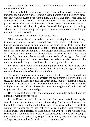So he made up his mind that he would leave Shiraz to study the ways of the winged creatures.

Till now he had, by teaching rich men's sons, and by copying out ancient manuscripts, supported his mother and his small brothers, and they complained that they would become poor without him. But he argued that, some time, his achievement would manifold compensate them for the privations of the present. His teachers, who had foreseen a fine career for him, came to see him, and expostulated with him that, since the world had gone on for so long without men communicating with angels, it must be meant to do so, and might do so in the future as well.

The young Softa respectfully contradicted them.

'Until this day,' he said, 'nobody has seen the trekking-birds take their way towards such warmer spheres as do not exist, or the rivers break their course through rocks and plains to run into an ocean which is not to be found. For God does not create a longing or a hope without having a fulfilling reality ready for them. But our longing is our pledge, and blessed are the homesick, for they shall come home. Also,' he cried out, carried away by his own course of thought, 'how much better would not the world of man go, if he could consult with angels and from them learn to understand the pattern of the universe, the which they read with ease because they see it from above.'

So strong was his faith in his undertaking that in the end his teachers gave up opposing him, and reflected that the fame of their pupil might, in time to come, make them themselves famous with him.

The young Softa now for a whole year stayed with the birds. He made his bed in the long grass of the plain, wherein the quail chirps, he climbed the old trees, in which the ring-dove and the thrush build, found for himself a seat in the foliage and sat so still there that he did not disturb them at all. He wandered in high mountains and, just below the snow-line, neighboured with a pair of eagles, watching them come and go.

He returned to Shiraz with much insight and knowledge gathered, and set himself to work upon his wings.

In the Koran he read: 'Praise be unto God, who maketh the angels, furnished with two, or three, or four pairs of wings,' and resolved to make for himself three pairs, one for his shoulders, one for his waist and one for his feet. During his wanderings he had collected many hundred flight-feathers of eagles, swans and buzzards, he shut himself up with these and worked with such zeal that for a long time he did not see or speak to anyone. But he sang as he worked, and the passers-by stopped and listened, and said: 'This young Softa praises God and performs that which is commanded.'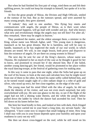But when he had finished his first pair of wings, tried them on and felt their uplifting power, he could not keep his triumph to himself, but spoke of it to his friends.

At first the great people of Shiraz, the Divines and High Officials, smiled at the rumour of his feat. But as the rumours spread, and were asserted by many young people, they grew alarmed.

'If indeed,' they said to one another, 'this flying boy meets and communicates with angels, the people of Shiraz, as is their wont when anything unusual happens, will go mad with wonder and joy. And who knows what new and revolutionary things the angels may not tell him? For after all,' they remarked, 'there may be angels in heaven.'

They pondered the matter, and the oldest amongst them, a minister to the King, whose name was Mirzah Aghai, said: 'This young man is dangerous, inasmuch as he has great dreams. But he is harmless, and will be easy to handle, inasmuch as he has neglected the study of our real world, in which dreams are tested. We will, in one single lesson, both prove and disprove to him the existence of angels. Or are there no young women in Shiraz?'

The next day he sent for one of the King's dancers, whose name was Thusmu. He explained to her as much of the case as he thought it good for her to know, and promised to reward her if she obeyed him. But if she failed, another young dancing-girl, her friend, would be promoted to her place within the royal dancing-troupe, at the festival of gathering roses for making attar.

In this way it came to pass that one night, when the Softa had gone up on the roof of his house, to look at the stars and calculate how fast he might travel from one of them to the other, he heard his name softly called behind him, and as he turned round caught sight of a slim radiant shape in a robe of gold and silver, who stood up erect, her feet close together, on the edge of the roof.

The young man had his mind filled with the idea of angels, he did not doubt the identity of his visitor, and was not even much surprised, but only overwhelmed with joy. He sent one glance to the sky, to see if the flight of the angel had not left a shining wake therein, and the while the people below pulled down the ladder by which the dancer had ascended his roof. Then he fell down on his knees before her.

She bent her head kindly to him, and looked at him with dark, thick-fringed eyes. 'You have carried me in your heart a long time, my servant Saufe,' she whispered, 'I have come now to inspect that small lodging of mine. How long I shall stay with you in your house depends upon your humility and upon your readiness to carry out my will.'

She then sat down cross-legged on the roof, while he still stood on his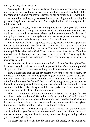knees, and they talked together.

'We angels,' she said, 'do not really need wings to move between heaven and earth, but our own limbs suffice. If you and I become real friends it will be the same with you, and you may destroy the wings on which you are working.'

All trembling with ecstasy he asked her how such flight could possibly be performed against all laws of science. She laughed at him, with a laughter like a little clear bell.

'You men,' she said, 'love laws, and argument, and have great faith in the words that come out through your beards. But I am going to convince you that we have got a mouth for sweeter debates, and a sweeter mouth for debates. I am going to teach you how angels and men arrive at perfect understanding without argument, in the heavenly manner.' And this she did.

For a month the Softa's happiness was so great that his heart gave way beneath it. He forgot all about his work, as time after time he gave himself up to the celestial understanding. He said to Thusmu: 'I see now how right was the angel Eblis, who said to God: "I am more excellent than Adam. Thou has created him of clay only, but thou hast created me of fire." ' And again he quoted the Scripture to her and sighed: 'Whoever is an enemy to the angels is an enemy to God.'

He kept the angel in his house, for she had told him that the sight of her loveliness would blind the uninitiated people of Shiraz. Only in the night did she go with him to the house-top, and together they looked at the new moon.

Now it happened that the dancer became very fond of the theologian, for he had a lovely face, and his unexpended vigour made him a great lover. She began to believe him capable of anything. Also she had gathered from her talk with the old minister that he held the boy and his wings in fear, as perilous to himself, his colleagues and the state, and she reflected that she would like to see the old minister, his colleagues and the state perish. Her tenderness for her young friend made her heart almost as soft as his.

When the moon grew full and all the town lay bathed in her light, the two sat close together on the roof. He let his hands run over her and said: 'Since I met you, my hands have acquired a life of their own. I realise that God, when he gave men hands, showed them as great a loving-kindness as if he had given them wings.' And he lifted up his hands and looked at them.

'Blaspheme not,' said she and sighed a little. 'It is not I but you who are an angel, and indeed your hands have got wonderful strength and life in them. Let me feel so once more, and then show me, tomorrow, the grand things which you have made with them.'

To please her he brought her, the next day, all veiled, to his workshop.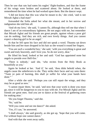Then he saw that rats had eaten his eagles' flight-feathers, and that the frame of his wings were broken and scattered about. He looked at them, and remembered the time when he had worked upon them. But the dancer wept.

'I did not know that this was what he meant to do,' she cried, 'and is not Mirzah Aghai a bad man!'

Astounded the Softa asked her what she meant, and in her sorrow and indignation she told him all.

'And oh my love,' she said, 'I cannot fly, although they tell me that when I dance I am of an extraordinary lightness. Be not angry with me, but remember that Mirzah Aghai and his friends are great people, against whom a poor girl can do nothing. And they are rich, and own lovely things. And you cannot expect a dancing-girl to be an angel.'

At that he fell upon his face and did not speak a word. Thusmu sat down beside him and her tears dropped in his hair as she wound it round her fingers.

'You are such a wonderful boy,' she said, 'with you everything is great and sweet and truly heavenly, and I love you. So do not worry, dear.'

He lifted his head, looked at her and said: 'God has appointed none but angels to preside over Hell-fire.'

'There is nobody,' said she, 'who recites from the Holy Book as beautifully as you.'

Again he looked at her. 'And if,' he said, 'thou didst behold when, the angels cause the unbelievers to die. They strike their faces and say unto them: "Taste ye pain of burning, this shall ye suffer for what your hands have done." '

After a while she said: 'Perhaps you can still repair the wings, and they may be as good as new.'

'I cannot repair them,' he said, 'and now that your work is done you must go, since it will be dangerous to you to stay with me. For Mirzah Aghai and his friends are great men. And you are to dance at the festival of gathering roses for making attar.'

'Do you forget Thusmu,' said she.

'No,' said he.

'Will you come and see me dance?' she asked.

'Yes, if I can,' he answered.

'I shall always,' she said gravely, as she got up, 'hope that you will come. For without hope one cannot dance.'

And with that she went away sadly.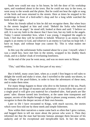Saufe now could not stay in his house, he left the door of his workshop open, and wandered about in the town. But he could not stay in the town, so went away to the woods and the plains. But he could not bear the sight or song of the birds and soon returned to the streets. Here at times he stopped in his wanderings in front of a bird-seller's shop and for a long while watched the birds in their cages.

When his friends talked to him he did not recognise them. But when boys in the streets laughed at him and cried: 'Behold the Softa who believed Thusmu to be an angel,' he stood still, looked at them and said: 'I believe so still. It is not my faith in the dancer that I have lost, but my faith in the angels. Today I cannot remember how, when I was young, I imagined the angels to look. I feel that they will be terrible to behold. Whoever is an enemy to the angels is an enemy to God, and whoever is an enemy to God has no hope left. I have no hope, and without hope you cannot fly. This is what makes me restless.'

In this way the unfortunate Softa roamed about for a year. I myself, when I was a small boy, have met him in the streets, wrapped in his shabby black cloak, and in a darker cloak of everlasting loneliness.

At the end of the year he went away, and was no more seen in Shiraz.

'This,' said Mira Jama, 'is the first part of my story.'

But it befell, many years later, when as a youth I first began to tell tales to delight the world and make it wiser, that I travelled to the sandy sea-shores, to the villages of the pearl-fishers, in order to hear the adventures of these men, and to make them mine.

For many things happen to those who dive to the bottom of the sea. Pearls in themselves are things of mystery and adventure—if you follow the career of a single pearl it will give you material for a hundred tales. And pearls are like poets' tales: disease turned into loveliness, at the same time transparent and opaque, secrets of the depths brought to light to please young women, who will recognise in them the deeper secrets of their own bosoms.

Later in life I have recounted to Kings, with much success, the stories which were first told me by these meek and simple fishermen.

Now within their narratives a name came back so often that I grew curious, and begged them to tell me more about the person who wore it. Then they informed me that the man had become famous amongst them because of his audacity and of his exceptional and inexplicable luck. In fact the name,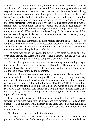Elnazred, which they had given him, in their dialect meant 'the successful' or 'the happy and content' person. He would dive down into greater depths and stay down there longer than any other fisherman, and he never failed to bring up such oysters as contained the finest pearls. It was believed in the pearlfishers' villages that he had got, in the deep water, a friend—maybe some fair young mermaid or maybe again some demon of the sea—to guide him. While the other fishermen were exploited by their trading-companies and would remain poor all their time, the happy person had made a neat fortune for himself, had purchased a house and a garden inland, brought his mother to live there, and married off his brothers. But he still kept for his own use a small hut on the beach. In spite of his demoniacal reputation he was, it seemed, on dry land and in daily life, a peaceful man.

I am a poet, and something in these reports brought back to me tales of long ago. I resolved to look up this successful person and to make him tell me about himself. First I sought him in vain in his pleasant house and garden, then one night I walked along the beach to his hut.

The moon was full in the sky, the long grey waves came in one by one, and everything around me seemed to agree to keep a secret. I looked at it all, and felt that I was going to hear, and to compose, a beautiful story.

The man I sought was not in his hut, but was sitting on the sand, gazing at the sea, and from time to time throwing a pebble into it. The moon shone upon him, and I saw that he was a pretty, fat man, and that his tranquil countenance did indeed express harmony and happiness.

I saluted him with reverence, told him my name and explained that I was out for a walk in the clear, warm night. He returned my greeting courteously and benevolently and informed me that I was already known to him by repute as a youth keen to perfect himself in the art of story-telling. He then invited me to sit down on the sand beside him. He talked for a while of the moon and the sea. After a pause he remarked that it was a long time since he had heard a tale told—would I, as we were sitting so pleasantly together in the clear, warm night, tell him a story?

I was eager to prove my skill, and also trusted that it might serve to forward my purpose with him, so I searched my memory for a good tale. Somehow, I do not know why, the story of the Softa Saufe had been running in my mind. Now in a low, sweet voice, concordant with the moon and the waves, I began:

'In Shiraz lived a young student of theology . . .'

The happy man listened quietly and attentively. But as I came to the passage of the lovers on the house-top and named the dancer Thusmu, he lifted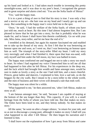up his hand and looked at it. I had taken much trouble in inventing this pretty moonlight-scene, and it was dear to my poet's heart, I recognised the gesture and in great surprise and alarm cried out: 'You are the Softa Saufe of Shiraz!'

'Yes,' said the happy man.

It is to a poet a thing of awe to find that his story is true. I was only a boy and a novice at my art—the hair rose on my head and I nearly got up and ran away. But something in the happy man's voice held me to the spot.

'Once,' he said, 'I had the welfare of the Softa Saufe, of whom you have just told me, much at heart. By this time I had almost forgotten him. But I am pleased to know that he has got into a story, for that is probably what he was made for, and in future I shall leave him therein confidently. Go on with your tale, Mira Jama, story-teller, and let me hear the end of it.'

I trembled at his demand, but again his manner fascinated me and enabled me to take up the thread of my story. At first I felt that he was bestowing an honour upon me and soon, as I went on, that I was bestowing an honour upon him as well. The triumph of the story-teller filled my heart. I told my story very movingly and when I had finished it, there upon that lean sea-sand, with only myself and him under the full moon, my face was bathed in tears.

The happy man comforted me and begged me not to take a story too much to heart. So when I had regained my voice I beseeched him to tell me all that had happened to him after he left Shiraz. For his experiences in the deep sea, and the luck which had brought him wealth and fame amongst men, would be sure to make as lovely a story as the one I had told him, and a more cheerful. Princes, great ladies and dancers, I explained to him, love a sad tale, so do the beggars by the city walls. But I meant to be a story-teller to the whole world, and the men of business and their wives will demand a tale that ends well.

The happy man was silent for a while.

'What happened to me,' he then answered me, 'after I left Shiraz, makes no story at all.'

'I am famous amongst men,' he said, 'because I am capable of staying at the bottom of the sea longer than they. This capacity, if you will, is a small heritage from the Softa of whom you have told me. But that makes no story. The fishes have been kind to me, and they betray nobody. So that makes no story.'

All the same,' he went on after a longer silence, 'in return for your tale, and so as not to discourage a young poet, although it makes no story I shall tell you what happened to me after I left Shiraz.' He then began his narration and I listened to him.

'I shall leave out the explanation of how I got away from Shiraz and came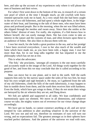here, and take up the account of my experiences only where it will please the men of business and their wives.

For when I first went down to the bottom of the sea, in research of a certain rare pearl of which at the time I thought much, an old cowfish with hornrimmed spectacles took me in hand. As a very small fish she had been caught in the net of two old fishermen, and had spent a whole night there, in the bilgewater of their boat, and listening to the talk of these men, who must have been pious and profound people. But in the morning, when the net was lifted ashore, she slipped through the meshes and swam away. Since then she smiles at the others fishes' distrust of men. For really, she explains, if a fish knows how to behave herself, she can easily manage them. She has even come to take an interest in the nature and the customs of man, and often lectures upon these to an audience of fishes. She also likes to discuss them with me.

I owe her much, for she holds a great position in the sea, and as her protégé I have been received everywhere, I owe to her also much of the wealth and fame which have made me, as you have been told, a happy man. I owe her more than that, for in our long talks together she has imparted to me the philosophy which has set me at rest.

This is what she advocates:

'The fish,' she proclaims, 'amongst all creatures is the one most carefully and accurately made in the image of the Lord. All things work together for the good of her, and from this we may conclude that she is called according to his purpose.

Man can move but in one plane, and is tied to the earth. Still the earth supports him only by the narrow space under the soles of his two feet, he must bear his own weight and sigh beneath it. He must, so I gathered from the talk of my old fishermen, climb the hills of the earth laboriously, it may happen to him to tumble down from them, and the earth then receives him with hardness. Even the birds, which have got wings to them, if they do not strain their wings are betrayed by the air wherein they are set, and flung down.

We fish are upheld and supported to all sides. We lean confidently and harmoniously upon our element. We move in all dimensions, and whatever course we take, the mighty waters out of reverence for our virtue change shape accordingly.

We have got no hands, so cannot construct anything at all, and are never tempted by vain ambition to alter anything whatever in the universe of the Lord. We sow not and toil not, therefore no estimates of ours will turn out wrong, and no expectations fail. The greatest amongst us in their spheres have reached perfect darkness. And the pattern of the universe we read with ease,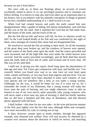because we see it from below.

We carry with us, in these our floatings about, an account of events excellently suited to prove to us our privileged position and to maintain our fellow-feeling. It is known to man also and even takes up an important place in his history, but in accordance with his infantile conception of things in general he has but a muddled understanding of it. I shall record it to you.

When God had created heaven and earth, the earth caused him sore disappointment. Man, capable of falling, fell almost immediately, and with him all that was in the dry land. And it repented the Lord that he had made man, and the beasts of the earth, and the fowls of the air.

But the fish did not fall, and never will fall, for how or whereto would we fall? So the Lord looked kindly at his fish and was comforted by the sight of them, since amongst all creation they alone had not disappointed him.

He resolved to reward the fish according to their merit. So all the fountains of the great deep were broken up, and the windows of heaven were opened, and the waters of the flood came upon the earth. And the waters prevailed and were increased, and all the high hills that were under the whole heaven were covered. And the waters prevailed exceedingly, and all flesh died that moved upon the earth, both of fowl and of cattle, and of beast and of every man. All that was on dry land died.

I shall not, in giving you this report, dwell long upon the pleasantness of that age and state. For I have got compassion with man, and besides tact. You yourself, before you found your way to us, may have set your heart upon cattle, camels and horses, or you may have kept pigeons and pea-fowl. You are young, and may recently have been attached to some such creature, of your own species and yet somehow like a bird, as you name a young woman. (Although, by the way, it would be better for you if it were not so, for I remember the words of my fishermen, that a young woman will make her lover taste the pain of burning, and you might otherwise come to take an interest in one of my own nieces, quite unusually salty young creatures, who will never make a lover taste any pain of burning.) I shall but briefly mention that we did have a hundred and fifty days of abundance, and that blessed plenty appeared with full horn.

I shall further—this time for my own sake—in the wise and proven manner of the fish, pass lightly over the fact that man, although fallen and corrupted, once more succeeded, by craft, in coming out on top.

It does, however, remain open to doubt whether, through this apparent triumph, man obtained true welfare. How will real security be obtained by a creature ever anxious about the direction in which he moves, and attaching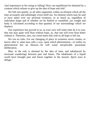vital importance to his rising or falling? How can equilibrium be obtained by a creature which refuses to give up the idea of hope and risk?

We fish rest quietly, to all sides supported, within an element which all the time accurately and unfailingly evens itself out. An element which may be said to have taken over our personal existence, in as much as, regardless of individual shape and of whether we be flatfish or roundfish, our weight and body is calculated according to that quantity of our surroundings which we displace.

Our experience has proved to us, as your own will some time do it to you, that one may quite well float without hope, ay, that one will even float better without it. Therefore, also, our creed states that with us all hope is left out.

We run no risks. For our changing of place in existence never creates, or leaves after it, what man calls a way, upon which phenomenon—in reality no phenomenon but an illusion—he will waste inexplicable passionate deliberation.

Man, in the end, is alarmed by the idea of time, and unbalanced by incessant wanderings between past and future. The inhabitants of a liquid world have brought past and future together in the maxim: *Après nous le déluge*.'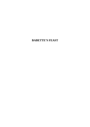## **BABETTE'S FEAST**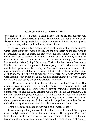#### **I. TWO LADIES OF BERLEVAAG**

IN Norway there is a Fjord—a long narrow arm of the sea between tall<br>mountains—named Berlevaag Fjord. At the foot of the mountains the small<br>town of Berlevaag looks like a child's toy-town of little wooden pieces mountains—named Berlevaag Fjord. At the foot of the mountains the small Ltown of Berlevaag looks like a child's toy-town of little wooden pieces painted grey, yellow, pink and many other colours.

Sixty-five years ago two elderly ladies lived in one of the yellow houses. Other ladies at that time wore a bustle, and the two sisters might have worn it as gracefully as any of them, for they were tall and willowy. But they had never possessed any article of fashion, they had dressed demurely in grey or black all their lives. They were christened Martine and Philippa, after Martin Luther and his friend Philip Melanchton. Their father had been a Dean and a Prophet, the founder of a pious ecclesiastic party or sect, which was known and looked up to in all the country of Norway. Its members renounced the pleasures of this world, for the earth and all that it held to them was but a kind of illusion, and the true reality was the New Jerusalem towards which they were longing. They swore not at all, but their communication was yea yea and nay nay, and they called one another Brother and Sister.

The Dean had married late in life and by now had long been dead. His disciples were becoming fewer in number every year, whiter or balder and harder of hearing, they were even becoming somewhat querulous and quarrelsome, so that sad little schisms would arise in the congregation. But they still gathered together to read and interpret the Word. They had all known the Dean's daughters as little girls, to them they were even now very small sisters, precious for their dear Father's sake. In the yellow house they felt that their Master's spirit was with them, here they were at home and at peace.

These two ladies had got a French maid-of-all-work, Babette.

It was a strange thing in a couple of puritan women in a small Norwegian town, it might even seem to call for an explanation. The people of Berlevaag found the explanation in the sisters' piety and kindness of heart. For the old Dean's daughters spent their time and their small income in works of charity,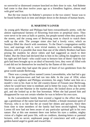no sorrowful or distressed creature knocked on their door in vain. And Babette had come to that door twelve years ago as a friendless fugitive, almost mad with grief and fear.

But the true reason for Babette's presence in the two sisters' house was to be found further back in time and deeper down in the domain of human hearts.

#### **II. MARTINE'S LOVER**

As young girls Martine and Philippa had been extraordinarily pretty, with the almost supernatural fairness of flowering fruit-trees or perpetual snow. They were never to be seen at balls or parties, but people turned when they passed in the streets, and the young men of Berlevaag went to church to watch them walk up the aisle. The younger sister also had a lovely voice, which on Sundays filled the church with sweetness. To the Dean's congregation earthly love, and marriage with it, were trivial matters, in themselves nothing but illusions, still it is possible that more than one of the elderly Brothers had been prizing the maidens far above rubies and had suggested as much to their Father. But the Dean had declared that to him in his calling his daughters were his right and left hand—who could want to bereave him of them? And the fair girls had been brought up to an ideal of heavenly love, they were all filled with it and did not let themselves be touched by the flames of this world.

All the same they had upset the peace of heart of two gentlemen from the great world outside Berlevaag.

There was a young officer named Lorens Loewenhielm, who had led a gay life in his garrison-town and had run into debt. In the year of 1854, when Martine was eighteen and Philippa seventeen, his angry Father sent him on a month's visit to his Aunt in her old country-house of Fossum near Berlevaag, where he would have time to meditate and to better his ways. One day he rode into town and met Martine in the market-place. He looked down at the pretty girl, and she looked up at the fine horseman. When she had passed him and disappeared he was not certain whether he was to believe his own eyes.

In the Loewenhielm family there existed a legend to the effect that long ago a gentleman of the name had married a Huldre, a female mountain spirit of Norway, who is so fair that the air round her shines and quivers. Since then from time to time members of the family had been second-sighted. Young Lorens till now had not been aware of any particular spiritual gift in his own nature. But at this one moment there rose before his eyes a sudden, mighty vision of a higher and purer life, with no creditors, dunning-letters or parental lectures, with no secret, unpleasant pangs of conscience and with a gentle, golden-haired angel to guide and reward him.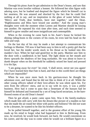Through his pious Aunt he got admission to the Dean's house, and saw that Martine was even lovelier without a bonnet. He followed her slim figure with adoring eyes, but he loathed and despised the figure which he himself cut in her nearness. He was amazed and shocked by the fact that he could find nothing at all to say, and no inspiration in the glass of water before him. 'Mercy and Truth, dear brethren, have met together,' said the Dean. 'Righteousness and Bliss have kissed one another.' And the young man's thoughts were with the moment when Lorens and Martine should be kissing one another. He repeated his visit time after time, and each time seemed to himself to grow smaller and more insignificant and contemptible.

When in the evening he came back to his Aunt's house he kicked his shining riding-boots to the corners of his room, he even laid his head on the table and wept.

On the last day of his stay he made a last attempt to communicate his feelings to Martine. Till now it had been easy to him to tell a pretty girl that he loved her, but the tender words stuck in his throat as he looked into this maiden's face. When he had said good-bye to the party, Martine saw him to the door with a candlestick in her hand. The light shone on her mouth and threw upwards the shadows of her long eyelashes. He was about to leave in dumb despair when on the threshold he suddenly seized her hand and pressed it to his lips.

'I am going away for ever!' he cried, 'I shall never, never see you again! For I have learned here that Fate is hard, and that in this world there are things which are impossible!'

When he was once more back in his garrison-town he thought his adventure over, and found that he did not like to think of it at all. While the other young officers talked of their love-affairs he was silent upon his. For seen from the officers' mess, and so to say with its eyes, it was a pitiful business. How had it come to pass that a lieutenant of the hussars had let himself be defeated and frustrated by a set of long-faced sectarians, in the barefloored rooms of an old Dean's house?

Then he got afraid, a panic came upon him. Was it the family-madness which made him still carry with him the dream-like picture of a maiden so fair that she made the air round her shine with purity and holiness? He did not want to be a dreamer, he wanted to be like his brother-officers.

So he pulled himself together, and in the greatest effort of his young life made up his mind to forget what had happened to him in Berlevaag. From now, he resolved, he would look forward, not back. He would concentrate on his career, and the day was to come when he would cut a brilliant figure in a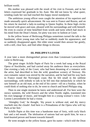brilliant world.

His mother was pleased with the result of his visit to Fossum, and in her letters expressed her gratitude to his Aunt. She did not know by what queer, winding roads her son had reached this happy moral standpoint.

The ambitious young officer soon caught the attention of his superiors and made unusually quick advancement. He was sent to France and Russia, and on his return he married a lady-in-waiting to Queen Sophia. In these high circles he moved with grace and ease, pleased with his surroundings and with himself. He even in course of time benefited from words and turns which had stuck in his mind from the Dean's house, for piety was now in fashion at Court.

In the yellow house of Berlevaag Philippa sometimes turned the talk to the handsome, silent young man who had so suddenly made his appearance, and so suddenly disappeared again. Her elder sister would then answer her gently, with a still, clear face, and find other things to discuss.

#### **III. PHILIPPA'S LOVER**

A year later a more distinguished person even than Lieutenant Loewenhielm came to Berlevaag.

The great singer Achille Papin of Paris for a week had sung at the Royal Opera of Stockholm, and had carried away his audience there as everywhere. One evening a lady of the Court, who had been dreaming of a romance with the artist, had described to him the wild, grandiose scenery of Norway. His own romantic nature was stirred by the narration, and he had laid his way back to France round the Norwegian coast. But he felt small in the sublime surroundings, with nobody to talk to he fell into that melancholy in which he saw himself as an old man, at the end of his career—till on a Sunday, when he could think of nothing else to do, he went to church and heard Philippa sing.

Then in one single moment he knew and understood all. For here were the snowy summits, the wild flowers and the white Nordic nights, translated into his own language of music, and brought him in a young woman's voice. Like Lorens Loewenhielm he had a vision.

'Almighty God,' he thought, 'thy power is without end, and thy mercy reacheth into the clouds! And here is a Primadonna of the Opera who will lay Paris at her feet.'

Achille Papin at this time was a handsome man of forty, with curly black hair and a red mouth. The idolisation of nations had not spoilt him, he was a kind-hearted person and honest towards himself.

He went straight to the yellow house, gave his name—which told the Dean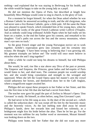nothing—and explained that he was staying in Berlevaag for his health, and the while would be happy to take on the young lady as a pupil.

He did not mention the Opera of Paris, but described at length how beautifully Miss Philippa would come to sing in church, to the glory of God.

For a moment he forgot himself, for when the Dean asked whether he was a Roman Catholic he answered according to truth, and the old clergyman, who had never seen a live Roman Catholic, grew a little pale. All the same the Dean was pleased to speak French, which reminded him of his young days, when he had studied the works of the great French Lutheran writer Lefèvre d'Etaples. And as nobody could long withstand Achille Papin when he had really set his heart on a matter, in the end the Father gave his consent, and remarked to his daughter: 'God's paths run across the Sea and the snowy mountains, where man's eye sees no track.'

So the great French singer and the young Norwegian novice set to work together. Achille's expectation grew into certainty and his certainty into ecstasy. He thought: 'I have been wrong in believing that I was growing old. My greatest triumphs are before me! The world will once more believe in miracles when she and I sing together!'

After a while he could not keep his dreams to himself, but told Philippa about them.

She would, he said, rise like a star above any Diva of the past or present. The Emperor and Empress, the Princess, great ladies and bel-esprits of Paris would listen to her, and shed tears. The common people too would worship her, and she would bring consolation and strength to the wronged and oppressed. When she left the Grand Opera upon her master's arm the crowd would unharness her horses, and themselves draw her to the Café Anglais, where a magnificent supper awaited her.

Philippa did not repeat these prospects to her Father or her Sister, and this was the first time in her life that she had had a secret from them.

The teacher now gave his pupil the part of Zerlina in Mozart's Opera 'Don Giovanni' to study. He himself, as often before, sang Don Giovanni's part.

He had never in his life sung as now. In the duet of the second act—which is called the seduction-duet—he was swept off his feet by the heavenly music and the heavenly voices. As the last melting note died away he seized Philippa's hands, drew her towards him and kissed her solemnly, as a bridegroom might kiss his bride before the altar. Then he let her go. For the moment was too sublime for any further word or movement, Mozart himself was looking down on the two.

Philippa went home, told her Father that she did not want any more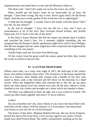singing-lessons and asked him to write and tell Monsieur Papin so.

The Dean said: 'And God's paths run across the rivers, my child.'

When Achille got the Dean's letter he sat immovable for an hour. He thought: 'I have been wrong. My day is over. Never again shall I be the divine Papin. And this poor weedy garden of the world has lost its nightingale!'

A little later he thought: 'I wonder what is the matter with that hussy? Did I kiss her, by any chance?'

In the end he thought: 'I have lost my life for a kiss, and I have no remembrance at all of the kiss! Don Giovanni kissed Zerlina, and Achille Papin pays for it! Such is the fate of the artist!'

In the Dean's house Martine felt that the matter was deeper than it looked, and searched her sister's face. For a moment, slightly trembling, she too imagined that the Roman Catholic gentleman might have tried to kiss Philippa. She did not imagine that her sister might have been surprised and frightened by something in her own nature.

Achille Papin took the first boat from Berlevaag.

Of this visitor from the great world the sisters spoke but little, they lacked the words in which to discuss him.

#### **IV. A LETTER FROM PARIS**

Fifteen years later, on a rainy June night of 1871, the bell-rope of the yellow house was pulled violently three times. The mistresses of the house opened the door to a massive, dark, deadly pale woman with a bundle on her arm, who stared at them, took a step forward and fell down on the doorstep in a dead swoon. When the frightened ladies had restored her to life she sat up, gave them one more glance from her sunken eyes and, all the time without a word, fumbled in her wet clothes and brought out a letter which she handed to them.

The letter was addressed to them all right, but it was written in French. The sisters put their heads together and read it. It ran as follows:

Ladies!

Do you remember me? Ah, when I think of you I have the heart filled with wild lilies-of-the-valley! Will the memory of a Frenchman's devotion bend your hearts to save the life of a Frenchwoman?

The bearer of this letter, Madame Babette Hersant, like my divine Empress herself has had to flee from Paris. Civil war has raged in our streets. French hands have shed French blood. The noble Communards, standing up for the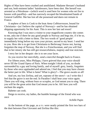Rights of Man have been crushed and annihilated. Madame Hersant's husband and son, both eminent ladies' hairdressers, have been shot. She herself was arrested as a Pétroleuse—(which word is used here for women who set fire to houses with paraffin)—and has narrowly escaped the bloodstained hands of General Galliffet. She has lost all she possessed and dares not remain in France.

A nephew of hers is Cook to the boat *Anna Colbioernsson*, bound for Christiania—(as I believe the capital of Norway)—and he has obtained shipping opportunity for his Aunt. This is now her last sad resort!

Knowing that I was once a visitor to your magnificent country she comes to me, asks me if there be any good people in Norway and begs me, if it be so, to supply her with a letter to them. The two words of 'good people' immediately bring before my eyes your picture, sacred to my heart. I send her to you. How she is to get from Christiania to Berlevaag I know not, having forgotten the map of Norway. But she is a Frenchwoman, and you will find that in her misery she has still got resourcefulness, majesty and true stoicism.

I envy her in her despair: she is to see your faces.

As you receive her mercifully, send a merciful thought back to France.

For fifteen years, Miss Philippa, I have grieved that your voice should never fill the Grand Opera of Paris. When tonight I think of you, no doubt surrounded by a gay and loving family, and of myself: grey, lonely, forgotten by those who once applauded and adored me, I feel that you may have chosen the better part in life. What is fame? What is glory?—The grave awaits us all!

And yet, my lost Zerlina, and yet, soprano of the snow!—as I write this I feel that the grave is not the end. In Paradise I shall hear your voice again. There you will sing, without fears or scruples, as God meant you to sing. There you will be the great artist that God meant you to be. Ah! how you will enchant the angels.

Babette can cook.

Deign to receive, my ladies, the humble homage of the friend who was once

Achille Papin

At the bottom of the page, as a P.S. were neatly printed the first two bars of the duet between Don Giovanni and Zerlina like this: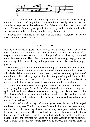

The two sisters till now had only kept a small servant of fifteen to help them in the house, and they felt that they could not possibly afford to take on an elderly, experienced housekeeper. But Babette told them that she would serve Monsieur Papin's good people for nothing, and that she would take service with nobody else. If they sent her away she must die.

Babette now remained in the house of the Dean's daughters for twelve years, until the time of this tale.

#### **V. STILL LIFE**

Babette had arrived haggard and wild-eyed like a hunted animal, but in her new, friendly surroundings she soon acquired all the appearance of a respectable and trusted servant. She had appeared to be a beggar, she turned out to be a conqueror. Her quiet countenance and her steady, deep glance had magnetic qualities: under her eyes things moved, noiselessly, into their proper places.

Her mistresses at first had trembled a little, just as the Dean had once done, at the idea of receiving a Papist under their roof. But they did not like to worry a hard-tried fellow creature with catechisation, neither were they quite sure of their French. They silently agreed that the example of a good Lutheran life would be the best means of converting their servant. In this way Babette's presence in the house became so as to say a moral spur to its inhabitants.

They had distrusted Monsieur Papin's assertion that Babette could cook. In France, they knew, people ate frogs. They showed Babette how to prepare a split cod and an ale-and-bread-soup: during the demonstration the Frenchwoman's face became absolutely expressionless. But within a week Babette cooked a split cod and an ale-and-bread-soup as well as anybody born and bred in Berlevaag.

The idea of French luxury and extravagance next alarmed and dismayed the Dean's daughters. The first day after Babette had entered their service they took her before them and explained to her that they were poor, and that to them luxurious fare was sinful. Their own food must be as plain as possible, it was the soup-pails and baskets for their poor that signified. Babette nodded her head: as a girl, she informed her ladies, she had been Cook to an old priest who was a saint. Upon this the sisters resolved to surpass the French priest in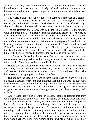ascetism. And they soon found that from the day when Babette took over the housekeeping its cost was miraculously reduced, and the soup-pails and baskets acquired a new, mysterious power to stimulate and strengthen their poor and sick.

The world outside the yellow house too came to acknowledge Babette's excellence. The refugee never learned to speak the language of her new country, but in her broken Norwegian she beat down the prices of Berlevaag's flintiest tradesmen. She was held in awe on the quay and in the market-place.

The old Brothers and Sisters, who had first looked askance at the foreign woman in their midst, felt a happy change in their little Sisters' life, rejoiced at it and benefited by it. They found that troubles and cares had been conjured away from their existence, and that now they had money to give away, time for the confidences and complaints of their old friends and peace for meditating on heavenly matters. In course of time not a few of the Brotherhood included Babette's name in their prayers, and thanked God for the speechless stranger, the dark Martha in the house of their two fair Marys. The stone which the builders had almost refused had become the head-stone of the corner.

The ladies in the yellow house were the only ones to know that their corner-stone had a mysterious and alarming feature to it, as if it was somehow related to the Black Stone of Mecca, the Kaaba itself.

Hardly ever did Babette refer to her past life. When in early days the sisters had gently condoled her upon her losses, they had been met with that majesty and stoicism of which Monsieur Papin had written. 'What will you ladies?' she had answered, shrugging her shoulders, 'it is Fate.'

But one day she suddenly informed them that she had for many years held a ticket in a French lottery, and that a faithful friend in Paris was still renewing it for her every year. Some time she might win the grand prix of ten thousand francs. At that they felt that their Cook's old carpet-bag was made from a magic carpet, at a given moment she might mount it, and be carried off, back to Paris.

And it happened when Martine or Philippa spoke to Babette that they would get no answer, and would wonder if she had even heard what they said. They would find her in the kitchen, her elbows on the table and her temples on her hands, lost in the study of a heavy black book which they secretly suspected to be a popish prayer-book. Or she would sit immovable on the three-legged kitchen-chair, her strong hands in her lap and her dark eyes wide open, as enigmatical and fatal as a Phytia upon her tripod. At such moments they realised that Babette was deep, and that in the soundings of her being there were passions, there were memories and longings of which they knew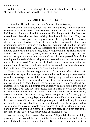nothing at all.

A little cold shiver ran through them, and in their hearts they thought: 'Perhaps after all she had indeed been a Pétroleuse.'

#### **VI. BABETTE'S GOOD LUCK**

The fifteenth of December was the Dean's hundredth anniversary.

His daughters had long been looking forward to this day and had wished to celebrate it, as if their dear father were still among his disciples. Therefore it had been to them a sad and incomprehensible thing that in this last year discord and dissension had been raising their heads in his flock. They had endeavoured to make peace, but they were aware that they had failed. It was as if the fine and lovable vigour of their father's personality had been evaporating, such as Hoffmann's anodyne will evaporate when left on the shelf in a bottle without a cork. And his departure had left the door ajar to things hitherto unknown to the two sisters, much younger than his spiritual children. From a past half a century back, when the unshepherded sheep had been running astray in the mountains, uninvited dismal guests pressed through the opening on the heels of the worshippers and seemed to darken the little rooms and to let in the cold. The sins of old brothers and sisters came, with late piercing repentance like a toothache, and the sins of others against them came back with bitter resentment, like a poisoning of the blood.

There were in the congregation two old women who before their conversion had spread slander upon one another, and thereby to one another ruined a marriage and an inheritance. Today they could not remember happenings of yesterday or a week ago, but they remembered these forty year old wrong and kept going through the ancient accounts—they scowled at one another. There was an old brother who suddenly called to mind how another brother, forty-five years ago, had cheated him in a deal, he could have wished to dismiss the matter from his mind, but it stuck there like a deep-seated, festering splinter. There was a grey, honest skipper and a furrowed, pious widow, who in their young days, while she was the wife of another man, had been sweethearts. Of late each had begun to grieve, while shifting the burden of guilt from his own shoulders to those of the other and back again, and to worry about the possible terrible consequences, through all eternity, brought upon him by one who had pretended to hold him dear. They grew pale at the meetings in the yellow house and avoided one another's eyes.

As the birthday drew nearer, Martine and Philippa felt the responsibility growing heavier. Would their ever faithful father look down to his daughters and call them by name as unjust stewards? Between them they talked matters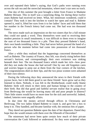over and repeated their father's saying, that God's paths were running even across the salt sea and the snowclad mountains, where man's eye sees no track.

One day of this summer the post brought a letter from France to Madame Babette Hersant. This in itself was a surprising thing, for during these twelve years Babette had received no letter. What, her mistresses wondered, could it contain? They took it into the kitchen to watch her open and read it. Babette opened it, read it, lifted her eyes from it to her ladies' faces and told them that her number in the French lottery had come out. She had won ten thousand francs.

The news made such an impression on the two sisters that for a full minute they could not speak a word. They themselves were used to receiving their modest pension in small instalments, it was difficult to them even to imagine the sum of ten thousand francs in a pile. Then they pressed Babette's hand, their own hands trembling a little. They had never before pressed the hand of a person who the moment before had come into possession of ten thousand francs.

After a while they realised that the happenings concerned themselves as well as Babette. The country of France, they felt, was slowly rising before their servant's horizon, and correspondingly their own existence was sinking beneath their feet. The ten thousand francs which made her rich—how poor did they not make the house she had served! One by one old forgotten cares and worries began to peep out at them from the four corners of the kitchen. The congratulations died on their lips, and the two pious women were ashamed of their own silence.

During the following days they announced the news to their friends with joyous faces, but it did them good to see these friends' faces grow sad as they listened to them. Nobody, it was felt in the Brotherhood, could really blame Babette: birds will return to their nests and human beings to the country of their birth. But did that good and faithful servant realise that in going away from Berlevaag she would be leaving many old and poor people in distress? Their little sisters would have no more time for the sick and sorrowful. Indeed, indeed, lotteries were ungodly affairs.

In due time the money arrived through offices in Christiania and Berlevaag. The two ladies helped Babette to count it, and gave her a box to keep it in. They handled, and became familiar with, the ominous bits of paper.

They dared not question Babette upon the date of her departure. Dared they hope that she would remain with them over the fifteenth of December?

The mistresses had never been quite certain how much of their private conversation the Cook followed or understood. So they were surprised when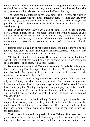on a September evening Babette came into the drawing-room, more humble or subdued than they had ever seen her, to ask a favour. She begged them, she said, to let her cook a celebration-dinner on the Dean's birthday.

The ladies had not intended to have any dinner at all. A very plain supper with a cup of coffee was the most sumptuous meal to which they had ever asked any guest to sit down. But Babette's dark eyes were as eager and pleading as a dog's, they agreed to let her have her way. At this the Cook's face lighted up.

But she had got more to say. She wanted, she said, to cook a French dinner, a real French dinner, for this one time. Martine and Philippa looked at one another. They did not like the idea, they felt that they did not know what it might imply. But the very strangeness of the request disarmed them. They had no arguments wherewith to meet the proposition of cooking a real French dinner.

Babette drew a long sigh of happiness, but still she did not move. She had got one more prayer to make. She begged that her mistresses would allow her to pay for the French dinner with her own money.

'No Babette!' the ladies exclaimed. How could she imagine such a thing? Did she believe that they would allow her to spend her precious money on food and drink—or on them? No Babette, indeed.

Babette took a step forward. There was something formidable in the move, like a wave rising. Had she stepped forth like this, in 1871, to plant a red flag on a barricade? She spoke, in her queer Norwegian, with classical French eloquence, her voice was like a song.

Ladies! Had she ever, during twelve years, asked you a favour? No! And why not?—ladies, you who say your prayers every day, can you imagine what it means to a human heart to have no prayer to make? What would Babette have had to pray for? Nothing! Tonight she had got a prayer to make, from the bottom of her heart. Do you not then feel tonight, my ladies, that it becomes you to grant it her, with such joy as that with which the good God has granted you your own?

The ladies for a while said nothing. Babette was right, it was her first request these twelve years, very likely it would be her last. They thought the matter over. After all, they told themselves, their Cook was now better off than they, and a dinner could make no difference to a person who owned ten thousand francs.

Their consent in the end completely changed Babette. They saw that as a young woman she had been beautiful. And they wondered whether in this hour they themselves had not, for the very first time, become to her the 'good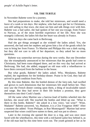people' of Achille Papin's letter.

#### **VII. THE TURTLE**

In November Babette went for a journey.

She had preparations to make, she told her mistresses, and would need a leave of a week or ten days. Her nephew, who had once got her to Christiania, was still sailing to that town, she must see him and talk things over with him. Babette was a bad sailor, she had spoken of her one sea-voyage, from France to Norway, as of the most horrible experience of her life. Now she was strangely collected, the ladies felt that her heart was already in France.

After ten days she came back to Berlevaag.

Had she got things arranged as she wished? the ladies asked. Yes, she answered, she had seen her nephew and given him a list of the goods which he was to bring her from France. To Martine and Philippa this was a dark saying, but they did not care to talk of her departure, so they asked her no more questions.

Babette was somewhat nervous during the next weeks. But one December day she triumphantly announced to her mistresses that the goods had come to Christiania, had been trans-shipped there, and on this very day had arrived at Berlevaag. She had, she added, engaged an old man with a wheelbarrow to have them conveyed from the harbour to the house.

But what goods, Babette? the ladies asked. Why, Mesdames, Babette replied, the ingredients for the birthday-dinner. Praise to be God, they had all arrived in good condition from Paris.

By this time Babette, like the bottled demon of the fairy-tale, had swelled and grown to such dimensions that her mistresses felt small before her. They now saw the French dinner coming upon them, a thing of incalculable nature and range. But they had never in their life broken a promise, they gave themselves into their Cook's hands.

All the same when Martine saw a barrow-load of bottles wheeled into the kitchen, she stood still. She touched the bottles and lifted up one. 'What is there in this bottle, Babette?' she asked in a low voice, 'not wine?' 'Wine, Madame!' Babette answered, 'no, Madame, it is a Clos Vougeout 1846!' After a moment she added: 'From Philippe, in Rue Montorgueil!' Martine had never suspected that wines could have names to them, and was put to silence.

Later in the evening she opened the door to a ring, and was once more faced with the wheelbarrow, this time with a red-haired sailor-boy behind it, as if the old man had by this time been worn out. The youth grinned at her as he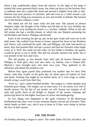lifted a big, undefinable object from the barrow. In the light of the lamp it looked like some greenish-black stone, but when sat down on the kitchen floor it suddenly shot out a snake-like head and moved it slightly from side to side. Martine had seen pictures of tortoises, and had even as a child owned a pet tortoise but this thing was monstrous in size and terrible to behold. She backed out of the kitchen without a word.

She dared not tell her sister what she had seen. She passed an almost sleepless night, she thought of her Father and felt that on his very birthday she and her sister were lending his house to a witches' sabbath. When at last she fell asleep she had a terrible dream, in which she saw Babette poisoning the old Brothers and Sisters, Philippa and herself.

Early in the morning she got up, put on her grey cloak and went out in the dark street. She walked from house to house, opened her heart to her Brothers and Sisters, and confessed her guilt. She and Philippa, she said, had meant no harm, they had granted their servant a prayer and had not foreseen what might come of it. Now she could not tell what, on her Father's birthday, her guests would be given to eat or drink. She did not actually mention the turtle, but it was present in her face and voice.

The old people, as has already been told, had all known Martine and Philippa as little girls, they had seen them cry bitterly over a broken doll. Martine's tears brought tears into their own eyes. They gathered in the afternoon and talked the problem over.

Before they again parted they promised one another that for their little sisters' sake they would, on the great day, be silent upon all matters of food and drink. Nothing that might be set before them, be it even frogs or snails, should wring a word from their lips.

'Even so,' said a white-bearded brother, 'the tongue is a little member and boasteth great things. The tongue can no man tame, it is an unruly evil, full of deadly poison. On the day of our master we will cleanse our tongues of all taste and purify them of all delight or disgust of the senses, keeping and preserving them for the higher functions of praise and thanksgiving.'

So few things ever happened in the quiet existence of the Berlevaag brotherhood that they were at this moment deeply moved and elevated. They shook hands on their vow, and it was to them as if they were doing so before the face of their master.

#### **VIII. THE HYMN**

On Sunday morning it began to snow. The white flakes fell fast and thick, the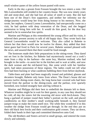small window-panes of the yellow house pasted with snow.

Early in the day a groom from Fossum brought the two sisters a note. Old Mrs Loewenhielm still resided in her country-house. She was now ninety years old and stone-deaf, and she had lost all sense of smell or taste. But she had been one of the Dean's first supporters, and neither her infirmity nor the sledge-journey would keep her from doing honour to his memory. Now, she wrote, her nephew, General Lorens Loewenhielm, had unexpectedly come on a visit, he had spoken with deep veneration of the Dean, and she begged permission to bring him with her. It would do him good, for the dear boy seemed to be in somewhat low spirits.

Martine and Philippa at this remembered the young officer and his visits, it relieved their present anxiety to talk of old happy days. They wrote back that General Loewenhielm would be welcome. They also called in Babette to inform her that there would now be twelve for dinner, they added that their latest guest had lived in Paris for several years. Babette seemed pleased with the news, and assured them that there would be food enough.

The hostesses made their little preparations in the sitting-room. They dared not set foot in the kitchen, for Babette had mysteriously nosed out a cook's mate from a ship in the harbour—the same boy, Martine realised, who had brought in the turtle—to assist her in the kitchen and to wait at table, and now the dark woman and the red-haired boy, like some witch with her familiar spirit, had taken possession of these regions. The ladies could not tell what fires had been burning or what cauldrons bubbling there from before daybreak.

Table-linen and plate had been magically ironed and polished, glasses and decanters brought, Babette only knew from where. The Dean's house did not possess twelve dining-room chairs, the long horse-hair covered sofa had been moved from the parlour to the dining-room, and the parlour, ever sparsely furnished, now looked strangely bare and big without it.

Martine and Philippa did their best to embellish the domain left to them. Whatever troubles might be in wait for their guests, in any case they should not be cold, all day the sisters fed the towering old stove with birch-knots. They hung a garland of juniper round their father's portrait on the wall, and placed candlesticks on their mother's small working-table beneath it, they burned juniper-twigs to make the room smell nice. The while they wondered if in this weather the sledge from Fossum would get through. In the end they put on their old black best frocks and their confirmation gold crosses. They sat down, folded their hands in their laps and committed themselves unto God.

The old Brothers and Sisters arrived in small groups, and entered the room slowly and solemnly.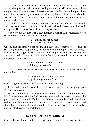This low room with its bare floor and scanty furniture was dear to the Dean's disciples. Outside its windows lay the great world. Seen from in here the great world in its winter-whiteness was ever prettily bordered in pink, blue and red by the row of hyacinths on the window-sills. And in summer, when the windows were open, the great world had a softly moving frame of white muslin curtains to it.

Tonight the guests were met on the doorstep with warmth and sweet smell, and they were looking into the face of their beloved Master, wreathed with evergreen. Their hearts like their numb fingers thawed.

One very old Brother after a few moment's silence in his trembling voice struck up one of the Master's own hymns:

> 'Jerusalem, my happy home name ever dear to me . . . '

One by one the other voices fell in, thin quivering women's voices, ancient seafaring Brothers' deep growls, and above them all Philippa's clear soprano, a little worn with age but still angelic. Unwittingly the choir had seized one another's hands. They sang the hymn to the end, but could not bear to cease and joined in another:

> 'Take not thought for food or raiment careful one, so anxiously . . .'

The mistresses of the house were somewhat reassured by it, the words of the third verse:

> 'Wouldst thou give a stone, a reptile to thy pleading child for food? . . .'

went straight to Martine's heart and inspired her with hope.

In the middle of this hymn sledge-bells were heard outside, the guests from Fossum had arrived.

Martine and Philippa went to receive them and saw them into the parlour. Mrs Loewenhielm with age had become quite small, her face colourless like parchment, and very still. By her side General Loewenhielm, tall, broad and ruddy, in his bright uniform, his breast covered with decorations, strutted and shone like an ornamental bird, a golden pheasant or a peacock, in this sedate party of black crows and jackdaws.

#### **IX. GENERAL LOEWENHIELM**

General Loewenhielm had been driving from Fossum to Berlevaag in a strange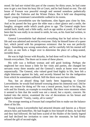mood. He had not visited this part of the country for thirty years, he had come now to get a rest from his busy life at Court, and he had found no rest. The old house of Fossum was peaceful enough and seemed somehow pathetically small after the Tuileries and the Winter Palace. But it held one disquieting figure: young Lieutenant Loewenhielm walked in its rooms.

General Loewenhielm saw the handsome, slim figure pass close by him. And as he passed the boy gave the elder man a short glance and a smile, the haughty, arrogant smile which youth gives to age. The General might have smiled back, kindly and a little sadly, such as age smiles at youth, if it had not been that he was really in no mood to smile, he was, as his Aunt had written, in low spirits.

General Loewenhielm had obtained everything that he had striven for in life and was admired and envied by everyone. Only he himself knew of a queer fact, which jarred with his prosperous existence: that he was not perfectly happy. Something was wrong somewhere, and he carefully felt his mental self all over, as one feels a finger over to determine the place of a deep-seated, invisible thorn.

He was in high favour with Royalty, he had done well in his calling, he had friends everywhere. The thorn sat in none of these places.

His wife was a brilliant woman and still good looking. Perhaps she neglected her own house a little for her visits and parties, she changed her servants every three months and the General's meals at home were served unpunctually. The General, who valued good food highly in life, here felt a slight bitterness against his lady, and secretly blamed her for the indigestion from which he sometimes suffered. Still the thorn was not here either.

Nay, but an absurd thing had lately been happening to General Loewenhielm: he would find himself worrying about his immortal soul. Did he have any reason for doing so? He was a moral person, loyal to his king, his wife and his friends, an example to everybody. But there were moments when it seemed to him that the world was not a moral, but a mystic, concern. He looked into the mirror, examined the row of decorations on his breast and sighed to himself: 'Vanity, vanity, all is vanity!'

The strange meeting at Fossum had compelled him to make out the balance sheet of his life.

Young Lorens Loewenhielm had attracted dreams and fancies as a flower attracts bees and butterflies. He had fought to free himself of them, he had fled and they had followed. He had been scared of the Huldre of the family legend and had declined her invitation to come into the mountain, he had firmly refused the gift of second-sight.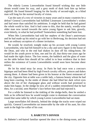The elderly Lorens Loewenhielm found himself wishing that one little dream would come his way, and a grey moth of dusk look him up before nightfall. He found himself longing for the faculty of second-sight, as a blind man will long for the normal faculty of vision.

Can the sum of a row of victories in many years and in many countries be a defeat? General Loewenhielm had fulfilled Lieutenant Loewenhielm's wishes and had more than satisfied his ambitions. It might be held that he had gained the whole world to him. And it had come to this, that the stately, wordly-wise older man now turned towards the naïve young figure to ask him, gravely, even bitterly, in what he had profited? Somewhere something had been lost.

When Mrs Loewenhielm had told her nephew of the Dean's anniversary and he had made up his mind to go with her to Berlevaag, his decision had not been an ordinary acception of a dinner invitation.

He would, he resolved, tonight make up his account with young Lorens Loewenhielm, who had felt himself to be a shy and sorry figure in the house of the Dean, and who in the end had shaken its dust off his riding-boots. He would let the youth prove to him, one and for all, that thirty-one years ago he had made the right choice. The low rooms, the haddock and the glass of water on the table before him should all be called in to bear evidence that in their milieu the existence of Lorens Loewenhielm would soon have become sheer misery.

He let his mind stray far away. In Paris he had once won a *concours hippique* and had been fêted by high French cavalry officers, princes and dukes among them. A dinner had been given in his honour at the finest restaurant of the city. Opposite him at table was a noble lady, a famous beauty whom he had long been courting. In the midst of dinner she had lifted her dark velvet eyes above the rim of her champagne glass and without words had promised to make him happy. In the sledge he now all of a sudden remembered that he had then, for a second, seen Martine's face before him and had rejected it.

For a while he listened to the tinkling of the sledge-bells, then he smiled a little as he reflected how he would tonight come to dominate the conversation round that same table by which young Lorens Loewenhielm had sat mute.

Large snowflakes fell densely, behind the sledge the tracks were wiped out quickly. General Loewenhielm sat immovable by the side of his aunt, his chin sunk in the high fur-collar of his coat.

#### **X. BABETTE'S DINNER**

As Babette's red-haired familiar opened the door to the dining-room, and the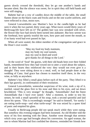guests slowly crossed the threshold, they let go one another's hands and became silent. But the silence was sweet, for in spirit they still held hands and were still singing.

Babette had set a row of candles down the middle of the table, the small flames shone on the black coats and frocks and on the one scarlet uniform, and were reflected in clear, moist eyes.

General Loewenhielm saw Martine's face in the candle-light as he had seen it when the two parted, thirty years ago. What traces would thirty years of Berlevaag-life have left on it? The golden hair was now streaked with silver, the flower-like face had slowly been turned into alabaster. But how serene was the forehead, how quietly trustful the eyes, how pure and sweet the mouth, as if no hasty word had ever passed its lips.

When all were seated, the eldest member of the congregation said grace in the Dean's own words:

> 'May my food my body maintain, may my body my soul sustain, may my soul in deed and word give thanks for all things to the Lord.'

At the word of 'food' the guests, with their old heads bent over their folded hands, remembered how they had vowed not to utter a word about the subject, and in their hearts they reinforced the vow: they would not even give it a thought! They were sitting down to a meal, well, so had people done at the wedding of Cana. And grace has chosen to manifest itself there, in the very wine, as fully as anywhere.

Babette's boy filled a small glass before each of the party. They lifted it to their lips gravely, in confirmation of their resolution.

General Loewenhielm, somewhat suspicious of his wine, took a sip of it, startled, raised the glass first to his nose and then to his eyes, and sat down bewildered. 'This is very strange!' he thought, 'Amontillado! And the finest Amontillado that I have ever tasted.' After a moment, in order to test his senses, he took a small spoonful of his soup, took a second spoonful and laid down his spoon. 'This is exceedingly strange!' he said to himself, 'for surely I am eating turtle-soup—and what turtle-soup!' He was seized by a queer kind of panic and emptied his glass.

Usually in Berlevaag people did not speak much while they were eating. But somehow this evening tongues had been loosened. An old Brother told the story of his first meeting with the Dean. Another went through that sermon which sixty years ago had brought about his conversion. An aged woman, the one to whom Martine had first confided her distress, reminded her friends how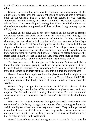in all afflictions any Brother or Sister was ready to share the burden of any other.

General Loewenhielm, who was to dominate the conversation of the dinner-table, related how the Dean's collection of sermons was a favourite book of the Queen's. But as a new dish was served he was silenced. 'Incredible!' he told himself, 'it is Blinis Demidoff!' He looked round at his fellow-diners. They were all quietly eating their Blinis Demidoff, without any sign of either surprise or approval, as if they had been doing so every day for thirty years.

A Sister on the other side of the table opened on the subject of strange happenings which had taken place while the Dean was still amongst his children, and which one might venture to call miracles. Did they remember, she asked, the time when he had promised a Christmas sermon in the village the other side of the Fiord? For a fortnight the weather had been so bad that no skipper or fisherman would risk the crossing. The villagers were giving up hope, but the Dean told them that if no boat would take him, he would come to them walking upon the waves. And behold! Three days before Christmas the storm stopped, hard frost set in, and the Fiord froze from shore to shore—and this was a thing which had not happened within the memory of man!

The boy once more filled the glasses. This time the Brothers and Sisters knew that what they were given to drink was not wine, for it sparkled. It must be some kind of lemonade. The lemonade agreed with their exalted state of mind and seemed to lift them off the ground into a higher and purer sphere.

General Loewenhielm again set down his glass, turned to his neighbour on the right and said to him: 'But surely this is a Veuve Cliquot 1860?' His neighbour looked at him kindly, smiled at him and made a remark about the weather.

Babette's boy had got his instructions, he filled the glasses of the Brotherhood only once, but he refilled the General's glass as soon as it was emptied. The General emptied it quickly time after time. For how is a man of sense to behave when he cannot trust his senses? It is better to be drunk than mad.

Most often the people in Berlevaag during the course of a good meal would come to feel a little heavy. Tonight it was not so. The convives grew lighter in weight and lighter of heart the more they ate and drank. They no longer needed to remind themselves of their vow. It was, they realised, when man has not only altogether forgotten but has firmly renounced all ideas of food and drink that he eats and drinks in the right spirit.

General Loewenhielm stopped eating and sat immovable. Once more he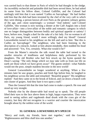was carried back to that dinner in Paris of which he had thought in the sledge. An incredibly recherché and palatable dish had been served there, he had asked its name from his fellow diner, Colonel Galliffet, and the Colonel had smilingly told him that it was named 'Cailles en Sarcophage.' He had further told him that the dish had been invented by the chef of the very café in which they were dining, a person known all over Paris as the greatest culinary genius of the age, and—most surprisingly—a woman! 'And indeed,' said Colonel Galliffet, 'this woman is now turning a dinner at the Café Anglais into a kind of love-affair—into a love-affair of the noble and romantic category in which one no longer distinguishes between bodily and spiritual appetite or satiety! I have, before now, fought a duel for the sake of a fair lady. For no woman in all Paris, my young friend, would I more willingly shed my blood!' General Loewenhielm turned to his neighbour on the left and said to him: 'But this is Cailles en Sarcophage!' The neighbour, who had been listening to the description of a miracle, looked at him absent-mindedly, then nodded his head and answered: 'Yes, Yes, certainly. What else would it be?'

From the Master's miracles the talk round the table had turned to the smaller miracles of kindliness and helpfulness daily performed by his daughters. The old Brother who had first struck up the hymn quoted the Dean's saying: 'The only things which we may take with us from our life on earth are those which we have given away!' The guests smiled—what Nabobs would not the poor, simple maidens become in the next world!

General Loewenhielm no longer wondered at anything. When a few minutes later he saw grapes, peaches and fresh figs before him, he laughed to his neighbour across the table and remarked: 'Beautiful grapes!' His neighbour replied: 'And they came on to the brook of Eshcol, and cut down a branch with one cluster of grapes. And they bare it two upon a staff.'

Then the General felt that the time had come to make a speech. He rose and stood up very straight.

Nobody else by the dinner-table had stood up to speak. The old people lifted their eyes to the face above them in high, happy expectation. They were used to seeing sailors and vagabonds dead drunk with the crass gin of the country, but they did not recognise in a warrior and courtier the intoxication brought about by the noblest wine of the world.

#### **XI. GENERAL LOEWENHIELM'S SPEECH**

'Mercy and truth, my friends, have met together,' said the General. 'Righteousness and bliss shall kiss one another.'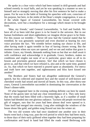He spoke in a clear voice which had been trained in drill-grounds and had echoed sweetly in royal halls, and yet he was speaking in a manner so new to himself and so strangely moving that after his first sentence he had to make a pause. For he was in the habit of forming his speeches with care, conscious of his purpose, but here, in the midst of the Dean's simple congregation, it was as if the whole figure of General Loewenhielm, his breast covered with decorations, were but a mouthpiece for a message which meant to be brought forth.

'Man, my friends,' said General Loewenhielm, 'is frail and foolish. We have all of us been told that grace is to be found in the universe. But in our human foolishness and short-sightedness we imagine divine grace to be finite. For this reason we tremble—' Never till now had the General stated that he trembled, he was genuinely surprised and even shocked at hearing his own voice proclaim the fact. 'We tremble before making our choice in life, and after having made it again tremble in fear of having chosen wrong. But the moment comes when our eyes are opened, and we see and realise that grace is infinite. Grace, my friends, demands nothing from us but that we shall await it with confidence and acknowledge it in gratitude. Grace, brothers, makes no conditions and singles out none of us in particular, grace takes us all to its bosom and proclaims general amnesty. See! that which we have chosen is given us, and that which we have refused is, also and at the same time, granted us. Ay, that which we have rejected is poured upon us abundantly. For mercy and truth have met together, and righteousness and bliss have kissed one another!'

The Brothers and Sisters had not altogether understood the General's speech, but his collected and inspired face and the sound of well-known and cherished words had seized and moved all hearts. In this way, after thirty-one years, General Loewenhielm succeeded in dominating the conversation at the Dean's dinner-table.

Of what happened later in the evening nothing definite can here be stated. None of the guests later on had any clear remembrance of it. They only knew that the rooms had been filled with a heavenly light, as if a number of small haloes had blended into one glorious radiance. Taciturn old people received the gift of tongues, ears that for years had been almost deaf were opened to it. Time itself had merged into eternity. Long after midnight the windows of the house shone like gold, and golden song flowed out into the winter air.

The two old women who had once slandered one another now in their hearts went back a long way, past the evil period in which they had been stuck, to those days of their early girlhood when together they had been preparing for confirmation and hand in hand had filled the roads round Berlevaag with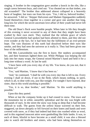singing. A brother in the congregation gave another a knock in the ribs, like a rough caress between boys, and cried out: 'You cheated me on that timber, you old scoundrel!' The brother thus addressed almost collapsed in a heavenly burst of laughter, but tears ran from his eyes. 'Yes, I did so, beloved brother,' he answered. 'I did so.' Skipper Halvorsen and Madam Oppegaarden suddenly found themselves close together in a corner and gave one another that long, long kiss for which the secret uncertain love-affair of their youth had never left them time.

The old Dean's flock were humble people. When later in life they thought of this evening it never occurred to any of them that they might have been exalted by their own merit. They realised that the infinite grace of which General Loewenhielm had spoken had been allotted to them, and they did not even wonder at the fact, for it had been but the fulfilment of an ever-present hope. The vain illusions of this earth had dissolved before their eyes like smoke, and they had seen the universe as it really is. They had been given one hour of the millennium.

Old Mrs Loewenhielm was the first to leave. Her nephew accompanied her, and their hostesses lighted them out. While Philippa was helping the old lady into her many wraps, the General seized Martine's hand and held it for a long time without a word. At last he said:

'I have been with you every day of my life. You know, do you not, that it has been so?'

'Yes,' said Martine, 'I know that it has been so.'

'And,' he continued, 'I shall be with you every day that is left to me. Every evening I shall sit down, if not in the flesh, which means nothing, in spirit, which is all, to dine with you, just like tonight. For tonight I have learned, dear sister, that in this world anything is possible.'

'Yes, it is so, dear brother,' said Martine. 'In this world anything is possible.'

Upon this they parted.

When at last the company broke up it had ceased to snow. The town and the mountains lay in white, unearthly splendour and the sky was bright with thousands of stars. In the street the snow was lying so deep that it had become difficult to walk. The guests from the yellow house wavered on their feet, staggered, sat down abruptly or fell forward on their knees and hands and were covered with snow, as if they had indeed had their sins washed white as wool, and in this regained innocent attire were gambolling like little lambs. It was, to each of them, blissful to have become as a small child, it was also a blessed joke to watch old brothers and sisters, who had been taking themselves so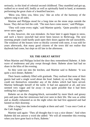seriously, in this kind of celestial second childhood. They stumbled and got up, walked on or stood still, bodily as well as spiritually hand in hand, at moments performing the great chain of a beatified lanciers.

'Bless you, bless you, bless you,' like an echo of the harmony of the spheres rang to all sides.

Martine and Philippa stood for a long time on the stone steps outside the house. They did not feel the cold. 'The stars have come nearer,' said Philippa.

'They will come every night,' said Martine quietly. 'Quite possibly it will never snow again.'

In this, however, she was mistaken. An hour later it again began to snow, and such a heavy snowfall had never been known in Berlevaag. The next morning people could hardly push open their doors against the tall snowdrifts. The windows of the houses were so thickly covered with snow, it was told for years afterwards, that many good citizens of the town did not realise that daybreak had come, but slept on till late in the afternoon.

## **XII. THE GREAT ARTIST**

When Martine and Philippa locked the door they remembered Babette. A little wave of tenderness and pity swept through them: Babette alone had had no share in the bliss of the evening.

So they went out into the kitchen, and Martine said to Babette: 'It was quite a nice dinner, Babette.'

Their hearts suddenly filled with gratitude. They realised that none of their guests had said a single word about the food. Indeed, try as they might, they could not themselves remember any of the dishes which had been served. Martine bethought herself of the turtle. It had not appeared at all, and now seemed very vague and far away—it was quite possible that it had been nothing but a nightmare.

Babette sat on the chopping-block, surrounded by more black and greasy pots and pans than her mistresses had ever seen in their life. She was as white and as deadly exhausted as on the night when she had first appeared and had fainted on their doorstep.

After a long time she looked straight at them and said: 'I was once Cook at the Café Anglais.'

Martine said again: 'They all thought that it was a nice dinner.' And when Babette did not answer a word she added: 'We will all remember this evening when you have gone back to Paris, Babette.'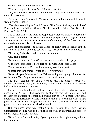Babette said: 'I am not going back to Paris.'

'You are not going back to Paris?' Martine exclaimed.

'No,' said Babette. 'What will I do in Paris? They have all gone, I have lost them all, Mesdames.'

The sisters' thoughts went to Monsieur Hersant and his son, and they said: 'Oh, my poor Babette.'

'Yes, they have all gone,' said Babette. 'The Duke of Morny, the Duke of Decazes, Prince Narishkine, General Galliffet, Aurélien Scholl, Paul Daru, the Princess Pauline! All!'

The strange names and titles of people lost to Babette faintly confused the two ladies, but there was such an infinite perspective of tragedy in her announcement that in their responsive state of mind they felt her losses as their own, and their eyes filled with tears.

At the end of another long silence Babette suddenly smiled slightly at them and said: 'And how would I go back to Paris, Mesdames? I have no money.'

'No money?' the sisters cried as with one mouth.

'No,' said Babette.

'But the ten thousand francs?' the sisters asked in a horrified gasp.

'The ten thousand francs have been spent, Mesdames,' said Babette.

The sisters sat down. For a full minute they could not speak.

'But ten thousand francs?' Martine slowly whispered.

'What will you, Mesdames,' said Babette with great dignity. 'A dinner for twelve at the Café Anglais would cost ten thousand francs.'

The ladies still did not find a word to say. The piece of news was incomprehensible to them, but then many things tonight in one way or another had been beyond comprehension.

Martine remembered a tale told by a friend of her father's who had been a missionary in Africa. He had saved the life of an old chief's favourite wife, and to show his gratitude the chief had treated him to a rich meal. Only long afterwards the missionary learned from his own black servant that what he had partaken of was a small fat grandchild of the chief's, cooked in honour of the great Christian medicine man. She shuddered.

But Philippa's heart was melting in her bosom. It seemed that an unforgettable evening was to be finished off with an unforgettable proof of human loyalty and self-sacrifice.

'Dear Babette,' she said softly, 'you ought not to have given away all you had for our sake.'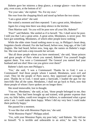Babette gave her mistress a deep glance, a strange glance—was there not pity, even scorn, at the bottom of it?

'For your sake,' she replied. 'No. For my own.'

She rose from the chopping-block and stood up before the two sisters.

'I am a great artist!' she said.

She waited a moment and then repeated: 'I am a great artist, Mesdames.'

Again for a long time there was deep silence in the kitchen.

Then Martine said: 'So you will be poor now all your life, Babette?'

'Poor?' said Babette. She smiled as if to herself. 'No. I shall never be poor. I told you that I am a great artist. A great artist, Mesdames, is never poor. We have got something, Mesdames, of which other people know nothing.'

While the elder sister found nothing more to say, in Philippa's heart deep, forgotten chords vibrated. For she had heard, before now, long ago, of the Café Anglais. She had heard, before now, long ago, the names on Babette's tragic list. She rose and took a step towards her servant.

'But all those people whom you have mentioned,' she said, 'those princes and great people of Paris whom you named, Babette? You yourself fought against them. You were a Communard! The General you named had your husband and son shot! How can you grieve over them?'

Babette's dark eyes met Philippa's.

'Yes,' she said, 'I was a Communard. Thanks be to God, I was a Communard! And those people whom I named, Mesdames, were evil and cruel. They let the people of Paris starve, they oppressed and wronged the poor. Thanks be to God, I stood upon a barricade, I loaded the gun for my men-folk! But all the same, Mesdames, I shall not go back to Paris, now that those people of whom I have spoken are no longer there.'

She stood immovable, lost in thought.

'You see, Mesdames,' she said, at last, 'those people belonged to me, they were mine. They had been brought up and trained, with greater expense than you, my little ladies, could ever imagine or believe, to understand what a great artist I am. I could make them happy. When I did my very best I could make them perfectly happy.'

She paused for a moment.

'It was like that with Monsieur Papin too,' she said.

'With Monsieur Papin?' Philippa asked.

'Yes, with your Monsieur Papin, my poor lady,' said Babette. 'He told me so himself: "It is terrible and unbearable to an artist," he said, "to be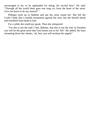encouraged to do, to be applauded for doing, his second best." He said: "Through all the world there goes one long cry from the heart of the artist: Give me leave to do my utmost!"'

Philippa went up to Babette and put her arms round her. She felt the Cook's body like a marble monument against her own, but she herself shook and trembled from head to foot.

For a while she could not speak. Then she whispered:

'Yet this is not the end! I feel, Babette, that this is not the end. In Paradise you will be the great artist that God meant you to be! Ah!' she added, the tears streaming down her cheeks, 'ah, how you will enchant the angels!'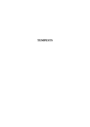# **TEMPESTS**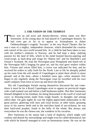#### **I. THE VISION OF THE TEMPEST**

THERE was an old actor and theatre-director, whose name was Herr<br>Soerensen. In his young days he had played in Copenhagen theatres: he<br>had even got so far as to appear as Aristophanes in Adam<br>Osblonschlagger's tragedy 'Soc Soerensen. In his young days he had played in Copenhagen theatres: he had even got so far as to appear as Aristophanes in Adam Oehlenschlaeger's tragedy 'Socrates' at the very Royal Theatre. But he was a man of a mighty, independent character, which demanded the creation and control of his own world around him. As a child he had been taken to stay with his mother's relations in Norway, and he had kept a deep, undying passion for the land of fells, which in his mind loomed heaven-aspiring and wind-swept, as back-drop and wings for 'Hakon Jarl' and for Macbeth's and Ossian's Scotland. He read the Norwegian poet Wergeland and heard tell of the Norwegian folk's longing for great art, and his soul grew restless within him. Visions and voices filled him, a crown was indicated for him, and he received his orders to sally forth for the North. Late in life he abruptly pulled up his roots from the soft mould of Copenhagen to plant them afresh in stony ground, and at the time—about a hundred years ago—when steamers first began to ply regularly along the Norwegian coast he travelled with his own small company from town to town up and down the fjords.

His old Copenhagen friends among themselves discussed the sad comedown it must be for a Royal Copenhagen actor to appear on provincial stages with a half-trained cast and before a half-barbarous public. But Herr Soerensen himself delighted in his freedom, his being blossomed in the swell of wind and wave, in dressing-rooms made from rough boards, in draughts and among tallow-dips. On gala nights he was the highly-appreciated ambassador to the great powers, glittering with stars and royal favour, at other times, groaning away in his narrow berth and in the merciless hand of sea-sickness, he was their hard-tried prophet, Jonah in the belly of the whale. But always and everywhere he was the chosen one, the wanderer in his vocation.

Herr Soerensen in his nature had a kind of duplicity which might well confuse and disturb his surroundings and might even be called demoniacal, but with which he himself managed to exist on harmonious terms. He was on the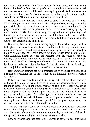one hand a wide-awake, shrewd and untiring business man, with eyes to the back of his head, a fine nose for profit, and a completely matter-of-fact and detached outlook on his public and humanity in general. And he was at one and the same time his art's obedient servant, a humble old priest in the temple, with the words 'Domine, non sum dignus' graven in his heart.

He did not, in his contracts, let himself be done for as much as a farthing. While laying on his mask in front of a dim chipped mirror, he might suddenly get a bright idea which put him in a position to steal a march on other folk. He played in many coarse farces (which in his time were called Possen), giving his audience their hearts' desire of capering, roaring and fantastic grimacing, and thanking them for their deafening applause with his hand on his heart and the sweetest of smiles on his lips—and all the time he had the evening's accounts, down to the smallest item, in his head.

But when, later at night, after having enjoyed his modest supper, with a little glass of schnaps thrown in, he ascended to his bedroom, candle in hand, up a staircase as steep and narrow as a hen-coop ladder, in spirit he moved as high as an old angel on Jacob's ladder. Up there he sat down again to table with Euripides, Lopez de Vega and Molière, with the poets of his own country's golden age, and with the one who most of all looked like a human being, with William Shakespeare himself. The immortal minds were his brethren and understood him as he them. In their circle he could let himself go, free and jubilant, or he could shed tears of deepest weltschmerz.

Herr Soerensen at times had been characterised by business-connections as a shameless speculator. But in his relations to the immortals he was as chaste as a virgin.

Only a few close friends knew of his theory that much which is unworthy in human life might be avoided if people would but accustom themselves to talking in verse. 'It need not exactly rhyme,' he said. 'Nay, it really ought not to rhyme. Rhyming verse in the long run is an underhand attack on the true being of poetry. But we should express our feelings, and communicate with each other, in blank verse—for iambics gently sway our nature's rawness—to noble worth, and zealously divide—chatter and tripe and scandal's overspill from gold and silver in the human speech.' In the great moments of his existence Herr Soerensen himself thought in iambics.

Only the Registrar-General of Births and Deaths in Copenhagen—who had shown himself highly reluctant to the idea—knew of a codicil to his will, in accordance with which his old cranium would one day be polished and through the ages to come would figure on the stage as Yorick's skull.

Now one year it happened that Herr Soerensen in doing his accounts found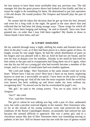his last season to have been more profitable than any previous one. The old manager felt that the great powers above had looked to him kindly and that in return he ought to do something for them. He determined to put into operation a life-old dream. He would produce *The Tempest* and himself play the part of Prospero.

No sooner had he taken this decision than he got up from his bed, dressed and went for a long walk in the night. He gazed at the stars above him and reflected that he had been led along strange ways. 'Those wings for which all my life I have been longing and looking,' he said to himself, 'have now been granted me—in order that I may fold them together! My thanks to those in whose hands I have been, and am.'

## **II. A PART ASSIGNED**

He lay wakeful through many a night, shifting his males and females here and there in the play's cast, as if they had been pieces in a choice game of chess. At length, except for one single figure, he had the whole distribution of parts on his fingers and was pleased with it. But an Ariel he had not yet found, and he tore his hair in despair over his inability. Already in his mind he had tried his best artists in the part and in exasperation had flung them out of it again, when one day his eye fell on a young girl who had recently become a member of the troupe, and in a couple of small parts had won modest applause.

'My Lord and Judge,' Herr Soerensen at the same instant cried out in his heart. 'Where have I had my eyes? Here have I been on my knees, imploring heaven to send me a serviceable air-spirit! I have been on the point of losing all hope and giving up! And all the time the most exquisite Ariel the world has ever known has been walking up and down under my nose without my recognising him!' So moved was he that he overlooked his pupil's sex.

'My girl,' he said to the young actress. 'You are to play Ariel in *The Tempest*.'

'Am I!' she cried.

'Yes,' said Herr Soerensen.

The girl to whom he was talking was big, with a pair of clear, undaunted eyes, but with a peculiar reserved dignity in her manner. Herr Soerensen who, so far as the morals of his young actresses went, had preserved the high traditions of the Royal Copenhagen theatre, occasionally had noticed her just because she seemed difficult to approach. She was a pretty girl, and to a chivalrous nature like that of Herr Soerensen there was something moving or pathetic in her face. Still no theatre-man but one with the eyes of genius would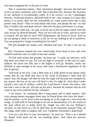ever have imagined her in the part of Ariel.

'She is somewhat skinny,' Herr Soerensen thought, 'because she had had to live on short commons, poor chit. But it becomes her, because the structure of her skeleton is exceptionally noble. If it be correct—as my Copenhagen director, of blessed memory, did hold forth to me—that woman is to man what poetry is to prose, then are the womenfolk we come across from day to day poems read aloud—They're read aloud with taste, and please the ear—or else they're badly read, and grate and jar—But this my grey-eyed lassie is a song.'

'Now then, little one,' he said, as he lit one of the fat cigars which were the only luxury he allowed himself. 'Now we two will set to work, and set to work in earnest. We are here to serve Will Shakespeare, the Swan of Avon. And we are not going to think of ourselves at all, for we are nothing at all in ourselves. You are prepared to forget everything for his sake?'

The girl thought the matter over, blushed and said: 'If only I am not too big.'

Herr Soerensen looked her over observantly from head to foot and even walked round her once in order to become certain.

'To hell with stones and pounds,' he burst out. 'I could, *au contraire*, wish that there was more of you. For you are light in yourself, in the way of a gasballoon: the more one fills into it the higher it will go. Besides, surely our William is man enough to do away with such a hackneyed regulation as the law of gravity.

'And look at me now. I am a little man as I walk about on my dreary daily round. But do you think that once in the cloak of Prospero I shall look the same? Nay, the danger will then be that the stage will become too cramped for my stature, the rest of my cast will find it a bit of a tight fit. And when I order myself a new suit of clothes—which the Lord knows I need—the tailor, who has had a seat in the pit, will put up his price, because he realises that he will come to use extra material for my volumen!

'I am aware,' he continued after a long pause and in deep earnest, 'that even among theatre managers there may be found those who have the heart and the means—to let Ariel come swooping on to the stage on a wire from the wings. To hell with it! Such things to me are an abomination. It is the words of the poet which are to make Ariel fly. Ought we, who are our William's servants, to rely more on a bit of steel than on his heavenly stanzas! That, on this stage, shall come to happen only over Valdemar Soerensen's dead body!

'You are a bit slow in your movements,' he went on. 'That is as it should be. Rapid Ariel must not be, nor bustling either. And when he answers Prospero: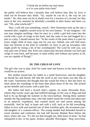## "I drink the air before me and return or e'er your pulse twice beat"

the public will believe him. Certainly they will believe him. But, by Jove, it shall not be because they think: "Ay, maybe he can do it, the way he can hustle." No, they must not be in doubt even for a fraction of a second, for they must at the very moment be blissfully a-tremble in their hearts and there cry out: "Oh, what witchcraft!"'

'Nay, I will tell you something, wench,' Herr Soerensen took up the tale a moment after, mightily carried away by his own fantasy. 'If one imagines—for one may imagine anything—that for once in a while a girl had come into the world with a pair of wings to her back, and she came to me and begged for a part in a play, I should answer her: "In the works of the poets there is a part for every single child of man, ergo one for you too. Indeed, one will find more than one heroine in the kind of comedies we have to put up nowadays who might profit by losing a bit of her avoirdupoids! The Lord be with you, you may play one of those. But Ariel you cannot play because already you have got wings to your back, and because, in stark reality and without any poetry at all, you are capable of flying!" '

## **III. THE CHILD OF LOVE**

The girl who was to play Ariel for some time had known in her heart that she would be an actress.

Her mother sewed hats for ladies in a small fjord-town, and the daughter sat beside her and dizzily felt that the swell in her own heart was like that in the water. Sometimes she thought that she would die from it. But she knew no more about the soundings of the heart than about those of the sea. She picked up her thimble and scissors with a pale face.

Her father had been a Scotch ship's captain, by name Alexander Ross, whose ship twenty years ago had suffered damage on her way to Riga and had had to lie up through the summer in the town-harbour. During these summer months the big handsome man, who had sailed round the world and taken part in an antarctic expedition, had created much stir and unrest among the townsfolk. And he had, in haste and with a will, such as he did everything, fallen in love with and married one of their loveliest girls, the seventeen-yearold daughter of a customs-officer. The young maiden had defended herself in sweet emotion and confusion, but had still become Madam Ross before she knew where she was. 'It's the sea that brought me, little heart of mine,' he had whispered to her, in his queer, broken, adorable Norwegian. 'Stop wave-beat,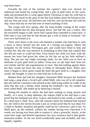stop heart-beat.'

Towards the end of the summer the captain's ship was cleared, he embraced and kissed his young bride, laid a pile of gold coins on her worktable and promised her to come again before Christmas to take her with him to Scotland. She stood on the quay in the fine East Indian shawl he had given her, and saw him sail away. He had been one with her: now he became one with his ship. Since that day no one had seen or heard anything of him.

The young wife next spring, after the long terrible waiting of the winter months, realised that his ship had gone down, and that she was a widow. But the townsfolk began to talk: never had Captain Ross intended to come back. A little later it was said that he had already got a wife at home in Scotland—his own crew had hinted at it.

There were those in the town who blamed a maiden who had been in such a hurry to throw herself into the arms of a foreign sea-captain. Others felt sympathy for the forlorn Norwegian girl, and would have liked to help and comfort her. But she was sensitive to something in their help and comfort that she did not want or could not bear. Even before her child was born, with the money her lover had given her when he left she set up her little milliner's shop. She just put one single sovereign aside, for her child was to have an heirloom of pure gold from its father. From now on she kept back from her own family and her old acquaintances in town. She had nothing against them, but they would not leave her time to think of Alexander Ross. When once more it began to show green round the fjord she gave birth to a daughter who would, she thought, in years to come help her in the task.

Madam Ross had had her daughter christened Malli because her husband had sung a song about a Scotch girl called Malli, who was all in all complete. But she told her customers who peered at the child lying within its cradle in the shop that this was a family name among her husband's kin, his mother had been called Malli. She ended up by believing it herself.

During the months in which she had been waiting in rising anxiety and finally, as it were, in deep darkness, the unborn child to her had been a sure proof that her husband was alive. It grew and kicked in her womb, it could not be a dead man's child. Now, after the rumours about her husband had reached her, the child to her slowly became a just as certain proof that he was dead. For a child so healthy, beautiful and gentle could not be a deceiver's gift to her. As Malli grew up she realised, without her mother having ever expressed it in words, nor having ever been able to express it, what a powerful, mystic, at the same time tragic and blissful importance her very existence had to that gentle, lonesome mother. So the two lived wonderfully quiet and secluded, and very happily, together.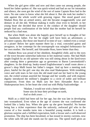When the girl grew older and now and then came out among people, she heard her father spoken of. She was quick-witted and had an ear for intonation and silence, she soon got the wind of the sort of name Captain Ross had in the town. No one came to know what she felt about it. But she took her mother's side against the whole world with growing vigour. She stood guard over Madam Ross like an armed sentry, and she became exaggeratedly wise and demure in all she did. Without making it really clear even to herself, in her young heart she decided that never in the conduct of the daughter should people find any confirmation of the belief that the mother had let herself be seduced by a bad man.

But when Malli was alone she happily gave herself up to thoughts of her big, handsome father. For her he might well have been an adventurer, a privateer-captain, like those one heard of in time of war—indeed even a corsair or a pirate! Below her quiet manner there lay a vital, concealed gaiety and arrogance, in her contempt for the townspeople was mingled forbearance for her own mother. She herself, and Alexander Ross, knew better than they.

Madam Ross was proud of her obedient, thoughtful child, and to the eyes of the town became somewhat ludicrous in her maternal vanity. She had Malli taught English by an old spinster who was still sitting about in the fjord-town after coming there a generation ago as governess to Baron Loewenskiold's daughters. In the dried-up, beaky-nosed Englishwoman's small room above a grocer's shop Malli learnt her father's tongue. And up here a meeting took place, fateful for the girl: one day she also read Shakespeare. With trembling voice and with tears in her eyes the old maid read out her bard to the young one, the exiled woman asserted her lineage and her wealth, and with majestic dignity introduced the milliner's daughter to a circle of noble and brilliant compatriots. From then on Malli saw her hero Alexander Ross as a Shakespearian hero. In her heart she cried out with Philip Faulconbridge:

> 'Madam, I would not wish a better father. Some sins do bear their privilege on earth, And so doth yours . . .'

Malli as a child had been tall for her age, but she was late in developing into womanhood. Even when at the age of sixteen she was confirmed she looked like a lanky boy. When she grew up she grew beautiful. No human being has a richer experience than the unlovely, awkward girl who in the course of a few months turns into a beautiful young maiden. It is both a glorious surprise and a fulfilled expectation, both a favour and a well-deserved promotion. The ship has been becalmed, or has tossed in stormy currents, now the white sails fill and she stands out for open sea. The speed itself gives an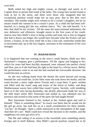even keel.

Malli sailed her high and mighty course, as daringly and surely as if Captain Ross in person had stood at the helm. The young men turned round to look at her in the street, and there were those who imagined that her exceptional position would make her an easy prey. But in this they were mistaken. The maiden might well consent to be a corsair's daughter, but by no means would she consent to be a corsair's prize. As a child she had been softhearted, as a young girl she was without mercy. 'No,' she told herself, 'it is they that shall be my victims.' All the same the unaccustomed admiration, the new defensive and offensive, brought unrest to the first years of her youth. And as now here Malli's story is being written and read, one is free to imagine that had it drawn out longer she would have become what the French call *une lionne*, a lioness. In the story itself she is but a lion-cub, somewhat whelp-like in movement and, up to the last chapter, uncertain in her estimation of her own strength.

#### **IV. MADAM ROSS**

It so happened that one evening in the town's small theatre, Malli saw Herr Soerensen's company give a performance. All the vigour and longing in her, which for years had been forcibly mastered, were released into perfect clarity and bliss, just as if she had been hit right in the heart by a divine arrow. Before the performance came to an end she had reached her irrevocable decision: she would become an actress.

As she was walking home from the theatre the street heaved and swung beneath her and round her. In her little room she took down her books, and the room became a starry night above Verona and a crypt there. It grew verdant and filled with the sweet song and music of the forest of Arden, and deep Mediterranean waves here rolled blue round Cyprus. Secretly, with trembling heart as if she were facing doomsday, she shortly afterwards made her way to the little hotel where Herr Soerensen had settled in, was admitted into his presence and recited to him some of the parts she had taught herself.

Herr Soerensen listened to her, looked at her, looked again and said to himself: 'There is something there!' So much was there that he would not let the girl go away, but took her on at a small consideration for three months. 'Let her,' he thought, 'ripen a while unnoticed in the atmosphere of the stage. And then let's see.' Malli could now reveal her decision to her mother, and the neighbours too soon got news of it.

The life and calling of an actress to the townsfolk were something utterly foreign and in itself dubious. Also Malli's special position caused her to be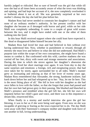harshly judged or ridiculed. But so sure of herself was the girl that while till now she had at all times been accurately aware of what the town was thinking and opining, and had kept her account of it, she now completely overlooked it or bothered about it not at all. She was genuinely surprised at her own mother's dismay the day she laid her plan before her.

Madam Ross had never needed to constrain her daughter's nature and had none of an ordinary mother's authority. In her present conflict with her daughter she became as if deranged with horror and grief, while on her side Malli was completely unbending. It came to a couple of great wild scenes between the two, and it might have ended with one or the other of them walking into the fjord.

In this hour Malli received support where she could least have expected it. Her dead or disappeared father himself became her ally.

Madam Ross had loved her man and had believed in him without ever having understood him. Now, whether in punishment or reward, through all eternity she must love and believe in what she did not understand. Had Malli's purpose lain within the scope of her own conceptions, she might have found a means to combat it. But confronted with this wild, carefree madness she was carried off her feet, dizzy with sweet and strange memories and associations. During the time in which she strove against her daughter's obsession she inexplicably lived her short marriage over again. It was from day to day the same surprises and emotions: a foreign, rich and enrapturing power, that had once taken her by storm, again surrounded her to all sides. Malli's manner grew as insinuating and enticing as that of her lover of twenty years ago. Madam Ross remembered that Alexander, the strong, handsome seafarer, had knelt down before her and had whispered up to her: 'Nay, let me lie here. This is the most fitting place of all.' She fell in love with her daughter as she had once fallen in love with the father, so that she forgot that years had passed and that her own hair had grown grey in their passing. She blushed and blanched in Malli's presence and trembled when the girl left her, she felt her own will impotent before her child's gaze and voice, and there was in this impotence a dream-like, resurrected bliss.

When finally in a stormy and tearful interview she gave the girl her blessing, it was to her as if she were being wed again. From now on she was incapable of grieving or fearing as the town expected her to do. The day Malli went away with Herr Soerensen's company mother and daughter took leave of one another in full, loving understanding.

# **V. MASTER AND PUPIL**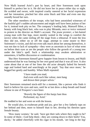Now Malli learned Ariel's part by heart, and Herr Soerensen took upon himself to perfect her in it. He did not leave her in peace either day or night. He scolded and swore, with inspired cruelty sneered at her facial expression and her intonation, pinched her slim arms black and blue and even one day soundly boxed her ears.

The other members of the troupe, who had been astonished witnesses of the bashful girl's sudden advancement and might well have been jealous of her for it, instead took pity on her. The company's leading lady, Mamzell Ihlen, a beauty with long black hair, who was to play Miranda, once or twice ventured to protest to the director on Malli's account. The *jeune premier*, a fair-haired young man with fine legs, more meekly waited in the wings to comfort the novice when she came reeling off the stage from a rehearsal. If none the less they did not, either on or off the stage, attempt to come nearer to Herr Soerensen's victim, and did not even talk much about her among themselves, it was not due to lack of sympathy—they were as uncertain in face of what went on before their eyes as are the people who follow the growth of a young tree under the fakir's spell. Such a relationship may awaken admiration or uneasiness, it baffles discussion or condemnation.

'But Herr Soerensen himself grew happier from lesson to lesson, and Malli understood that he was fuming for her own good and that it was all love. It also came about that at one of her lines the old actor abruptly halted his berserk rage and looked hard and searchingly at his pupil. 'Say that once more,' he begged her gently and humbly. When Malli repeated:

> 'I have made you mad, And even with such like valour, men hang and drown their proper selves.'

Herr Soerensen remained stock-still for a moment, like a person who finds it hard to believe his eyes and ears, until he at last drew a deep breath and found release in one of Prospero's own lines:

> 'Bravely the figure of this harpy hast thou Performed, my Ariel.'

He nodded to her and went on with the lesson.

He would also, in exuberant pride and joy, give her a few fatherly taps on her behind and then, more to himself than to her, develop his theories upon female beauty.

'How many women,' he said, 'have got their tails where they ought to be? In some of them—God help them—they are coming down to their heels! You, ducky,' he added cheerfully with his cigar in his mouth, 'are long in the leg!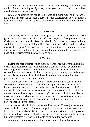Your trotters don't pull you downwards—Nay, your two legs are straight and noble columns—which proudly carry, where you walk or stand—your whole nice little person heavenwards!'

One day he clapped his hands to his head and burst out: 'And I meant to have a girl like that trip about in a pair of French silk slippers! Fool! Fool that I was, who did not know that it was a pair of seven-league boots that fitted those legs!'

#### **VI. A TEMPEST**

So day by day Malli grew more Ariel, just as, day by day, Herr Soerensen grew more Prospero, and the date of *The Tempest's* first performance in Christianssand was already fixed for March 15th, when an unexpected and fateful event overwhelmed both Herr Soerensen and Malli, and the whole theatrical company. This event was so sensational that it did not only become far and wide the one topic of conversation, but it also got into print on the first page of the *Christianssand Daily News* as follows:

# *A Heroine*

During the hard weather which in the past week has supervened along the coast, there occurred in our neighbourhood a calamity, which by all human reckonings must have led to a deplorable loss of life as well as of a good seaworthy coasting-steamer, had not at the very last moment, next to the mercy of providence, a brave girl's pluck brought about a happier solution. We present to our readers a short account of the drama.

On Wednesday, March 12th, the passenger-boat *Sofie Hosewinckel* left Arendal for Christianssand. The visibility was poor, with snow and a stiff breeze from the South-East. Late in the afternoon the wind rose to gale-force, and as all know, we experienced some of the worst weather which within the memory of man has ravaged our coast. *Sofie Hosewinckel* had aboard sixteen passengers, among whom was the well-known and respected theatre-manager Herr Valdemar Soerensen with his company, on their way to give a performance in Christianssand.

Our steamer with difficulty had worked her way to Kvaasefjord when the storm broke in all earnest. She was compelled to heave to, but was none the less driven in towards the skerries outside Randsund, without it being possible for those on board to make a landfall, owing to the snow-mist, and because the hull was ceaselessly awash from bow to stern from the heavy seas.

At 8 o'clock in the evening sunken rocks were visible on both quarters,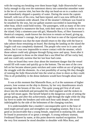with the roaring sea breaking over them house-high. *Sofie Hosewinckel* was lucky enough to slip over the outermost skerry into somewhat smoother water in the lee of a narrow islet, but here the ship ran head-on on to a sunken rock and immediately shipped a quantity of water. During the storm the captain himself, with two of his crew, had been injured, and it was now difficult for the mate to maintain order aboard. One of the steamer's lifeboats was found to be smashed by the seas, but our gallant seamen succeeded in launching the other boat, which could hold twenty. The passengers, with as many of the crew as were required to manœuvre the boat, took their seats in it in order to row to the island. Only a nineteen-year-old girl, Mamzelle Ross, of Herr Soerensen's theatrical company, made known her decision to remain on board, giving up, with noble woman's courage, her place in the boat to one of the injured sailors.

The intention was that the mate should return to the ship with the boat to take ashore those remaining on board. But during the landing on the island the fragile craft was completely shattered. The people who were in it came safe ashore, but it was now impossible to renew contact with the steamer, which those ashore could only glimpse through flying snow and spray. Soon after it became apparent to those on the island that a sea lifted her off her rocky bed, and one could only surmise that her last hour had come.

Also on board they were clear about the imminent danger that the vessel would fill with water and quickly go to the bottom. The ten men of the crew left on her became almost panic-stricken and came within an ace of giving up the struggle with the elements. As a last possibility of saving life they thought of running the *Sofie Hosewinckel* into the wind as close to shore as they could. This in all probability in the dense darkness would have brought about total loss.

It was at this moment that Mamzelle Ross, as if at the summons of higher powers, lone woman on the ship in distress, by her very dauntlessness struck courage into the breasts of the crew. This quite young girl first of all went down into the stokehold and persuaded the chief engineer and the stokers to get up full steam again. She herself helped in the dangerous work of setting the pumps going, and after this achievement, right through the night while the ship lay hove-to under the breakers and with each hour sank deeper, she stood indefatigable by the side of the helmsmen of the changing watches.

It is understandable that a maiden's unconquerable spirit in the hour of need might prevail upon and strengthen our struggling seamen. But it is as good as inconceivable that a young female, unproved in seafaring life, should be found in possession of so great a strength. A young ordinary seaman, Ferdinand Skaeret by name, at this point deserves marked recognition. From the very first moment he stood shoulder to shoulder with Miss Ross, and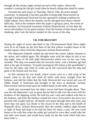through all the stormy night carried out each of her orders. Above the weather's roaring din the girl could often be heard calling him aloud by name.

Towards the early hours of Thursday, March 13th, the storm abated somewhat. At daybreak it became possible to bring *Sofie Hosewinckel* in through Christianssand Fjord and run her aground in sinking condition by Odder Island, from where the steamer can be salvaged from shore without difficulty. And at the moment when this paper is going to press, the owner of the steamer, our honoured townsman Jochum Hosewinckel, no less than the wives and mothers of our good seamen, from the bottom of their hearts will be thanking, after God, the heroic maiden for the rescue of the ship.

#### **VII. FOR BRAVERY**

During the night of storm described in the *Christianssand Daily News* lights were lit in all rooms on the first floor of the fine yellow wooden house in the market-square where lived the shipowner Jochum Hosewinckel.

The shipowner himself walked up and down the rooms, halted, listened to the storm, and walked again. His thoughts were with the ships he had at sea that night, most of all with *Sofie Hosewinckel* which was on her way from Arendal. This ship was named after his favourite sister, who a lifetime ago had died at the age of nineteen. Towards morning he fell asleep in the grandfather's chair by the table, and when he woke up he felt convinced that the ship had gone to the bottom and was lost.

At that moment his son Arndt, whose rooms were in a side wing of the house, came in, his hair and cloak all white with snow, straight from the harbour, and told his father that the *Sofie Hosewinckel* was saved and was off Odder Island. A fisherman had brought in the news at daybreak. Jochum Hosewinckel laid his head upon his folded hands on the table, and wept.

Arndt next recounted how the ship's rescue had been brought about. Then was the old shipowner's joy so great that he had to talk over the event with his brethren of the shipping world. He took his son's arm and walked with him to the harbour, and from the harbour around the town. Everywhere the news was greeted with wonder and joy, all details were gone through time after time, and more than one glass was drunk to the rescue of the ship and to the health of Mamzelle Ross. Jochum Hosewinckel after the terrible, endless night became as light of heart and head as he had not been for many a year. He sent word home to his wife that when the noble girl arrived in town they would take her into their own house, and would have ready for her the room which had once been Sofie's.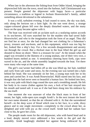When late in the afternoon the fishing-boat from Odder Island, bringing the shipwrecked folk into the town, stood into the harbour, half Christianssand was present. People greeted the shipowner with happy faces—a particular circumstance, a tradition or legend in Jochum Hosewinckel's family, added something almost devotional to the salutations.

It was a wild, turbulent evening. It had ceased to snow, the sky was dark, only along the horizon ran a faint light. As the sun went down, a strange copper-coloured gleam fell over the deeply disturbed waters, and the many faces on the quay became aglow with it.

The boat was received with an acclaim such as a seafaring nation accords to its sea-heroes. All eyes searched her for the maiden who had saved *Sofie Hosewinckel*, and who to the imagination took the form of an angel. They did not find her at once, for she had changed her wet clothing for a fisherman's jersey, trousers and sea-boots, and in this equipment, which was too big for her, looked like a ship's boy. For a few seconds disappointment and anxiety ran through the crowd. But a thickset man in the boat lifted the girl up and shouted to those on shore: 'Here is a treasure for you!' At the instant when the angel was revealed in the likeness of a young seaman, one of their very own, a hundred hearts melted as one. A tremendous cheering burst forth, caps were waved in the air, and the whole assembly laughed towards the boat. Yet there were many who wept at the same time.

The girl's sou'wester had fallen off as she was lifted up, her hair, tumbled and curly from salt water and snow, by the evening sun was turned into a halo behind her head. She was unsteady on her feet, a young man took her in his arms and carried her. It was Arndt Hosewinckel. Malli stared into his face, and thought that she had never seen so beautiful a human face. He looked into hers, it was very pale with black rings round the eyes and a trembling mouth. He felt her body in its coarse clothes against his own, a lock of her hair strayed into his mouth and tasted salt: it was as if she had been slung into his embrace by the sea itself.

One moment she was unaware of what the black mass in front of her meant, her light, wide-open eyes sought Arndt's. In the next instant she heard her own name shouted, so that the air vibrated with it. At that she surrendered herself—in the deep wave of blood which rose to her face, in a wide, dizzy glance and in one single movement—completely to the crowd about her, as delighted and wild with joy as the crowd itself. Arndt had her radiant face close to his, he gave her a kiss.

The people made room for the old shipowner, who with bared head and in a loud, deeply moved voice addressed a few words to the girl and the assembly. Arndt laughingly shielded her against being embraced by all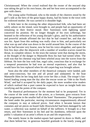Christianssand. When the crowd realised that the owner of the rescued ship was taking the girl to his own house, she and her host were accompanied to the gate with cheers.

The young sailor Ferdinand, who to the minds of the cheerers stood by the girl's side as the hero of the great happy drama, had his home in the town with his widowed mother. He was carried to it shoulder high.

A little later in the evening the other shipwrecked folk, who had been set safely ashore on the island, were brought in, and people had an opportunity of remaining in their festive mood. Herr Soerensen with lightning speed conceived his position. He no longer thought of his own sufferings, but beamed in the reflection of his young disciple's glory, and by his authoritative and powerful attitude affirmed the fact that he had created her, and that she was his. Apart from this nothing was really clear to him, and particularly not what was up and what was down in the world around him. In the course of the day he had become very hoarse, now he lost his voice altogether, and spent the first few days after the shipwreck with a number of woollen scarves round his throat, in complete silence. In the town the rumour went that during the storm, at the thought of the danger to Mamzelle Ross his hair had turned white. The truth was that his chestnut wig had been whirled away into the waves from the lifeboat. He bore the loss with fine, regal calm, conscious that in exchange for a temporal possession he had won an eternal experience, and also that he would have his loss replaced when his old carpet-bag was brought ashore.

Soon also the other members of the theatrical company were landed, pale and semi-conscious, but one and all proud and undaunted. In the boat Mamzelle Ihlen let her long dark hair cover her like a cloak. The troupe's fairhaired leading young man the day after the rescue wrote an 'Ode to the North Wind,' and had it accepted by the daily paper, the more weather-wise readers of which realised that a poet cannot be expected to have an insight both into versifying and the points of the compass.

The theatrical performances for the moment had to be postponed. Yet in the course of the week some of the actors, as a foretaste, gave extracts from their programme in the smaller hall of the hotel 'Harmonien.' The proprietor of the hotel under the particular, moving circumstances magnanimously allowed the company to stay at reduced prices. And when it became known that costumes and set pieces on board *Sofie Hosewinckel* had been damaged by salt water, a collection was started on behalf of the sufferers. It brought in a fine return, and Herr Soerensen in his bed and his dumbness, reflected upon the public's valuation of an artist's efforts in art and life respectively.

The stately house in the market-square had opened its doors to Malli, and shut them behind her, in generous heartfelt gratitude to the lonely young girl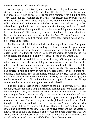who had risked her life for one of its ships.

Among a people that lives by and from the sea, reality and fantasy become strangely interwoven. During the first days after the girl's arrival the faces of her housemates when turned towards her were stamped with a kind of awe. They could not tell whether the sea, that ever-present and ever-inscrutable supreme force, had really let go its grip of her. Would not the next of the long rollers which lifted high the craft in the harbour suck her back with it, so that when they sought her in her room they would find it empty, with a dark streak of seawater and weed along the floor like the ones which ghosts from the sea leave behind them? After some days, however, the house felt surer about her. She then became a symbol to it, half of the ship *Sofie Hosewinckel* which had been in distress at sea, half of young Sofie Hosewinckel herself, who had once blossomed in its rooms.

Malli never in her life had been inside such a magnificent house. She gazed at the crystal chandeliers in the ceiling, the lace curtains, the gold-framed family portraits on the walls and the camphor-wood chests, and felt that she ought to curtsey to them all. And in this house she was made much of, she was given coffee and buns in bed, and violet-scented soap by her washbasin.

She was still shy and did not have much to say. Of her great exploit she related no more than she had to bring out as answers to the questions of the others. But she was happy—she walked, smiling, amid smiles. She felt that the house, the day after her arrival, was surprised to see that she was pretty. She had entered it pale and dirty of face and in ugly clothes, in its embrace she became, as she herself saw in the mirror, prettier day by day. Also at this fact, that it had believed her to be plain, while in reality she was a lovely girl, the old house smiled. So Malli, with the house's own approval, went a small step further and looked around among the people who lived in it.

She felt most at ease in the company of the old shipowner. It was, she thought, because for such a long time she had been longing for a father that she liked being with men, and herself felt that in glance, posture and voice she had much to give them. Towards the lady of the house she was more bashful. Mrs Hosewinckel was a stately lady in a black silk gown, with a long gold watchchain on her bosom. She had a large, delicately pink and white face, and Malli thought that she resembled Queen Thora in *Axel and Valborg*. Mrs Hosewinckel did not say much, but Queen Thora in the tragedy has but one single line, addressed to her son, 'May God forgive thee!' and yet the audience knows her to be kind and majestic, and to wish the noble characters well. Of Arndt, the son of the house, Malli only knew or thought that his face had been wondrously beautiful when he had lifted her ashore from the boat.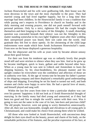## **VIII. THE HOUSE IN THE MARKET-SQUARE**

Jochum Hosewinckel and his wife were godfearing folk, their house was the most decorous in the town and the most charitable to the poor. They had married young and had lived together happily, but for a long time their marriage had been childless. In the Hosewinckel family it was a tradition that while paying one's respects to Providence in church on Sunday and in the daily morning and evening prayers, one did not push oneself forward with personal petitions. Only by a strict, righteous life had the couple brought themselves and their longing to the notice of the Almighty. A small, disturbing question was concealed beneath their silence: was not the Almighty in this matter standing somewhat in his own light? Eighteen years after their wedding their unexpressed prayer was heard, their son came into the world. And gratitude they felt free to show openly. At the christening of the child large endowments were made which bore Arndt Jochumsen Hosewinckel's name. From now on the house displayed a generous hospitality.

But the shipowner and his wife as years went by became almost uneasy about their good fortune.

For their son from his tenderest age was so radiantly lovely that people stood still and were stricken to silence when they saw him. And as he grew up he became intelligent, quick to learn, gallant and noble beyond other boys. When as a young man he was sent to Lübeck and Amsterdam to learn the shipping business, by his clear-headedness, his pleasant manner and his upright conduct he everywhere won the confidence and affection of those set in authority over him. At the age of twenty-one he became his father's partner in the shipping company and there displayed a remarkably good understanding of ships and shipping. Everything he set his hand to turned out well, and both seamen and clerks were happy to serve him. He had a special love of music, and himself played and sang well.

Within the last few years from time to time a particular shadow was cast over his parents' happiness: it did not look as if Arndt Hosewinckel thought of marrying. In the family many had died young and unmarried, as if they had been too good and fine to mingle the world's nature with their own. Was it going to turn out the same in the case of its last, late-born and precious child? The old people, however, were not going to worry themselves unnecessarily. After all, their son was honourable, straight and chivalrous to all young girls in Christianssand, and could make his choice from among them when he wished.

All those who now looked at Arndt Hosewinckel, with unconscious deep delight let their eyes dwell on the beauty, power and charm of his body, on the remarkable perfection of his features, and the peculiar expression of his face, at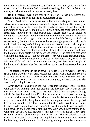the same time frank and thoughtful, and reflected that this young man from Christianssand in his cradle had received everything that a human being can desire, and almost more than anyone can easily bear.

He had received even more than they knew of. He had a receptive and reflective nature and he had made his experiences in life.

When Arndt was fifteen years old a fisherman's daughter from Vatne, whose name was Guro, had come as maid to his parents' home. She was a year older than the son of the house, but the handsome boy, with wealth and the admiration of people surrounding his head like a halo, had awakened a mighty, irresistible emotion in the half-savage girl's breast. She was incapable of hiding her passion from him, they were lovers before they knew of it. He was so young that he felt no guilt. He had never in his life feared, nor had had reason to fear, that the things he wanted by nature might possibly conflict with noble conduct or ways of thinking. An unknown sweetness and desire, a game which was all the more delightful because it was secret, had grown up between him and Guro. They smiled at one another, they wished one another well from the bottom of their hearts. Of his father and mother—if at that time they ever came into his mind at all—the boy thought: 'They would not understand this.' They were so much older than he, as long as he had known them, while he had felt himself full of spirit and determination they had been staid people. It hardly entered his head that they themselves might once have known the same game.

The secret love-affair in the shipowner's house lasted six weeks. Then one spring-night Guro threw her arms around her young lover's neck and cried out in a storm of tears: 'I am a lost creature because I have met you and have looked at you, Arndt!' On the morrow she was gone, and two days later she was found floating in the fjord.

Arndt saw Guro again when she was carried into the house, white, ice-cold, with salt water running from her clothing and her hair. The reason for her desperate act was soon known: Guro was with child. Three days passed during which the boy believed himself to be the one who had caused the young woman's misfortune and death. But after that time her father and mother came to the town to fetch her body home, and the house got to know that things had been wrong with the girl before she entered it. She had a sweetheart in Vatne, he had deserted her, but had since thought better of it and had twice looked her up in town, asking her to marry him. But now Guro would have nothing to do with him. The master and mistress of the house were dismayed at the dark, sorrowful tale that had come to pass under their roof. They were loath to speak of it in their young son's hearing, but they felt it to be unavoidable, or even to be their duty, to tell him the truth quite briefly, adding a few solemn words on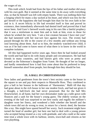the wages of sin.

This truth which Arndt had from the lips of his father and mother did away with his own guilt. But it seemed at the same time to do away with everything else, so that he himself was left with empty hands. There was nothing there but a longing which for many a day sucked at his heart, and which was less for the girl herself or the happiness she had brought him than for his own faith in her and in it. A secret felicity in life had revealed itself to him and proved its existence, then immediately afterwards had denied itself and proved that it had never been. And Guro's farewell words rang in his ears like a fateful prophecy that it was a misfortune to meet him and to look at him, even to those for whom he wished the very best. 'I am a lost creature because I have met you!' she had lamented with her tear-wet face against his own. The events had passed through his life in the course of a few months and without any living soul knowing about them. And so to him, the tenderly watched-over child, it was as if he had come to know most of what there is to know in the world in complete isolation.

All this had happened twelve years ago. Since then he had looked around the world and had had to do with many people and circumstances. He had had friends in many countries, and had known girls who were as pretty and devoted as the fisherman's daughter from Vatne. He thought of her no longer, and hardly remembered how it had first come about that he preferred to keep himself somewhat aloof from people, lest through him they should be lost.

#### **IX. A BALL IN CHRISTIANSSAND**

Now ladies and gentlemen from the town's best society came to the house in the square to see and pay their respects to Mamzelle Ross. They combined to give a ball in her honour in the ballroom of 'Harmonien.' Malli till that day had gone about in the rich house in her one modest frock, and had not given it a thought, a ball-frock she had never possessed. But for the ball Mrs Hosewinckel, in all haste, had her own dressmaker make up a tulle gown with flounces and a sash for the house's young guest. The elderly woman on the evening of the ball was surprised to see how easily and regally the milliner's daughter wore her finery, and wondered a little whether she herself and the whole town did not do wrong to treat, in return for a heroic deed, the heroine like a toy. She might have spared herself her worry. Such treatment might have turned the head of another girl, but here one had to deal with a young person who accepted being treated as a toy with gratitude, and who could at the same time treat a whole town with its harbour, streets, town-hall and citizens as her own plaything.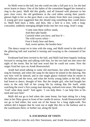So Malli went to the ball, but she could not take a full part in it, for she had never learnt to dance. One of the ladies of the committee begged her instead to sing to the party. Malli did this gladly, and all listened with pleasure to her pure clear voice, the old gentlemen at the card tables raising their punchglasses high to her as she gave them a sea shanty from their own young days. A young girl next suggested that she should sing something they could dance to. Malli held back a little, and then, like a bird in a tree, with a longconcealed, suddenly emerging delight broke into her own song, Ariel's song:

> 'Come unto these yellow sands, And then take hands: Curtsied when you have, and kiss'd— The wild waves whist— Foot it featly here and there, And, sweet sprites, the burden bear.'

The dance swept on in time with the song, and Malli stood in the midst of the glittering hall and watched it turning and swaying to the command of her beat.

Ferdinand had been invited to the ball, and Malli had been happily looking forward to seeing him and talking with him, for the two had not met since the night of the storm. But he had sent word that he could not come. Now the singer fixed her eyes on Arndt Hosewinckel.

Arndt had stood talking to some old merchants, but when Malli began to sing he listened, and when she sang for the dance he joined in the dancing. She saw how well he danced, and in one single glance realised what he meant in the ballroom and the town, and what the lovely young ladies at the ball, who had learnt to dance, thought of him. But the simple girl, who had bought her entry to the only ball of her young life by risking that life itself, while watching the town's first young man dancing, realised even more. She thought: 'God! what deep need!' And again: 'I can help there. I can help him in his need and save him!'

Malli did not go to bed when she came home, but kept sitting for a long time in her filmy gown in front of her candle-lit mirror. Arndt Hosewinckel did not go to bed either, but went out of the house for a long night-walk. Not seldom did it happen that he went out at night like this to the harbour and to the warehouses there, or further out, along the fjord.

# **X. EXCHANGE OF VISITS**

Malli wished to visit the sick Herr Soerensen, and Arndt Hosewinckel walked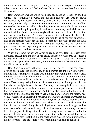with her to show her the way to the hotel, and to pay his respects to the man who together with the girl had endured distress at sea on board the *Sofie Hosewinckel*.

Herr Soerensen was out of bed in an easy-chair, but he was still as good as dumb. The relationship between the old man and the girl was so much conditioned by the boards that Malli, once she had adjusted herself to the situation, immediately turned the whole meeting into pantomime, just as if her old teacher, because he had lost his voice, must of necessity also have become deaf. Master and pupil lighted up in each other's company, and Malli at once understood that Arndt's beauty strongly affected and moved the old director, and that he was thinking: 'Ay, if one had only got a first lover like that!' She did not know that he was at the same time wondering at her own appearance and asking himself: 'How can this girl's bosom have grown so rounded in such a short time?' All her movements were thus rounded and soft while, in pantomime, she was explaining to him with how much friendliness she had met since the two had been together.

When time came for her and Arndt to say good-bye, Herr Soerensen took her hand, pressed it to the best of his ability and feebly whispered or wheezed to her: 'Why, that's my dainty Ariel! I shall miss thee!' At that Malli found her voice. 'And I you!' she cried aloud, without remembering that there had been no talk of parting at all.

Herr Soerensen was left alone, and for several days remained deeply gripped and moved. He understood, or by glimpses caught, his young pupil's attitude, and was impressed. Here was a mighty undertaking: the whole world, the everyday common life, lifted on to the stage and being made one with it. Thy will be done, William Shakespeare, as on the stage so also in the drawingroom! Here in very reality his Ariel did spread out a pair of wings and did rise into the air straight before his eyes. Suddenly and strangely it was brought back to him how once, in the exuberance of heart of a young actor, he himself had dreamed of such an apotheosis. And it now also happened to him, for the first two or three nights after Malli's visit, in regular dreams in the narrow bed of his lodging, to find himself a partner in her venture, one time as Prospero on a father-in-law visit to the young King and Queen of Naples, another time as the fool in the Hosewinckel house. But when again awake he dismissed the idea. In the course of a long life he had gained experience and insight, and to any person of experience and insight, indeed to anyone but a young actress in love, the project of lifting daily life on to the stage was paradoxical, and in its essence blasphemous. For it was more likely that daily life would drag down the stage to its own level than that the stage would succeed in maintaining it so highly elevated—and the whole world-order might well end up pell-mell.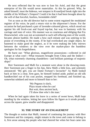He next reflected that he was now to lose his Ariel, and that the great enterprise of his life would never materialise. At this he grieved. Why, he asked himself, must the hideous, wet tempest in Kvasefjord break right into the middle of his William's *Tempest*? Could it be that it had been brought about by the will of that forceful, fearless, formidable child?

Yet as soon as the old director had to some extent regained the modulated register of his voice, he paid a return visit to the shipowner's house. For the occasion he had purchased a pair of lavender-coloured gloves, which stood out against his old frock-coat and frayed top-hat, but was in harmony with his carriage and tone of voice. His manner was so courteous and obliging that Fru Hosewinckel, who was not accustomed to such self-effacing men of the world, became almost bashful. He made a bow each minute and was untiring in his praise of everything in the rooms. If he had overlooked any single object, he hastened to make good the neglect, as if he were making the lofty mirrors between the windows or the view over the market-place the humblest apologies for his forgetfulness.

He burst out: 'What glorious, magnificent possessions—collected in old Europe at what cost!—What treasures brought from China and the Indies!— Oh, what extremely charming chandeliers—and brilliant paintings of majestic ships!'

Herr Soerensen and Malli for a moment were alone in the drawing-room. Herr Soerensen put a finger to his lips, blew Malli a little kiss, and solemnly announced: 'My girl, you are Dame Fortune's favourite!' As Malli looked back at him in a clear, firm gaze, he himself looked aside, pulled an old silk handkerchief out of his coat pocket, mopped his forehead, and finished up, somewhat subdued and more to himself than to her:

> 'My Pegasus is slack, Plays truant when he can! But wait, thou ancient hack, I'll show thee who's the man.'

When he had again taken his leave in a series of sweet bows, Malli kept standing by the window, letting her eyes follow his figure as it strode proudly across the square, grew smaller and disappeared.

# **XI. THE STORY OF AN ENGAGEMENT**

The thought or notion that Malli, instead of continuing the journey with Herr Soerensen and his company, might remain in the town and come to belong to it, first arose among the people who had cheered her when her boat came into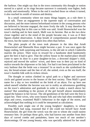the harbour. One might say that in the town community this thought or notion moved in a spiral: as its rings became narrower it constantly rose higher, both socially and emotionally. When in the end it reached those on whom it turned, it also reached its zenith of tension and destiny.

In a small community where not many things happen, as a rule there is much talk. There an engagement is the supreme topic of conversation and discussion, and the more interest beforehand existent in the young persons who are believed to become engaged, the more lively the talk. It may therefore be worth recording that in this case so little was said. Arndt Hosewinckel was the town's darling and its best match, Malli was its heroine. But as the two drew closer together and to the mind of the people became one, it was as if their figures eluded observation. A deep breath of comprehension passed through the town, but the names were spoken less often than before.

The plain people of the town took pleasure in the idea that Arndt Hosewinckel and Mamzelle Ross might become a pair. It was once again the happy ending, both surprising and foreseen, to the old tale in which Cinderella marries the prince. Their town in reward for a handsome deed handsomely gave the best it had to give. That the yellow house in the market-place should come to open its door to a poor daughter-in-law, a drowned skipper's child, rejoiced and moved the sailors' wives, and there was in their joy no kind of malice towards the shipowner or his lady. For had it not been proclaimed in the very harbour that the bride was a treasure? In as much as she symbolised the sea, the bread-winner and the fate of all, she united, even as the sea itself, the town's humble folk with its richest citizen.

The thought or notion climbed its spiral path to a higher and narrower circle and gained access to the houses of the best society. Then Malli's good name for a day or two trembled on the brink of an abyss. For up here one asked oneself whether the heroine was not in reality an adventuress gambling on the town's admiration and gratitude in order to make a match above her station? But something in the picture of the girl herself almost immediately tipped the balance in her favour. The old gentlemen of the ball were the first to acquit her. Their wives, who were honest folk and who had often trembled for ships and crews, examined Malli's behaviour in the night of the storm, and acknowledged that nothing in it could be interpreted as calculation.

Possibly each single one of the young burghers' daughters, to whose dancing Malli had sung, reasoned that if she could not herself have Arndt Hosewinckel, the girl from the wreck was the one to whom she could easiest renounce him. Or perhaps those girls, who had known one another from their days of curved combs and pantalettes, knew too much of one another's shortcomings. Of one young beauty, who was specially admired for her small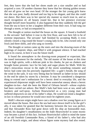feet, they knew that she had her shoes made yet a size smaller and so had acquired a corn. Of another charmer they knew that her shining golden tresses did not all grow on her own head. Of the stranger the fair young girls knew that she was poor, badly dressed and too big to be elegant, and that she could not dance. But there was in her special shy manner so much trust in, and so much recognition of, all beauty round her, that in her presence everyone thought herself more beautiful. It also happened that they suddenly felt the girl from the sea to have in her a laughter different from their own. It had rung out through a storm, or had accompanied it.

The thought or notion reached the house on the square. It found a foothold in the servants' hall before it rose to the first floor, and was here felt to be of extreme importance. The servants' hall finished by accepting Malli, it even silently closed a ring round the house's young lady-to-be, who owned only one frock and three shifts, and who sang so sweetly.

The thought or notion came up the stairs and into the drawing-room of the paintings of majestic ships, and filled it with pregnant silence. It had reached high in its course, in here it was the future itself.

It found the atmosphere in the drawing-room prepared or expectant, like the tuned instrument for the melody. The old master of the house at this time was in high spirits, with a delicate pink in his cheeks, he put on chokers and brought home presents: lace for his lady and sugar plums for Malli. With his ship's miraculous rescue in the night of the storm something romantic and heroic had come into his precisely regulated life—a gale's breath, the song of the wind in the sails. It was very fitting that he himself as father-in-law should in the end be taken by storm by a heroine. It may be considered a dangerous thing to extend one's enthusiasm for a heroic deed to everyday life, and the experienced shipowner might well have been somewhat uneasy about a heroic daughter-in-law—had she been the Maid of Orleans herself—whose exploits had been carried out ashore. But Malli's halo had been won at sea, amid salt breakers and surf-spray. Jochum Hosewinckel as a very young man had suffered shipwreck on one of his father's ships. He would not mind a daughterin-law in whose presence he would once more be eighteen years.

Malli's obscure origin might have cast a shadow over her young figure as it moved about the house. But since the sea had once shown itself to be the girl's ally, it was taken for granted that the harmony between the two was perfect, and that Alexander Ross had gone down with his ship an honourable man. Indeed, his daughter's steadfastness on the *Sofie Hosewinckel* in some mystic way became a proof of this fact. Jochum Hosewinckel called to mind the name of an old Swedish Commander Ross, a friend of his father's, who had also been of Scotch origin, and about whose figure some mystery had also rested.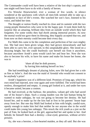The Commander could well have been a relative of the lost ship's captain, and one might well here have to do with a family of heroes.

Fru Wencke Hosewinckel, ever a woman of few words, in silence wondered at the quickness with which all men-folk seemed able to take up a standpoint in face of life's events. She watched her son's face, listened to his voice, and bided her time.

The thought or notion finally reached its close and its summit with the two young people themselves who were to be the happy pair. It took them both by surprise like an amazing, brilliant idea from an outside world which they had forgotten. For some weeks they had dwelt among immortal powers. As now the mortal world too gave them its blessing, they happily accepted that too, and from now on their eternity could become their every day.

For Malli this came to be the completion and perfection of her own mighty rise. She had once been given wings, they had grown miraculously and had been able to carry her, ever upward, to this unspeakable glory. She stood on a dizzying height, but she could fearlessly cast herself out from it anywhere, because anywhere Arndt's arms would catch her and bear her. Now she was also to become his wife, to have his name and make his house her home, she was to

> 'share all that he doth possess, by having him making herself no less.'

She had tremblingly dreamt of playing Juliet, now life had given her a role as fine as Juliet's. And she was the maid of Arendal who would not consent to be anybody's prize!

Arndt's happiness was of a different kind. Promises of long ago, which his own mind had rejected, now rose again and were fulfilled. The world had been restless, disorganised and empty. A young girl looked at it, and under her eyes it became united, became a cosmos.

He had received, at the harbour, the penniless, valiant girl who had saved one of his house's ships. Such a young maiden was the last human being he wanted to make unhappy, he was not going to become her destiny. He had kissed her, and to make up for the kiss had at first in his parents' house kept away from her. But one day Malli had looked at him with bright, candid eyes, openly enough to make him feel that neither he nor anyone else in the world could make this young lass unhappy. This struck the rich youth as a jest on the part of Fate, he looked back at the girl, approached her and spoke to her. And behold, he himself then had a destiny—clear-eyed, generous, without *arrière pensées*.

Ay, she was a heroine, a lion-hearted maiden, as they all said. But she was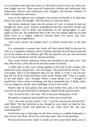so in a manner other than they knew of. She had no need to fear, for where she was, danger was not. There were still shipwrecks, distress and misfortune. But shipwrecks, distress and misfortune were changed, and became evidence of God's omnipotence and mercy.

Later in the night he saw, strangely, the picture of himself as he had been before she came. He thought: 'She has power to wake the dead.'

Just before daybreak came also the picture of Guro, of whom he had not thought for many years. And he remembered that they had been friends and happy together, rich in desire and tenderness in the spring-nights, in such nights as this one. He understood that in the very last spring night the sea had taken Guro in a mighty embrace wherein there was power and love, forgiveness and forgetfulness.

'And sweet sprites, the burden bear!' it echoed around him in the dim house.

It is reasonable to assume that Arndt will have asked Malli to become his wife in a completely ordinary suitor's fashion, and that she will have answered yes in the manner of an ordinary girl. But the question was put and answered as if it was to decide his and her eternal salvation.

They stood closely embraced, borne and elevated on the same wave. But they did not kiss, a kiss did not fit into this instant of eternity.

A while later as they were sitting together on the sofa by the window, she asked him lowly and gravely: 'Are you happy?' He answered her slowly: 'Yes, I am happy. But it is not happiness that you are, Malli. It is life. I was not sure that life was to be found anywhere in the world. People said: "That is a matter of life and death," and I thought "What a small matter it is." I thought of myself that I knew about everything, and that I portended ruin. O Malli, today I am an enigma to myself, and a harbinger of joy to the world.'

Shortly after he had spoken she sank down before him, and as he would raise her up she prevented him by laying her clasped hands upon his knee.

'Nay, let me lie here,' she said. 'This is the most fitting place of all.'

Her gentle, enraptured and humble face shone up towards him.

'Yes,' she went on very slowly. 'Yes. "I am the resurrection and the life," saith Malli. "He that believeth in me, though he were dead, yet shall he live. And whosoever liveth and believeth in me, shall never die, but have everlasting life." '

Arndt had to go to Stavanger for the firm, owing to a sudden bankruptcy a ship was for sale there. He set out a few days later, early in the morning.

He had not known how much it would cost him to part from Malli, now at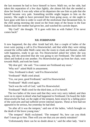the last moment he had to force himself to leave. Malli too, on her side, had taken this separation of a few days lightly, she almost felt that she needed to draw her breath. It was only when at his departure she saw him so pale that she herself became very pale. Something terrible might happen to him on the journey. She ought to have prevented him from going away, or she ought to have gone with him in order to ward off the misfortune that threatened him. In the chill spring morning she stood on the front steps of the house in the East Indian shawl her mother had given her, and watched his carriole depart.

'My God!' she thought. 'If it goes with him as with Father! If he never comes back!'

## **XII. FERDINAND**

It now happened, the day after Arndt had left, that a couple of ladies of the town were paying a call to Fru Hosewinckel, and that while they were sitting around the coffee-table Malli came into the room in cloak and bonnet, radiant with happiness, ready to go out. Fru Hosewinckel asked her where she was going, and she answered that she was going to see Ferdinand. The ladies fell silent and looked at one another. Fru Hosewinckel got up from her chair, went towards Malli, and took her hand.

'My dear girl,' she said. 'You cannot see Ferdinand any more.'

'Why not?' asked Malli in amazement.

'Alas, Ferdinand is dead,' said Fru Hosewinckel.

'Ferdinand!' Malli cried aloud.

'Yes, our poor, good Ferdinand,' said Fru Hosewinckel.

'Ferdinand!' Malli cried again.

'Such was the will of God,' said Fru Hosewinckel.

'Ferdinand!' Malli cried for the third time, as if to herself.

The two ladies of the town said that they were very sorry indeed, and then went on to report in detail what had happened to Ferdinand. On board the *Sofie Hosewinckel* he had, on the night of the tempest, been struck by a falling piece of the yard-arm and had suffered severe internal injuries. These at first had not appeared to be serious, but yesterday he had died.

'So after all it was the tempest,' said one of the ladies, 'which brought on the death of the brave young man.'

'The tempest!' Malli exclaimed. 'The tempest! No, how can you think that? I must go to him. Then will you see that you are utterly mistaken!'

'Unfortunately there can be no doubt about it,' said the other lady. 'And it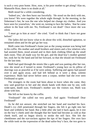is such a very poor home. How, now, is his poor mother to get along? Alas no, Mamzelle Ross, there is no doubt at all.'

Malli stood for a while considering.

'Indeed yes,' she then burst out forcefully. 'He stood on the deck with me, you know! We were together the whole night through. In the morning, in the fisherman's hut, he was the one who helped me change my clothes. And you have seen for yourselves,' she went on, turning to face the ladies, 'that he came ashore in the boat with me. No, Ferdinand is not dead!' Once more she was silent.

'I must go to him at once!' she cried. 'God! to think that I have not gone before!'

The ladies did not know what to do about this wild, disturbed agitation, so remained silent and let the girl go her way.

Malli came into Ferdinand's home just as the young seaman was being laid in his coffin. His mother and small brothers and sisters and a few relatives who had assisted them, stood around and in their dark clothing filled up the small dark room. They all made way for the girl, and the dead boy's mother greeted her, took her by the hand and led her forward, so that she should see Ferdinand for the last time.

Malli had sped through the streets like a gale and was panting after her run, now she stood as if turned to stone. Ferdinand's young face on its pillow of shavings was as peaceful as if he were asleep. Suffering and agony had passed over it and again away, and had left behind as it were a deep, solemn experience. Malli had never before seen a corpse, neither had she ever seen Ferdinand so quiet.

The strangers in the room had been about to leave when she came, they now said good-bye to her and she shook hands with them one by one, with wide-open, dumb eyes. Ferdinand's mother saw the visitors out, Malli was alone with him.

She fell on her knees by the coffin.

'Ferdinand!' she called out very gently. And again: 'Ferdinand! Dear Ferdinand!'

As he did not answer, she stretched out her hand and touched his face. Death's icy chill penetrated through her fingers, she felt it go right into her heart and withdrew her hand. But a little after she laid it back again, let it rest on the boy's cheek until she thought that her hand had become as cold as that cheek itself, and so began slowly to stroke the still face. She felt the cheekbones and the eye-sockets against the tips of her fingers. Her own face the while took on the expression of the dead sailor-boy's face, the two grew to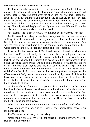resemble one another like brother and sister.

Ferdinand's mother came into the room again and made Malli sit down on a chair. She began to tell about Ferdinand and about what a good son he had always been to her. She went over his short life, relating small traits and incidents from his childhood and boyhood, and as she did so the tears, ran down her cheeks. But when she began to tell of how Ferdinand had ever laid aside almost all his pay to give to his mother when he came home, she ceased to cry. She only sighed deeply and heavily over how hard life would now be for his small brothers and sisters, and for herself.

'Ferdinand,' she said sorrowfully, 'would have been so grieved to see it.'

Malli listened, and deep in her heart recognised this subdued woman's wailing. It was her own mother's anxiety about bread for herself and her child. She looked about her and now also recognised the needy, narrow room. This was the room of her own home, here she had grown up. The old familiar bare world came back to her, so strangely gentle, and so inescapable.

It was as if a hand—and was it Ferdinand's own cold hand, on which hers had just rested?—seized her by the throat, and she grew giddy and sank, or everything round her sank. The elder woman looked at her, and with the quiet tact of the poor changed the subject. She began to tell of Ferdinand's pride at being the young lady's friend. She had from Ferdinand's own lips heard more of the shipwreck than anyone else, and had followed Malli's steps from the deck to the engine-room, and from the engine-room to the helm. By her son's sick-bed she had had to read aloud to him so many times the report of the *Christianssand Daily News* that she now knew it all by heart. A little smile broke out on her careworn face as she explained how, to please him, she herself had had to repeat the young lady's cry through the din and roaring of the tempest: 'Ferdinand!'

At that Malli rose from her chair, pale as death. She looked at the simple bench and table, at the one poor flower-pot in the window and at the woman's threadbare clothes. Lastly she turned towards the silent face in the coffin. But now she dared not go near it. She merely for an instant wrung her hands in its direction in a movement that was like a shriek. Then she gave Ferdinand's mother her hand and went away.

When she came home, she sought out Fru Hosewinckel and said to her:

'Ay, Ferdinand is dead. And it is such a poor home. How, now, is his mother to get along?'

Fru Hosewinckel felt sorry for the pale girl.

'Dear Malli,' she said. 'We will not forget Ferdinand's loyalty. We will stand by this poor mother.'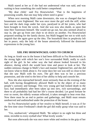Malli stared at her as if she had not understood what was said, and was waiting to hear something she could better comprehend.

'My dear child,' said Fru Hosewinckel. 'That is the happiness of possessing wealth, that one may help where need is great.'

When next morning Malli came downstairs, she was so changed that her housemates were frightened. She was once more the girl with the stiff, white face and the dark rings under her eyes, paralysed in all her joints, who had been brought in from the wreck. And she was now also dumb, as upon that time Herr Soerensen himself. She would not go out, but also seemed afraid to stay in, she got up from one chair to sit down on another. Fru Hosewinckel proposed sending for the family doctor, but Malli begged her not to with such anguish that she again gave up the idea. The household then in perplexity left her in peace, only the lady of the house attentively followed the distressed expressions in the young face.

## **XIII. FRU HOSEWINCKEL GOES TO CHURCH**

As long as Arndt was in the house it had been difficult to Fru Hosewinckel, in the strong light with which her son's love surrounded Malli, really to catch sight of the girl. In her sober way she had almost looked forward to his absence, during which she would have time and peace to look at her. The sudden ominous change in Malli's face and manner frightened her, and she did not know what to think about it. For some days her son was still so close to her that she saw Malli with his eyes. The girl then was to her a precious possession, and she tried to the best of her ability to help and console her.

Now she also reproached herself, more seriously than on the evening of the ball, with having thoughtlessly allowed Malli to be the object of so many people's curiosity and homage. This very young girl had looked death in the face, had immediately after been taken up into new, rich surroundings, and there to all probability had had her life's course decided. Let good fortune be ever so sweet, the elderly woman reflected, it takes strength to bear even that. Now there must be an end to parties and gatherings, and Malli must remain unobserved and undisturbed under the protection of the house.

As Fru Hosewinckel spoke of her resolve to Malli herself, it was as if for the first time since Ferdinand's death the girl did really grasp what was said to her.

'Yes, unobserved,' whispered Malli. 'Be subject to no sight but thine and mine, invisible to every eyeball else! What lovely words.'

But soon afterwards she was once more white and restless in the grip of her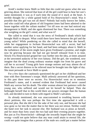grief.

Arndt's mother knew Malli so little that she could not guess what she was grieving about. She noticed that least of all the girl could bear to hear her son's name mentioned, it was as if each time the sound of it stuck at the heart. A terrible thought for a while gained hold of Fru Hosewinckel's mind. Was it possible that this girl was not all there? Nobody had really known her father, and who could tell what ghosts of old forgotten times had been admired to the house together with the valiant maiden? Yet till now no one had noticed any derangement in Malli, and she again dismissed her fear. There was something else weighing on the girl's mind, and what was it?

She called to mind that it was the news of Ferdinand's death which had brought Malli to despair. What could there have been between the girl and the young sailor? While pondering on this she called to mind that she herself, while her engagement to Jochum Hosewinckel was still a secret, had had another suitor applying for her hand, and had been unhappy about it. Malli in the turbulence of the storm might have given Ferdinand a promise, and might now be grieving because she had not got herself released from it in time. Slowly Fru Hosewinckel groped her way further into the idea, at times amazed at the unwonted audacity of her own fantasy. Did the girl, she wondered, now imagine that the dead young ordinary seaman might rise from his grave and call her to account? Young girls have strange notions and may almost die of them. But a secret distress to be relieved must be brought into the light of day. She must persuade or force Malli to speak.

For a few days she cautiously questioned the girl on her childhood and her time with Herr Soerensen's troupe. Malli artlessly answered all her questions, in this past there were no secrets. Fru Hosewinckel went on to mention Ferdinand's name, and it seemed evident that Ferdinand had never caused Malli any sorrow but his death. The elder woman almost lost patience with the young one, who suffered and would not let herself be helped. Then she bethought herself that in this world there are powers stronger than the human will, and decided to turn to them with regard to Malli's salvation.

As already mentioned, she was unaccustomed to troubling heaven with direct petitions, this was perhaps the first time she approached it with a personal plea. But she did it for the sake of her only son, and because she had now gone so far into the matter that to her there was not retreat. Neither could she hand over her task to anyone else. Her husband was as pious as herself, and for more than forty years the two had said their evening prayers together. But just as Fru Hosewinckel—although she inwardly hoped that she might be wrong—could not quite believe that any man could attain to eternal life, she could not quite imagine that a person of the male sex could put a matter before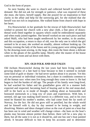God in the form of prayer.

So next Sunday she went to church and collected herself to submit her demand. She did not ask for strength or patience, what was required of these she must, she knew, herself supply. But she prayed for an inspiration to find clarity in the affair and help for the sorrowing girl, for she realised that she herself was not rich in inspiration. She walked home from church with hope in her heart.

Fru Hosewinckel, in her gratitude for the rescue of *Sofie Hosewinckel*, had wished to present her church with a new altar cloth, a fine piece of drawnthread work fitted together in squares which could be embroidered separately and when ready joined together. She herself worked on one such piece and had asked Malli, who had been taught needlework by her mother, to do another, and this occupation, a return to days of old, was the only one in which the girl seemed to be at ease; she worked on steadily, almost without looking up. On Sunday evening the lady of the house and its young guest were sitting together by the drawing-room sewing, in the large, dim room the linen shone a delicate white in the gleam of the paraffin lamp. Shortly after the master of the house came into the room and sat down with them.

## **XIV. OLD FOLK AND OLD TALES**

Old Jochum Hosewinckel during the last years had been living under the growing shadow of a fate hard to bear because to him it seemed to include some kind of guilt or shame—he had never spoken about it to anyone. Yet this was no personal or individual visitation, but a share in conditions common to all the human race: when men live long enough they come to know it. He had begun to feel the burden of old age. The people of his family were long-lived, he had watched his father and his grandfather grow old in a manner both expected and respected, becoming hard of hearing and in the end stone-deaf, stiff in the back as in mode of thought, walking about as honourable and honoured memorials to a long row of years and experiences. With him, it seemed, old age was making itself known in a different way, and in his own mind he blamed his mother's mother, who had come from the far north of Norway, for the fact. He did not grow stiff or petrified, but the whole world and he himself with it, day by day seemed to be losing in weight, and dissolving. Matters and ideas changed colour as the coat of paint on a boat that has been out in wind and weather will change colour—the hues on the boat's planks may become almost prettier than before, there will be a new play in them, but all the same it is not as it should be, and one has one's boat painted afresh. It became difficult to him to keep his accounts and to determine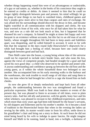whether things happening round him were of an advantageous or undesirable, of a gay or sad nature, ay, whether in the books of his conscience they ought to be entered as credits or debits. At times it seemed to him that he could no longer rightly distinguish between past and present, his mind willingly let go its grasp of near things to run back to vanished times, childhood games and boy's pranks grew more alive to him than cargoes and rates of exchange. He was afraid lest his surroundings should discover the decay in him, and became highly watchful in all communication with his skippers and clerks. He was least worried in front of his wife, who once for all had taken him for what he was, and now as a rule did not look much at him, but it happened that he shunned his son's company. In himself he might at times feel happy and even buoyant in an existence without accounts, but this fact to an old man of an old family, whose struggle throughout life had been to keep assets and liabilities apart, was disquieting, and he called himself to account. It went so far with him that the suspense in the days round *Sofie Hosewinckel's* shipwreck for a while had brought him a feeling of relief, because here one could clearly distinguish between good and bad luck.

Then Malli came into the house, a young being whose idea of the universe could not be expected to include strict border lines, and who none the less, against the views of competent people, had headed straight for a goal and had saved his own good ship—a child who deserved to be spoiled and jested with. A joyous understanding and confidence sprang up between the old host and the young guest, as if within the whole household those two belonged to one another. She accompanied him on his early morning walks to the harbour and the warehouses, she took trouble to recall songs of old days and sang them to him, one time when he had brought her a bird in a cage she kissed him on both cheeks.

As now she grew ill or deeply melancholy and kept back from all other people, the understanding between the two was strengthened and found a particular expression. Malli was loath to hear about matters or events of the present day, but was pleased to listen to accounts of old times, even to plain nursery tales. And her old ally and protector, with his gentle, bony face and his white whiskers, was pleased to recount to her childhood-experiences, and tales which more than sixty years ago had been told himself by the house's servants, by old skippers and fishermen and by his mother's mother. So it became a kind of tradition in the Hosewinckel house that when in the evening the ladies sat sewing by the table, its master would come in from his office, settle down in his grandfather's chair and bring out a story to them. At such hours he did not mind being heard by his wife to indulge in queer fancies. He might imagine himself and Malli to be running, hand in hand, into a twilight, a darkness of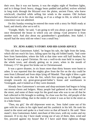their own. But it was not barren, it was the mighty night of Northern lights, and in it things lived: heavy, shaggy bears padded and puffed, wolves whirled in long trails through the blizzard over the plains, ancient Finns, who knew witchcraft, chuckled while selling fair winds to the seamen. Old Jochum Hosewinckel sat in his chair smiling, as if on a refuge in life, to which a bad conscience was not admitted.

On this Sunday evening he entered the room with a story for Malli ready at hand, and shortly after set to tell it.

'Tonight, Malli,' he said, 'I am going to tell you about a grave danger that once threatened the house in which you are sitting—God preserve it from another such. And also about my grandmother's grandfather, Jens Aabel. I myself had the story told me when I was a small boy.'

## **XV. JENS AABEL'S STORY AND HIS GOOD ADVICE**

'This old Jens Guttormsen Aabel,' he began his tale, the light from the lamp, which did not reach his face, falling upon his big old folded hands, 'had come here from Saeterdalen, where the folk at that time were still half heathen, but he himself was a good Christian. He was a well-to-do man held in respect by the whole town, and already getting on in years, when in the month of February 1717 the great fire broke out in Christianssand.

It was a grave disaster, in six hours more than thirty houses were burnt to ashes. It was reported that the mighty glow from the fire on the sky could be seen from Lillesand and from ships lying off Mandal. That night it blew a gale from the north-west, so that the fire, which first sprang up in Lillegade, ran straight towards my great-great-grand-father's house and warehouses in Vestergade, and it looked as if they were doomed.

Already Jens Guttormsen's servants and shop-assistants had begun to bring out money-chests and ledgers. Many people had gathered at the other end of the street, and some of them wept for the good man who was to see all that he had collected in life brought to nothing. So close was the fire, old people of the town have been telling, that in the midst of winter it was as hot in the street as in a bake-house.

'Then, my girl,' the old shipowner went on, 'Jens Aabel came out of his gate with his scales in his right hand and his yardstick in his left. He took his stand in the street and spoke in a loud voice so that all heard it. He said: 'Here stand I, Jens Guttormsen Aabel, merchant of this town, with my scales and my measure. If in my day I have made wrong use of any of them, then, wind and fire, proceed against my house! But if I have used these righteous things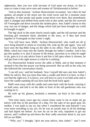righteously, then you two wild servants of God spare my house, so that in years to come it may serve men and women of Christianssand as before.'

'And at that moment,' Jochum Hosewinckel recounted, 'just when he had spoken, all people in the street saw the wind waver and for a moment cease altogether, so that smoke and sparks swept down over them. But immediately after it changed and shifted from north-west to due north, and the fire swerved off Vestergade and down towards the market-place. Jens Aabel's house in this way was out of danger, and the things which had just been brought out could be brought in again.'

The big clock in the room slowly struck eight, and the old narrator and the listening girl remained silent, absorbed in the story, as if they had stood together in Vestergade on that winter's night.

'You will have seen, Malli,' Jochum Hosewinckel, who could not all at once bring himself to return to everyday life, took up the tale again, 'you will have seen the big Bible lying on the table in my office. That is Jens Aabel's Bible, which has come into the family through my father's mother. And it has got this quality to it, that if anyone in the house, uncertain as to what he ought to do, goes to it to ask advice from it and lets it fall open where it chooses, he will get from it the right answer to what he is seeking.'

Fru Hosewinckel looked across the table at Malli, and at that moment it seemed to her that her prayer was being answered. She sat still on her sofa, but she followed the conversation closely.

'I can tell you,' said her husband, 'how I myself did once ask Jens Aabel's Bible for advice. But you must then take a candle and fetch it in here, so that I can find the right text. It is heavy, you will have to carry it on both arms and to leave the candle standing till you have laid the book back again.'

Malli went away with the candle and came back with the book, carrying it on both arms, and laid it on the table in front of the old gentleman who was waiting for it.

He took up his glasses, hesitated a moment, sat back in his chair and related:

'One time many years ago my cousin Jonas came to me to make me go halves with him in the purchase of a ship. For the sake of my good aunt, his mother, I was loath to say no, but when I considered the man himself I was even more unwilling to say yes, for he was an unsafe man in all his dealings and had duped me before. As now he sat on the sofa, impatient to get my answer, and I walked up and down the floor sadly uncertain about it, my eyes fell on our Bible.

' "Why, yes," I thought, "give me your advice, Jens Aabel," ' and I went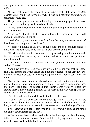and opened it, as if I were looking for something among the papers on the table.

'It was, that time, at the book of Ecclesiasticus that it fell open, the 29th chapter. And I shall read to you now what I read to myself that evening, more than thirty years ago.'

He put on his glasses and wetted his finger to turn the pages of the book, and when he found his place he read out slowly:

"Many have reckoned a loan as a windfall, and have given trouble to those that helped them."

' "Just so," I thought, "that fits cousin Jonas, here behind my back, well enough." And then came further:

"And when payment is due he will prolong the time, and return words of heaviness, and complain of the times."

' "Just so," I thought again. I was about to close the book and turn round to him, when the next verse came in as of its own accord, and it went:

"Howbeit with a man in poor estate be long suffering, and let him not wait for thine alms. Lose thy money for a brother and friend, and it shall profit thee more than gold."

'Then for a moment I stood stock-still. "Say you that? Say you that, Jens Aabel?" I asked.

'And now, my girl, I can finish off my tale by telling you that this good ship *The Attempt*, the which Jonas and I bought together, on her very first trip made an exceptional catch of herring and paid me my money back then and there.'

'But on her second journey,' the old man concluded after a short silence, and with a new expression running over his face, or indeed with a new face, the story-teller's face, 'it happened that cousin Jonas went overboard off Bodoe after a merry evening ashore. His mother in this way was spared any further distress on his account.'

The old gentleman for a while sat lost in his recollections.

'You will bear the book back where it belongs, Malli,' he said, 'for Arndt, too, must be able to find advice in it one day, when somebody wants to trick him, and all the same with a person in poor estate he should be long-suffering.'

Fru Hosewinckel's gaze again rose to Malli's young figure, as she stood up, and followed it through the door.

A few minutes later husband and wife in the drawing-room heard a heavy fall to the floor in the next room. They found the girl lying in front of the table as if she were dead, and the book open upon it.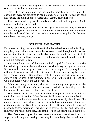Fru Hosewinckel never forgot that in that moment she seemed to hear her son's voice: 'Is this what you wanted?'

They lifted up Malli and laid her on the horsehair-covered sofa. She opened her eyes, but appeared to see nothing. In a while she raised her hand and stroked the old man's face. 'I felt dizzy, Arndt,' she whispered.

Fru Hosewinckel rang for the maids and with their help supported Malli upstairs and had her put to bed.

When she came down into the office again her husband stood where she had left him, gazing into the candle by the open Bible on the table. He looked up at her and closed the book. She made a movement to stop him, but he went on to fasten the heavy clasp.

### **XVI. PUPIL AND MASTER**

Early next morning, before the Hosewinckel household were awake, Malli got up quietly, dressed and went down the back-stairs, and through the back-door out into the side street. As late as the day before she would have had to look round for the way to Herr Soerensen's hotel, now she steered straight to it like a homing-pigeon to its cot.

For many long hours of the night she had longed for dawn. As now she hurried along she saw the world about her slowly regain light and colour. Scents met her, and a gentle breeze, and she thought: 'Everything here is different to what it was when I first came, that is because spring has come. Later comes summer.' She suddenly called to mind, almost word to word, Arndt's plan of how in the summer, in one of his father's ships, he and she would go north to where the sun never sets.

While her thoughts ran thus, she had come through the gateway of the hotel and up Herr Soerensen's small staircase, and without knocking, as if she had known she was expected, had opened the door.

Herr Soerensen as usual was up before other people and busy with his meticulous morning-toilet. When he saw Malli enter he withdrew behind a screen and from there instructed her to sit down on a chair by the window. She did not, however, settle down at once, but looked round the room, at a picture of the coronation of King Carl Johan and at Herr Soerensen's old carpet-bag propped against a wardrobe. Then she slowly took off her hat and coat as if to show that she had come to stay, and sank down on the chair pointed out to her.

Herr Soerensen popped his head over the screen three times in various stages of lathering and shaving, observing her attentively. But he said not a word.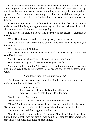In the end he came out into the room freshly shaved and with his wig on, in a dressing-gown of which the wadding stuck out here and there. Malli got up and threw herself in his arms, she was trembling so violently that she could not speak. Herr Soerensen made no attempt to calm her and did not even put his arms round her, but let her cling to him like a drowning person to a piece of timber.

During the conversation that followed she in turns drew back from him in order to watch his face, and again pressed against him as if she sought a dark shelter where she did not need to see anything.

She first of all cried out lowly and hoarsely at his breast: 'Ferdinand is dead!'

'Yes,' Herr Soerensen said gently and gravely. 'Yes, he is dead.'

'Did you know?' she cried out as before. 'Had you heard of it? Did you believe it?'

'Yes,' he answered. 'I did so.'

She steadied herself and regained control of her voice, let go of him and stood back a step.

'Arndt Hosewinckel loves me!' she cried in full, ringing tones.

Herr Soerensen's glance followed the change in her face.

'And do you love him too?' he asked. Because the question lay close to a line in a beloved tragedy, he repeated it, this second time in the tragedy's own words:

'And lovest thou him too, pure maiden?'

The tragedy's cues were also retained in Malli's heart, she immediately cried back to him with great force:

> '—sun and moon, The starry host, the angels, God himself and men may hear it: I am steadfast in my love for him!'

'Well,' said Herr Soerensen.

'Well,' he said again after a silence. 'And what now Malli?'

'Now?' Malli wailed in a cry of distress like a seabird in the breakers. 'Now I must go away. God, I must go away before I make them all unhappy.'

She wrung her hands hanging down before her.

'I will not make people unhappy,' she said. 'I will not! I will not! God himself knows that I was not aware I was doing so! I thought, Herr Soerensen, that I had told no lies, and made no mistakings.'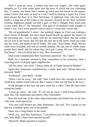'Now I must go away, I cannot stay here any longer,' she cried again, abruptly, as if it were some quite new decision of which she was informing him. 'I cannot, you know that I cannot, go back into that house on the square, unless I know that soon, as soon as I can, I shall be leaving it again. For I have been shown the door of it, Herr Soerensen. A righteous man, who has never made a wrong use of his scales or his measure, showed me the door yesterday evening. Righteous people can halt a gale, so that it changes from north-west to due north. But I!' she lamented. 'Our gale of Kvasefjord came straight to where I was. Yet I never prayed God to send it, I swear that I never did.'

'My old grandmother's sister,' she suddenly began, as if she was seeking a fresh course of thought, but once more found herself up against the misery of the preceding one, 'was so angry with her for marrying Father, that she would not set foot in her house. But one day she met me in the street, made me come into her room, and spoke to me of Father. She said: 'Your father, Malli, did not come from Scotland, and was no normal seaman. He was one of whom many people have heard, and for whom they have got a name. He was "The Flying Dutchman"—Do you think that is true, Herr Soerensen?'

After some consideration Herr Soerensen answered: 'No, I don't.'

Malli for a moment seemed to find consolation in his assurance, then a returning wave of despair again engulfed her.

'All the same,' she cried, 'I betray them all, as Father betrayed Mother!'

Again Herr Soerensen considered for a while, then said: 'Whom have you betrayed, Malli?'

'Ferdinand!' cried Malli. 'Arndt!'

'When I am far away,' she said, 'then I shall have the courage to write to Arndt how matters stand with me. But I cannot, I dare not tell him to his face.'

At the thought of this face she grew silent for a while. Then she once more wrung her hands.

'I must go away,' she said. 'If I do not go away I shall bring misfortune upon him. Oh, misfortune and misery, Herr Soerensen!'

Here she took one of her short steps backwards and looked him in the face with clear, wide-open eyes.

'You may well believe me, Herr Soerensen,' she said. 'For I speak as one that has a familiar spirit, out of the ground.'

There was a long silence in the room.

'Well, yes,' said Herr Soerensen. 'I can believe you all right, Malli. For see you, little Malli, I have been married myself.'

'Married?' Malli repeated in surprise.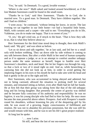'Yes,' he said. 'In Denmark. To a good, lovable woman.'

'Where is she now?' Malli asked and looked around bewildered, as if the lost Madam Soerensen could be found in the small room.

'Thanks be to God,' said Herr Soerensen. 'Thanks be to God, she is married now. To a good man. In Denmark. They have children together. She and I had no children.'

'I went away,' he continued, 'without letting her know, in secret. The last evening we sat together in our little home—we had a beautiful little home, Malli, with curtains and a carpet—she said to me: "Everything you do in life, Valdemar, you do to make me happy. That is so sweet of you." '

'O, yes,' the girl cried out, as if struck to the heart. 'That is how they talk to us, that is what they believe about us.'

Herr Soerensen for the third time stood deep in thought, then took Malli's hand, said: 'My girl,' and was silent as before.

'Let us sit down and talk together,' he at last said, and led her to a small sofa with broken webbing. They sat down side by side without it coming to any talk between them. But after a while Malli in her need of human sympathy and as if to appease a judge, or as in an attempt to comfort another unhappy person under the same sentence as herself, began to fumble over Herr Soerensen's shoulders, neck and head. She let her fingers run through his wig, so that a lock or two of it stood right on end. And as, while beseeching or caressing him she did not look up at him, in order to avoid getting the imploring fingers in his eyes or his mouth he had to take aim with his head and butt it gently in the air to the right and left.

Herr Soerensen, who was accustomed to being obeyed and admired, but not to being caressed, allowed the situation to prolong itself for several minutes, and remained sitting as before, even after Malli had let fall her hands. He at first felt that their group was taking form like that of the old unhappy king and his loving daughter. But presently the centre of gravity was shifted and he became fully conscious of his authority and responsibility: he was no fugitive, it was his young disciple who had fled to him for help. He once more became the man powerful above others: Prospero. And with Prospero's mantle round his shoulders, without lessening his pity of the despairing girl by his side, he was aware of a growing, happy consciousness of fulfillment and reunion. He was not to abandon his precious possession, but she was still his and would remain with him, and he was to see his life's great project realised.

At long last he spoke:

'. . . now I arise. Sit still, and hear the last of our sea-sorrow.'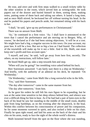He rose, and erect and with firm steps walked to a small rickety table by the other window in the room, which served him as writing-table. He took papers out of the drawer and buried himself in them, sorting them, making notes, putting some of them back and taking out others. It lasted a long time, and as once Malli stirred, he beckoned her off without turning his head. In the end he pushed his papers and pencils aside, but remained sitting with his back to her.

'I shall,' he said, 'give up my performances in Christianssand.'

There was no answer from Malli.

'Ay,' he continued in a firm voice. 'Ay. I shall have it announced to the town that I cancel the performance and am moving on to Bergen. Why, of course,' he declared as if she had been raising objections, 'it will be at a cost. We might have had a big, a singular success in this town. On your account, my poor lass. It will be a loss. But not so big a loss as I had feared. The collection of the townsfolk will make up for it not a little. And in life, Malli, one must keep one's profit-and-loss account open.'

'I myself, and you,' he said, 'will go away from here first, secretly. The others, on my instructions, will follow later.'

He heard Malli get up, take a step towards him and stop.

'When will you be going?' her trembling voice asked behind his back.

Herr Soerensen answered: 'I am fairly sure there is a ship on Wednesday.' And briefly, with the authority of an admiral on his deck, he repeated: 'On Wednesday.'

'On Wednesday,' came from Malli like a long sorrowful echo in the fells.

'Yes,' said Herr Soerensen.

'The day after tomorrow!' came in the same manner from her.

'The day after tomorrow,' from him.

As he gave his orders he still felt his own figure to be expanding, but he was at the same time sensitive to her deep silence behind him, and silence was ever a difficult thing for him to bear. As if he had had a pair of keen eyes to the back of his head he saw her standing in the middle of the small room, deathly pale from long hardships, as on the evening after the shipwreck, in the boat. Within this conflict between his consciousness of power and his compassion, he for some moments wavered in spirit, and also rocked a little on his chair. Finally he spun right round, and laid his arms on the back of the chair and his chin on his arms, ready to face the sight of the whole world's distress.

Malli loosened herself from the spot on the floor where she was standing,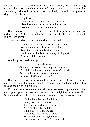and came towards him, tardively but with great strength, like a wave running towards the coast. Everything in the following conversation came from her very slowly, with each sentence slower, not loudly but with clear, profound ring of a bell. She said:

> 'I prithee Remember, I have done thee worthy service; Told thee no lies, made no mistakings, serv'd Without or grudge or grumblings:'

Herr Soerensen sat perfectly still, he thought: 'God preserve me, how that girl's eyes shine! She is not looking at me, perhaps she does not see me at all. But her eyes shine!'

There was a short pause, then she slowly continued:

'All hail, great master! grave sir, hail! I come To answer thy best pleasure; be't to fly, To swim, to dive into the fire, to ride On the curl'd clouds: to thy strong bidding task Ariel and all his quality.'

Another pause. And then again:

'the elements

Of whom your swords are, temper'd, may as well Wound the loud winds, or with bemock'd-at stabs Kill the still-closing waters, as diminish One dowle that's in my plume.'

Herr Soerensen was in no way taken aback by Malli skipping from one place in the text of the drama to another, he was as much at home in the text as she and could skip in it himself.

Now she looked straight at him, altogether collected in glance and voice, and again spoke, so sweetly, meekly and straightforwardly that Herr Soerensen's heart melted in his breast and came into his eyes as clear tears:

> 'Full fathom five now Malli lies, Of my bones are coral made, Those are pearls that were my eyes, Nothing of me that doth fade, But doth suffer a sea-change Into something rich and strange. Sea-nymphs hourly ring my knell. Hark! now I hear them—ding dong bell.'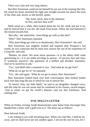There was a last and very long silence.

But Herr Soerensen could not let himself be put out of the running like this. He raised his head, stretched his right arm straight towards her above the back of the chair and, slowly as she herself, spoke:

> 'My Ariel, chick, then to the elements be free, and fare thou well!'

Malli stood on a while, then looked about her for her cloak and put it on, and he noticed that it was her old cloak from home. When she had buttoned it she turned towards him.

'But why,' she asked him, 'must things go with us like that?'

'Why?' Herr Soerensen repeated.

'Why must things go with us so disastrously, Herr Soerensen?' she said.

Herr Soerensen was mightily exalted and inspired after Prospero's last words, he was conscious that he must now answer her out of his experience of a long life, and said:

'Maiden, be silent. We must never question—it is the others shall come questioning us—it is our noble privilege to answer—O answers fine and clear, O wondrous answers!—the questions of a baffled and divided—humanity. And ne'er ourselves to ask.'

'Yes,' said Malli after a moment or two. 'And what do we get fork?'

'What do we get for it?' he repeated.

'Yes,' she said again. 'What do we get in return, Herr Soerensen?'

Herr Soerensen looked back over their conversation, then looked further back over that long life out of which he was to answer her.

'In return? Alas, my little Malli,' he said in an altogether changed voice, and this time he was not aware that he continued in his chosen, sacred tongue: 'And in return we get the world's distrust—and our dire loneliness. And nothing else.'

### **XVII. MALLI'S LETTER**

When on Friday evening Arndt Hosewinckel came home from Stavanger they handed him a letter with a gold coin in it. The letter ran as follows:

Dear beloved Arndt,

I am writing to you with streaming tears. When you read this, I shall be far away, and we shall never see one another again. I am not the one for you, for I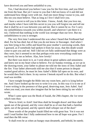have deceived you and been unfaithful to you.

Yes, I had deceived you before I saw you for the first time, and you lifted me from the boat. But yet I swear to you that I did not know of it and did not understand how things were with me. And one more thing I swear to you, and this too you must believe. That as long as I live I shall love you.

I have a secret to tell you in this letter. I know, Arndt, that you love me, and maybe when I have told this secret to you you will forgive me and tell me that it shall be as it was between you and me. But it cannot be so. For I carry my unfaithfulness towards you within myself, and wherever I am there it is too. I believed that nothing in the world was stronger than our love. But my unfaithfulness to you is stronger.

The very first time I understood this was when I heard that Ferdinand had died. For he has died, but of that you do not know in Stavanger. And when I saw him lying in his coffin and heard his poor mother's sorrowing words, then I guessed, as if somebody had spoken it from far away, that this death would come to part you and me. Still I did not yet fully understand that things were as they were, but it seemed to me that perhaps even now everything could turn out lovely for me as before. Alas, how lovely!

But there was more to it, as I went about in great sadness and uneasiness and knew not in my heart what to believe. For on Sunday evening, as we sat in the drawing-room, your father to please me told me the story of Jens Aabel and the fire. Your father afterwards told me also that if some person in despair wanted good advice, he must let Jens Aabel's Bible fall open on its own, and he would then find it there. In my sorrow I betook myself to do this. But what I read was terrible.

I have tonight brought the Bible into my room here, and it is lying before me. And I have looked up the text to write it to you. In this way it is to me as if I were writing in the presence of that good, deserving man, Jens Aabel. And when you read, you must also imagine that he has been sitting by me while I wrote.

What I came upon was the Book of Isaiah, the 29th chapter, the 1st verse which runs thus:

'Woe to Ariel, to Ariel! And thou shalt be brought down! and thou shalt speak out of the ground, and thy voice shall be as of one that hath a familiar spirit, out of the ground, and thy speech shall whisper out of the dust!'

These words of the prophet Isaiah filled me with great fear. Yet it was not until I read further that I fully understood how to me all hope was gone. For I read then the 8th verse:

'It shall even be as when an hungry man dreameth, and behold, he eateth;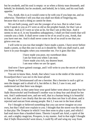but he awaketh, and his soul is empty: or as when a thirsty man dreameth, and behold, he drinketh; but he awaketh, and behold, he is faint, and his soul hath appetite.'

Yes, Arndt, this is as it would come to be with you if you kept me, and no otherwise. Therefore I tell you that you shall not think of forgiving me, because that is such a thing as cannot be done.

We are both young, and I am the younger of us two. But in what I now write I speak to you as if I were as old as the prophet Isaiah, for that I am at this hour. And as if I were as wise as he, for that I am at this hour. And it seems to me as if, in my boundless unhappiness, I shall yet find words that will console you a little. It shall never come to be of no avail to you, Arndt, that you have met me. And it shall never come to be of no avail to me that you grieve over me.

I will write to you too that tonight I have made a poem. I have never before made a poem, so that this one is not as it should be. Still you shall read it, and have it in your thoughts when you remember me. For it goes like this:

> I have made you poor, my sweetheart dear. I am far from you when I am near. I have made you rich, my dearest heart. I am near when we are far apart.

And now I have gained courage, and I will write to you the secret of which you know nothing.

You are to know then, Arndt, that when I was in the midst of the storm in Kvasefjord *then I was not in the least afraid*.

People in Christianssand call me a heroine. But a heroine is such a girl as sees the danger and is afraid of it, but defies it. But I, I saw it not, and understood not that there was danger.

Alas, Arndt, in that same hour your good father went about in great fear for *Sofie Hosewinckel* and Ferdinand's mother was in deep fear and dread for her son. And I understand now, and see well, that in a human being it is beautiful to fear, and also I see clearly that the one who does not fear is all alone, and is rejected and outcast from among people. But I, I was not in the least afraid.

For I thought or believed something that you can never imagine on your own, but that I shall now explain to you. I thought that the storm was the storm in that play *The Tempest* in which I was then soon to play a part, and which I had read more than a hundred times. Therein I myself am Ariel, a spirit of the air, and a mighty magician, Prospero, is my master. And in that night I thought that if *Sofie Hosewinckel* went down, I could fly off and wing my way from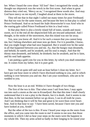her. When I heard the crew shout 'All lost!' then I recognised the words, and thought our shipwreck was the wreck in the first scene. And when in great distress they cried out, 'Mercy on us,' I recognised these words also. And may God have mercy on me myself, I laughed aloud at them in the storm.

They tell me that in that night I called out many times for poor Ferdinand. But that too was for the same reason, and because the hero in that play is called Prince Ferdinand. And so on board the *Sofie Hosewinckel* it was Ariel who in the roaring gale called Prince Ferdinand to him in a loud voice.

In that play there is also a lovely island full of tones, sounds and music sweet, on it in the end all the shipwrecked folk are rescued unharmed. And I thought, in the midst of the snowstorm, that this island was not far away.

Yes, now you know all. And it is for such a reason that you cannot keep me, but I belong elsewhere and must now go there. For it is possible, I know, that you might forget what had once happened. But it would ever be the same in all that happened between you and me. Ay, that the hungry man dreameth, and behold, he eateth; and he awaketh, and his soul is empty. And that the thirsty man dreameth, and behold, he drinketh; but he awaketh, and he is faint, and his soul hath appetite.

I am putting a gold coin for you in this letter, by which you shall remember me. It comes from my father, but it is pure gold.

Now I will sit quite still and wait an hour before I close my letter. So I have got one hour more in which I have disclosed nothing to you, and in which nothing is over between you and me. But I am your sweetheart, who am to be wedded to you.

Now the hour is at an end. Within it I have thought of two things.

The first of the two is this: That when soon I sail from here, I may again run into such a storm as the one in Kvasefjord. But that this time I shall clearly understand that it is not a play in the theatre, but it is death. And it seems to me that then, in the last moment before we go down, I can in all truth be yours. And I am thinking that it will be fine and great to let wave-beat cover heartbeat. And in that hour to say: 'I have been saved, because I have met you and have looked at you, Arndt!'

But the other of the two is this: If now I heard your steps on the stairs from the office, and you came into the room to me! It seems to me now that those moments in which I did so hear your steps on the stairs were the happiest in my whole life. Then my arms ached so badly in their longing to lie round your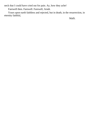neck that I could have cried out for pain. Ay, how they ache!

Farewell then. Farewell. Farewell, Arndt.

Yours upon earth faithless and rejected, but in death, in the resurrection, in eternity faithful,

Malli.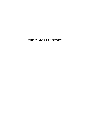# **THE IMMORTAL STORY**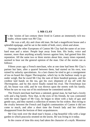### **I. MR CLAY**

I u  $\mathbf{T}$ <sup>N</sup> the 'sixties of last century there lived in Canton an immensely rich teatrader, whose name was Mr Clay.

He was a tall, dry and close old man. He had a magnificent house and a splendid equipage, and he sat in the midst of both, erect, silent and alone.

Amongst the other Europeans of Canton Mr Clay had the name of an ironhard man and a miser. People kept away from him. His looks, voice and manner, more than anything actually known against him, had gained him this reputation. All the same two or three stories about him, many times repeated, seemed to bear out the general opinion of the man. One of the stories ran as follows:

Fifteen years ago a French merchant, who at one time had been Mr Clay's partner but later, after a quarrel between them, had started on his own, was ruined by unlucky speculations. As a last chance he tried to get a consignment of tea on board the clipper *Thermopylae*, which lay in the harbour ready to go under weigh. But he owed Mr Clay the sum of three hundred guineas, and his creditor laid hands on the tea, got his own shipment of tea off with the *Thermopylae*, and by this move finally ruined his rival. The Frenchman lost all, his house was sold, and he was thrown upon the streets with his family. When he saw no way out of his misfortune he committed suicide.

The French merchant had been a talented, genial man, he had had a lovely wife and a big family. Now that, in the eyes of his friends, he was contrasted with the stony figure of Mr Clay, he began to shine with a halo of gay and gentle rays, and they started a collection of money for his widow. But owing to the rivalry between the French and English communities of Canton it did not come to much, and after a short time the French lady and her children disappeared from the horizon of their acquaintances.

Mr Clay took over the dead man's house, a big beautiful villa with a large garden in which peacocks strutted on the lawns. He was living in it today.

In the course of time this story had taken the character of a myth. Monsieur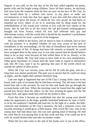Dupont, it was told, on the last day of his life had called together his pretty, gentle wife and his bright young children. Since all their misery, he declared, had risen from the moment when he first set eyes on the face of Mr Clay, he now bound them by a solemn vow never, in any place or under any circumstances, to look into that face again. It was also told that when he had been about to leave his house, of which he was very proud, he had burnt or smashed up every object of art in it, asserting that no thing made for the embellishment of life would ever consent to live with the new master of the house. But he had left in all the rooms the tall gilt-framed looking-glasses brought out from France, which till now had reflected only gay and affectionate scenes, with the words that it should be his murderer's punishment to meet, wherever he went, a portrait of the hangman.

Mr Clay settled in the house, and sat down to dine in solitude, face to face with his portrait. It is doubtful whether he was ever aware of the lack of friendliness in his surroundings, for the idea of friendliness had never entered into his scheme of life. If things had been left entirely to himself, he would have arranged them in the same way, it was only natural that he should believe them to be as they were because he had willed them to be so. Slowly, in his career as a Nabob, Mr Clay had come to have faith in his own omnipotence. Other great merchants of Canton held the same faith in regard to themselves and, like Mr Clay, kept it up by ignoring that part of the world which lay outside the sphere of their power.

When Mr Clay was seventy years old he fell ill with the gout, and for a long time was almost paralysed. The pain was so severe that he could not sleep at nights, and his nights then seemed infinitely long.

Late one night it happened that one of Mr Clay's young clerks came to his house with a pile of accounts that he had been revising. The old man in his bed heard him talk to the servants, he sent for him and made him go through the account-books with him. When the morning came he found that this night had passed less slowly than the others. So the next evening he again sent for the young clerk, and again made him read out his books to him.

From this time it became an established rule that the young man should make his appearance in the huge, grandly furnished bedroom by nine o'clock, to sit by his employer's bedside and read out, by the light of a candle, the bills, contracts and estimates of Mr Clay's business. He had a sonorous voice, but towards morning it would grow a little hoarse. This vexed Mr Clay, who in his young days had had sharp ears, but was now getting hard of hearing. He told his clerk that he was paying him to do this work and that, if he could not do it well, he would dismiss him and take on another reader.

When the two had come to the end of the books now in use at the office,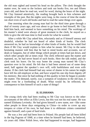the old man sighed and turned his head on the pillow. The clerk thought the matter over, he went to the lockers and took out books five, ten and fifteen years old, and these he read out, word for word, during the hours of the night. Mr Clay listened attentively, the reading brought back to him schemes and triumphs of the past. But the nights were long, in the course of time the reader ran short even of such old books and had to read the same things over again.

One morning when the young man had for the third time gone through a deal of twenty years ago, and was about to go home to bed himself, Mr Clay held him back, and seemed to have something on his mind. The workings of his master's mind were always of great moment to the clerk, he stayed on a little to give the old man time to find words for what he wanted.

After a while Mr Clay asked him, reluctantly and as if himself uneasy and doubtful, whether he had not heard of other kinds of books. The clerk answered no, he had no knowledge of other kinds of books, but he would find them if Mr Clay would explain to him what he meant. Mr Clay in the same hesitating manner told him that he had in mind books and accounts, not of deals or bargains, but of other things which people at times had put down, and which other people did at times read. The clerk reflected upon the matter and repeated, no, he had never heard of such books. Here the talk ended, and the clerk took his leave. On his way home the young man turned Mr Clay's question over in his mind. He felt that it had been uttered out of some deep need, half against the speaker's own will, with bashfulness and even with shame. If the clerk had himself had any sense of shame in his nature he might have left his old employer at that, and have wiped his one slip from dignity off his memory. But since he had nothing of this quality in him he began to ponder the matter. The demand, surely, was a sympton of weakness in the old man, it might even be a foreboding of death. What would be, he reflected, the consequence to him himself of such a state of things?

### **II. ELISHAMA**

The young clerk who had been reading to Mr Clay was known to the other accountants of the office as Ellis Lewis, but this was not his real name. He was named Elishama Levinsky. He had given himself a new name, not—like some other people in those days emigrating to China—in order to cover up any trespass or crime of his own, he had done it to obliterate crimes committed against himself, and a past of hard trials.

He was a Jew and had been born in Poland. His people had all been killed in the big Pogrom of 1848, at a time when he himself had been, he believed, six years old. Other Polish Jews, who had happened to escape, had happened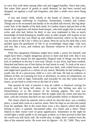to carry him with them among other sad and ragged bundles. Since that time, like some little parcel of goods in small demand, he had been carried and dropped, set against a wall and forgotten, and after a while once more flung about.

A lost and lonely child, wholly in the hands of chance, he had gone through strange sufferings in Frankfurt, Amsterdam, London and Lisbon. Things not to be recounted and hardly to be recalled still moved, like big deepwater fish, in the depths of his dark mind. In London chance had put him in the hands of an ingenious old Italian book-keeper, who had taught him to read and write, and who had, before he died, in one year implanted in him as much knowledge of book-keeping by double entry as other people will acquire in ten years. Later the boy was lifted up and shifted eastward, where in the end he was set down in Mr Clay's office in Canton. Here he sat by his desk like a tool grinded upon the grindstone of life to an exceedingly sharp edge, with eyes and ears like a lynx, and without any illusions whatever of the world or of humanity.

With this equipment Elishama might have made a career for himself, and might have been a highly dangerous person to meet and deal with. But it was not so, and the reason for the apparently illogical state of things was the total lack of ambition in the boy's own soul. Desire, in any form, had been washed, bleached and burnt out of him before he had learnt to read. To look at he was a fairly ordinary young man, small, slim and very dark, with veiled brown eyes, and might have passed as a citizen of any nation. Mentally he had nothing of a youth, but all of a precocious child or a very old man. He had no softness or fullness in him, no yearning for love or adventure, no sense of competition, no fear and no wish to fight. Outwardly and inwardly he was like some kind of insect, an ant hard to crush even to the heel of a boot.

One passion he had, if passion it may be called—a fanatical craving for security and for being left alone. In its nature this feeling was akin to homesickness or to the instinct of the homing pigeon. His soul was concentrated upon this one request: that he might enter his closet and shut his door, with the certainty that here no one could possibly follow or disturb him.

The closet which he entered, and to which he shut the door, was a modest place, a small dark room in a narrow street. Here he slept on an old sofa rented from his landlady. But in the room there were a few objects which did really belong to him—a painted, ink-stained table, two chairs and a chest. These objects to their owner were of great significance. Sometimes in the night he would light a small candle to lie and gaze at them, as if they proved to him that the world was still fairly safe. He would also, at night, draw comfort from the idea of the numeral series. He went over its figures—10, 20, 7,000. They were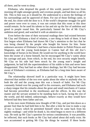all there, and he went to sleep.

Elishama, who despised the goods of this world, passed his time from morning till night amongst greedy and covetous people, and had done so all his life. This to him was as it should be. He understood to a nicety the feelings of his surroundings and he approved of them. For out of those feelings came, in the end, his closet with the door to it. If the world's desperate struggle for gold and power were ever to cease, it was not certain that this room or this door would remain. So he used his talents to fan and stir up the fire of ambition and greed in people round him. He particularly fanned the fire of Mr Clay's ambition and greed, and watched it with an attentive eye.

Even before the time of their nocturnal readings there had existed between Mr Clay and Elishama a kind of relation, a rare thing to both of them. It had first begun when Elishama had drawn Mr Clay's attention to the fact that he was being cheated by the people who bought his horses for him. Some unknown ancestor of Elishama's had been a horse-dealer to Polish Princes and Magnates, and the young book-keeper in Canton had all this old Jew's knowledge of horses in his blood. He would not for anything in the world have been the owner of a horse himself, but he encouraged Mr Clay's vanity about his carriage and pair, from which, in the end, his own security might benefit. Mr Clay on his side had been struck by the young man's insight and judgement, he had left the superintendence of his stable to him and never been disappointed. They had had no other direct dealings, but Mr Clay had become aware of Elishama's existence, as Elishama had for a long time been aware of Mr Clay's.

The relationship showed itself in a particular way. It might have been observed that neither of the two ever spoke about the other to anybody else. In both the old and the young man this was a breach of habit. For Mr Clay constantly fretted over his young staff to his overseers, and Elishama had such a sharp tongue that his remarks about the great and small merchants of Canton had become proverbial in the storehouses and the offices. In this way the master and the servant seemed to be standing back to back, facing the rest of the world, and did indeed, unknowingly, behave exactly as they would have behaved had they been father and son.

In his own room Elishama now thought of Mr Clay, and put him down as a greater fool than he had held him to be. But after a time he rose to make a cup of tea—a luxury which he permitted himself when he came back from his nightly readings—and while he drank it, his mind began to move in a different way. He took up Mr Clay's question for serious consideration. It was possible, he reflected, that such books as Mr Clay had asked about did really exist. He was accustomed to getting Mr Clay the things he wanted. If these books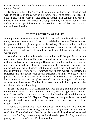existed, he must look out for them, and even if they were rare he would find them in the end.

Elishama sat for a long time with his chin in his hand, then stood up and went to the chest in the corner of the room. Out of it he took a smaller, redpainted box which, when he first came to Canton, had contained all that he owned in the world. He looked it through carefully and came upon an old yellow piece of paper folded up and preserved in a small silk bag. He read it by the candle on the table.

## **III. THE PROPHECY OF ISAIAH**

In the party of Jews who in their flight from Poland had taken Elishama with them, there had been a very old man who had died on the way. Before he died he gave the child the piece of paper in the red bag. Elishama tied it round his neck and managed to keep it there for many years, mainly because during this time he rarely undressed. He could not read, and did not know what was written on it.

But when in London he learned to read and was told that people set a value on written matter, he took his paper out and found it to be written in letters different to those he had been taught. His master from time to time sent him on an errand to a dark and dirty little pawnshop, the owner of which was an unfrocked clergyman. Elishama took the paper to this man and asked him if it meant anything. When he was informed that it was written in Hebrew he suggested that the pawnbroker should translate it to him for a fee of three pence. The old man read the paper through and recognised its contents, he looked them up in their own place, copied them out in English and gravely accepted the three pence. The boy from now kept both the original and the translation in his small red bag.

In order to help Mr Clay, Elishama now took the bag from his box. Under other circumstances he would not have done so, for it brought with it notions of darkness and horror and the dim picture of a friend. Elishama did not want friends any more than Mr Clay did. They were, to him, people who suffered and perished—the word itself meant separation and loss, tears and blood dripped from it.

Thus it came about that a few nights later, when Elishama had finished reading the accounts to Mr Clay, and the old man growled and prepared to send him off, the clerk took from his pocket a small dirty sheet of paper and said: 'Here, Mr Clay, is something that I shall read to you.' Mr Clay turned his pale eyes to the reader's face. Elishama read out: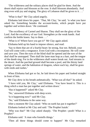'The wilderness and the solitary places shall be glad for them. And the desert shall rejoice and blossom as the rose. It shall blossom abundantly. And sing even with joy and singing. The glory of Lebanon shall be given to it . . .'

'What is that?' Mr Clay asked angrily.

Elishama laid down his paper. 'That, Mr Clay,' he said, 'is what you have asked for. Something besides the account-books, which people have put together and written down.' He continued:

'The excellency of Carmel and Sharon. They shall see the glory of the Lord. And the excellency of our God. Strengthen ye the weak hands. And confirm the feeble knees. Say to them . . .'

'What is it? Where have you got it?' Mr Clay again asked.

Elishama held up his hand to impose silence, and read:

'Say to them that are of a fearful heart: be strong, fear not. Behold, your God will come with a vengeance. Even God with a recompense. He will come and save you. Then the eyes of the blind shall be opened and the ears of the deaf shall be unstopped. Then shall the lame man leap as a hart, and the tongue of the dumb sing. For in the wilderness shall waters break out. And streams in the desert. And the parched ground shall become a pool, and the thirsty land springs of water, and the habitation of dragons, where each lay, shall be grass with reeds and rushes.'

When Elishama had got so far, he laid down his paper and looked straight in front of him.

Mr Clay drew in his breath asthmatically. 'What was all that?' he asked.

'I have told you, Mr Clay,' said Elishama. 'You have heard it. This is a thing which a man has put together and written down.'

'Has it happened?' asked Mr Clay.

'No,' answered Elishama with deep scorn.

'Is it happening now?' said Mr Clay.

'No,' said Elishama in the same way.

After a moment Mr Clay asked: 'Who on earth has put it together?'

Elishama looked at Mr Clay and said: 'The Prophet Isaiah.'

'Who was that?' Mr Clay asked sharply. 'The Prophet—pooh! What is a Prophet?'

Elishama said: 'A man who foretells things.'

'Then all these things should come to happen!' Mr Clay remarked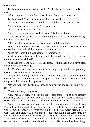disdainfully.

Elishama did not want to disavow the Prophet Isaiah, he said: 'Yes. But not now.'

After a while Mr Clay ordered: 'Read again that of the lame man.'

Elishama read: 'Then the lame man shall leap as a hart.'

Again after a moment Mr Clay ordered: 'And that of the feeble knees.'

'And confirm the feeble knees,' Elishama read.

'And of the deaf,' said Mr Clay.

'And the ears of the deaf,' said Elishama, 'shall be unstopped.'

There was a long pause. 'Is anybody doing anything to make these things happen?' asked Mr Clay.

'No,' said Elishama with even deeper contempt than before.

When after another pause Mr Clay took up the matter, Elishama by the tone of his voice realised that he was now wide awake.

'Read the whole thing over again,' he commanded.

Elishama did as he was told. When he had finished, Mr Clay asked: 'When did the prophet Isaiah live?'

'I do not know, Mr Clay,' said Elishama. 'I think that it will have been about a thousand years ago.'

Mr Clay's knees were at this moment hurting badly, and he was painfully aware of his lameness and infirmity.

'It is a foolish thing,' he declared, 'to foretell things which do not begin to take place within a thousand years. People,' he added slowly, 'should record things which have already happened.'

'Do you want me,' Elishama asked, 'to take out the books of accounts once more?'

There was a very long pause.

'No,' Mr Clay said. 'No. People can record things which have already happened, outside of account-books. I know what such a record is called. A story. I once heard a story myself. Do not disturb me, and I shall remember it.'

'When I was twenty years old,' he said after a long silence, 'I sailed from England to China. And I heard this story on the night before we touched the Cape of Good Hope. Now I remember it all well. It was a warm night, the sea was calm, and there was a full moon. I had been sitting for some time by myself on the afterbody, when three sailors came up and sat down on the deck. They were so close to me that I could hear all that they said, but they did not see me. One of the sailors told the others a story. He recorded to them things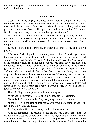which had happened to him himself. I heard the story from the beginning to the end, I shall tell it to you.'

## **IV. THE STORY**

'The sailor,' Mr Clay began, 'had once come ashore in a big town. I do not remember which, but it does not matter. He was walking by himself in a street near the harbour, when a fine costly carriage drove up to him, and an old gentleman descended from it. This gentleman said to the sailor: "You are a fine-looking sailor. Do you want to earn five guineas tonight?" '

Mr Clay was so completely unaccustomed to telling a story, that it is doubtful whether he could have gone on with this one except in the dark. He continued with an effort and repeated: 'Do you want to earn five guineas tonight?'

Elishama, here, put the prophecy of Isaiah back into its bag and into his pocket.

'The sailor,' Mr Clay related, 'naturally answered yes. The rich gentleman then told him to come with him, and drove him in his carriage to a big and splendid house just outside the town. Within the house everything was equally grand and sumptuous. The sailor had never believed that such riches existed in the world, for how would a poor boy like him ever have come inside a really great man's house? The gentleman gave him a fine meal and expensive wine, and the sailor recounted all that he had had to eat and drink, but I have forgotten the names of the courses and the wines. When they had finished this meal, the master of the house said to the sailor: 'I am, as you see, a very rich man, the richest man in this town. But I am old. I have not got many years left, and I dislike and distrust the people who will inherit what I have collected and saved up in life. Three years ago I married a young wife. But she has been no good to me, for I have got no child.'

Here Mr Clay made a pause to collect his thoughts.

'With your permission,' said Elishama, 'I, too, can tell that story.'

'What is that?' exclaimed Mr Clay, very angry at the interruption.

'I shall tell you the rest of that story, with your permission, if you will listen, Mr Clay,' said Elishama.

Mr Clay did not find a word to say, and Elishama went on.

'The old gentleman,' he recounted, 'led the sailor to a bedroom which was lighted by candlesticks of pure gold, five on the right side and five on the left. Was it not so, Mr Clay? On the walls were carved pictures of palm trees. In the room there was a bed, and a partition was made by chains of gold before the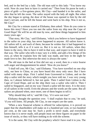bed, and in the bed lay a lady. The old man said to this lady: "You know my wish. Now do your best to have it carried out." Then from his purse he took a piece of gold—a five-guinea piece, Mr Clay—and handed it to the sailor, and after that he left the room. The sailor stayed with the lady all night. But when the day began to spring, the door of the house was opened to him by the old man's servant, and he left the house and went back to his ship. Was it not so, Mr Clay?'

Mr Clay for a minute stared at Elishama, then asked: 'How do you come to know this story? Have you too met the sailor from my ship near the Cape of Good Hope? He will be an old man by now, and these things happened to him many years ago.'

'That story, Mr Clay,' said Elishama, 'which you believe to have happened to the sailor on your ship, has never happened to anyone. All sailors know it. All sailors tell it, and each of them, because he wishes that it had happened to him himself, tells it as if it were so. But it is not so. All sailors, when they listen to the story, like to have it told in that way, and expect to have it told in that way. The sailor who tells it may vary it a little, and add a few things of his own, as when he explains how the lady was made, and how in the night he made love to her. But otherwise the story is always the same.'

The old man in the bed at first did not say a word, then in a voice hoarse with anger and disappointment he asked: 'How do you know?'

'I shall tell you, Mr Clay,' said Elishama. 'You have travelled on one ship only, out here to China, so you have heard this story only once. But I have sailed with many ships. First I sailed from Gravesend to Lisbon, and on the ship a sailor told the story which tonight you have told me. I was very young then, so I almost believed it, but not quite. Then I sailed from Lisbon to the Cape of Good Hope, and on the ship there was a sailor who told it. Then I sailed to Singapore, and on my way I heard a sailor tell the story. It is the story of all sailors in the world. Even the phrases and the words are the same. But all sailors are pleased when, once more, one of them begins to tell it.'

'Why should they tell it,' said Mr Clay, 'if it were not true?'

Elishama thought the question over. 'I shall explain that to you,' he said, 'if you will listen. All people, Mr Clay, in one respect are the same.

'When a new financial scheme is offered for subscription, it is proved on paper that the shareholders will make on it a hundred per cent, or two hundred per cent, as the case may be. Such a profit is never made, and everybody knows that it is never made, still people must see these figures on paper in the issue of stocks, or they will have nothing to do with the scheme.

'It is the same, Mr Clay with the prophecy which I have read it to you. The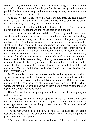Prophet Isaiah, who told it, will, I believe, have been living in a country where it rained too little. Therefore he tells you that the parched ground becomes a pool. In England, where the ground is almost always a pool, people do not care to write it down or to read about it.

'The sailors who tell this story, Mr Clay, are poor men and lead a lonely life on the sea. That is why they tell about that rich house and that beautiful lady. But the story which they tell has never happened.'

Mr Clay said: 'The sailor told the others that he held a five-guinea piece on his hand, and that he felt the weight and the cold of gold upon it.'

'Yes, Mr Clay,' said Elishama, 'and do you know why he told them so? It was because he knew, and because the other sailors knew, that such a thing could never happen. If they had believed that it could ever happen, they would not have told it. A sailor goes ashore from his ship, and pays a woman in the street to let him come with her. Sometimes he pays her ten shillings, sometimes five, and sometimes only two, and none of these women is young, or beautiful, or rich. It might possibly happen—although I myself doubt it that a woman would let a sailor come with her for nothing, but if she did so, Mr Clay, the sailor would never tell. Here a sailor will tell you that a young, beautiful and rich lady—such a lady as he may have seen at a distance, but has never spoken to—has been paying him, for the same thing, five guineas. In the story, Mr Clay, it is always five guineas. That is contrary to the law of demand and supply, Mr Clay, and it never has happened, and it never will happen, and that is why it is told.'

Mr Clay at this moment was so upset, puzzled and angry that he could not speak. He was angry with Elishama, because he felt that his clerk was taking advantage of his weakness, and was defying his authority. But he was upset and puzzled by the prophet Isaiah, who was about to annihilate his whole world, and him himself with it. The two of them, he felt, were holding together against him. After a while he spoke.

His voice was harsh and grating, but as firm as when he was giving an order in his office.

'If this story,' he said, 'has never happened before, I shall make it happen now. I do not like pretence, I do not like prophecies. It is insane and immoral to occupy oneself with unreal things. I like facts. I shall turn this piece of make-believe into solid fact.'

The old man when he had spoken was a little easier at heart. He felt that he was getting the better of Elishama and the Prophet Isaiah. He was still going to prove to them his omnipotence.

'The story shall become reality,' he said slowly. 'One sailor in the world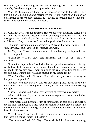shall tell it, from beginning to end with everything that is in it, as it has actually, from beginning to end, happened to him.'

When Elishama walked home in the morning he said to himself: 'Either this old man is going mad, and nearing his end. Or otherwise he will tomorrow be ashamed of his project of tonight, he will want to forget it, and it will be the safest thing not to mention it to him again.'

## **V. THE MISSION OF ELISHAMA**

Mr Clay, however, was not ashamed. His project of the night had seized hold of him, the matter had become a trial of strength between him and the insurgents. Next midnight, as the clock struck, he took up the theme and said to Elishama: 'Do you think that I can no longer do what I want to do?'

This time Elishama did not contradict Mr Clay with a word, he answered: 'No, Mr Clay. I think you can do whatever you want.'

Mr Clay said: 'I want the story which I told you last night to happen in real life, to real people.'

'I shall see to it, Mr Clay,' said Elishama. 'Where do you want it to happen?'

'I want it to happen here,' said Mr Clay, and proudly looked round his big, richly furnished bedroom. 'In my house. I want to be present myself, and to see it all with my own eyes. I want to pick up the sailor myself, in the street by the harbour. I want to dine with him myself, in my dining-room.'

'Yes, Mr Clay,' said Elishama. 'And when do you want the story to happen, to real people?'

'It ought to be done quickly,' said Mr Clay after a pause. 'It will have to be done quickly. But I am feeling better tonight, in a week's time I shall be strong enough.'

'Then,' Elishama said, 'I shall have everything ready within a week.'

After a while Mr Clay said: 'It will involve expenses. I do not mind what the expenses may come to.'

These words gave Elishama such an impression of cold and loneliness in the old man, that it was as if they had been spoken from the grave. But since he himself did feel at home in the grave, he and his employer were at this moment brought closer together.

'Yes,' he said, 'it is going to cost us some money. For you will remember that there is a young woman in the story.'

'Yes, a woman,' said Mr Clay. 'The world is full of women. A young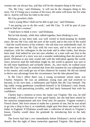woman one can always buy, and that will be the cheapest thing in the story.'

'No, Mr Clay,' said Elishama, 'it will not be the cheapest thing in this story. For if I bring you a woman of the town, the sailor will know her for what she is. And he will lose his faith in the story.'

Mr Clay growled a little.

'And a young Miss I shall not be able to get you,' said Elishama.

'I am paying you to do this work,' said Mr Clay. 'It will be part of your work to find me a woman.'

'I shall have to think it over,' said Elishama.

But he had already, while they talked together, been thinking it over.

Elishama, as has been told, was well versed in book-keeping by double entry. He saw Mr Clay with the eyes of the world, and to the eyes of the world —had the world known of his scheme—the old man was undoubtedly mad. At the same time he saw Mr Clay with his own eyes, and to his own eyes his employer, with his colleagues in the tea-trade and in other trades, had always been mad. And indeed he was not sure whether, to a man with one foot in the grave, the pursuit of a story was not a sounder undertaking than the pursuit of profit. Elishama at any time would side with the individual against the world, since, however mad the individual might be, the world in general was sure to be still more hopelessly and wickedly idiotic. As, once more, he walked away from Mr Clay's house, he realised that from this moment he was indispensible to his master, and could get out of him whatever he wanted. He did not intend to derive any advantage from the circumstance, but the idea pleased him.

In Mr Clay's office there was a young accountant whose name was Charley Simpson. He was an ambitious young man and had resolved to become, in his own time, a millionaire and Nabob like Mr Clay himself. The big ruddy young gentleman considered himself to be Elishama's only friend, treated him with patronising joviality, and had lately honoured him with his confidence.

Charley kept a mistress in town, her name was Virginie. She was, he told his protégé, a Frenchwoman of very good family, but she had been ruined by her amorous temperament and now lived only for passion. Virginie wanted a French shawl. Her lover meant to make her a present of one, but he was afraid to go into a shop to buy it, as somebody might spot him there and report to his father in England. If Elishama would take a collection of shawls to Virginie's house, Charley would show his gratitude by introducing him to the lady herself.

The lovers had had a row immediately before Elishama's arrival with the shawls. But the sight of these somewhat appeased Virginie. She draped one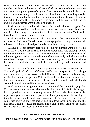shawl after another round her fine figure before the looking-glass, as if the men had not been in the room, and even lifted her skirts neatly over her knee and made a couple of *pas-de-basque's*. Over her shoulder she told her lover that he must now, surely, be able to see for himself that her real calling was the theatre. If she could only raise the money, the wisest thing she could do was to go back to France. There the comedy, the drama and the tragedy still existed, and the great actresses were the idols of a nation!

Elishama was not familiar with the words comedy, drama or tragedy. But an instinct now told him that there was a connection between these phenomena and Mr Clay's story. The day after his last conversation with Mr Clay he turned his steps towards Virginie's house.

Elishama within his nature had a trait which few people would have expected to find there. He felt a deep innate sympathy or compassion towards all women of this world, and particularly towards all young women.

Although, as has already been told, he did not himself want a horse, he could fix to a penny the price of any horse shown him. And although he did not himself in the least want a woman he could view a woman with the eyes of other young men, and accurately determine her value. Only in the latter case he considered the eyes of other young men to be shortsighted or blind, the price to be erroneous, and the article itself in some sad way underestimated and wronged.

Mysteriously, he felt the same sympathy and compassion towards birds. The quadrupeds all left him indifferent, and horses—in spite of his knowledge and understanding of them—he disliked. But he would take a roundabout way to his office in order to pass the Chinese bird-sellers' shops, and to stand for a long time in front of their piled-up birdcages, and he knew the individual birds within them and followed their fate with concern.

Walking along to Virginie's house he might well feel a twofold sympathy. For she was a young woman who reminded him of a bird. As in his thoughts he compared her to the other young women of Canton she there took on the aspect of a golden pheasant or a peacock within a poultry yard. She was bigger than her sisters, nobler and more pompous of gait and feather, strutting somewhat lonely amongst the smaller domestic fowl. At their one meeting she had been a little downcast and fretful, like a golden pheasant in the moulting season. But she was always a golden pheasant.

## **VI. THE HEROINE OF THE STORY**

Virginie lived in a small neat Chinese house with a little garden to it and green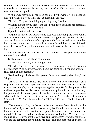shutters to the windows. The old Chinese woman, who owned the house, kept it in order and cooked for her tenant, was out today. Elishama found the door open and went straight in.

Virginie was playing a patience on her table by the window. She looked up and said: 'God, is it you? What are you bringing? Shawls?'

'No, Miss Virginie, I am bringing nothing today,' said he.

'What is the use of you then?' she asked. 'Sit down and keep me company, in God's name, now that you are here.'

Upon this invitation he sat down.

Virginie, in spite of her venturesome past, was still young and fresh, with a flower-like quality in her, as if there had been a large rose in water in the room. She was dressed in a white muslin negligée with flounces and a train to it, but had not yet done up her rich brown hair, which floated down to the pink sash round her waist. The golden afternoon sun fell between the shutters into her lap.

She went on with her patience, but spoke the while. 'Are you still with the old devil?' she asked.

Elishama said: 'He is ill and cannot go out.'

'Good,' said Virginie, 'is he going to die?'

'No, Miss Virginie,' said Elishama. 'He is even strong enough to make up new schemes. With your permission, I am now going to tell you one of them. I shall begin at the beginning.'

'Well, so long as he is too ill to go out, I can stand hearing about him,' said Virginie.

'Mr Clay,' said Elishama, 'has heard a story told. Fifty years ago—on a ship, one night off the Cape—he heard a story told. Now that he is ill and cannot sleep at night, he has been pondering this story. He dislikes pretence, he dislikes prophecies, he likes facts. He has made up his mind to have the story happen in real life, to real people. I have been in his service for seven years who would he get to carry out his wish if not me? He is the richest man in Canton, Miss Virginie, he must have what he wants. Now I shall tell you the story.

'There was a sailor,' he began, 'who went ashore from his ship in the harbour of a big town. As he was walking by himself in a street near the harbour, a carriage with two fine, well-paired bay horses drove up to him, and an old gentleman stepped out of the carriage and said to him: "You are a finelooking sailor. Do you want to earn five guineas tonight?" When the sailor said yes, the old gentleman drove him to his house and gave him food and wine. He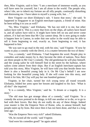then, Miss Virginie, said to him: "I am a merchant of immense wealth, as you will have seen for yourself, but I am all alone in the world. The people who, when I die, are to inherit my fortune are all silly people, continually disturbing and distressing me. I have taken to myself a young wife, but. . . "

Here Virginie cut short Elishama's tale. 'I know that story,' she said. 'It happened in Singapore to an English merchant-captain, a friend of mine. Has he been telling it to you as well?'

'No, Miss Virginie,' said Elishama. 'He has not told it to me, but other sailors have told it. This is a story that lives on the ships, all sailors have heard it, and all sailors have told it. It might have been left on sea and never come ashore, if it had not been that Mr Clay cannot sleep. He is now going to make it happen here in Canton, in order that one sailor in the world may be able to tell it from beginning to end, exactly as, from beginning to end, it has happened to him.'

'He was sure to go mad in the end, with his sins,' said Virginie. 'If now he wants to play a comedy with the Devil, it is a matter between the two of them.'

'Yes, a comedy,' said Elishama. 'I had forgotten the word. People play in comedies and make money by it, they become the idols of nations. Now there are three people in Mr Clay's comedy. The old gentleman he will play himself, and the young sailor he will himself find in the street by the harbour, where sailors come ashore from their ships. But if an English merchant-captain has told you this story, Miss Virginie, he will have told you that beside these two there is also a beautiful young lady in it. On Mr Clay's behalf I am now looking for this beautiful young lady. If she will come into this story, and finish it for him, Mr Clay will pay her one hundred guineas.'

Virginie, in her chair, turned her rich young torso all round towards Elishama, folded her arms upon her bosom and laughed to his face. 'What is all this?' she inquired.

'It is a comedy, Miss Virginie,' said he. 'A dream or a tragedy. It is a story.'

'The old man has got strange ideas of a comedy,' said Virginie. 'In a comedy the actors pretend to do things, to kill one another or to die, or to go to bed with their lovers. But they do not really do any of these things. Indeed your master is like the Emperor Nero of Rome, who, to amuse himself, had people eaten up by lions. But since then it has not been done, and that is a long time ago.'

'Was the Emperor Nero very rich?' asked Elishama.

'Oh, he owned all the world,' said Virginie.

'And were his comedies good?' he again asked.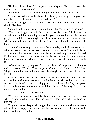'He liked them himself, I suppose,' said Virginie. 'But who would he nowadays get to play in them?'

'If he owned all the world, he would get people to play in them,' said he.

Virginie looked hard at Elishama, her dark eyes shining. 'I suppose that nobody could insult *you*, even if they tried hard?'

Elishama thought her remark over. 'No,' he said, 'they could not. Why should I let them?'

'And if I told you,' she said, 'to go out of my house, you would just go?'

'Yes, I should go,' he said. 'It is your house. But when I had gone you would sit and think of the things for which you had turned me out. It is when people are told their own thoughts that they think they are being insulted. But why should not their own thoughts be good enough for other people to tell them?'

Virginie kept looking at him. Early that same day she had been so furious with her destiny that she had been planning to throw herself into the harbour. The patience had calmed her a little. Now she suddenly felt that she and Elishama were alone in the house and that he had not got it in him to repeat their conversation to anybody. Under the circumstances she might go on with it.

'What does Mr Clay pay you for coming here and proposing this thing to me?' she asked. '*Trente pièces d'argent, n'est-ce pas? C'est le prix!*' When Virginie's mind moved in high spheres she thought, and expressed herself, in French.

Elishama, who spoke French well, did not recognise her quotation, but imagined that she was mocking him for being poorly paid in Mr Clay's service. 'No,' he said. 'I am not being paid for this. I am in Mr Clay's employ, I cannot take on work anywhere but with him. But you, Miss Virginie, you can go wherever you like.'

'Yes, I presume so,' said Virginie.

'Yes, you presume so,' said Elishama, 'and you have been able to go wherever you liked all your life. And you have gone here, Miss Virginie, to this house.'

Virginie blushed deeply with anger, but at the same time she once more felt, and more deeply than before, that the two were alone in the house, with the rest of the world shut out.

### **VII. VIRGINIE**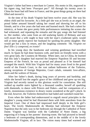Virginie's father had been a merchant in Canton. His motto in life, engraved in his signet ring, had been '*Pourquoi pas?*' All through his twenty years in China his heart had still been in France, and the great things going on there had filled and moved it.

At the time of his death Virginie had been twelve years old. She was his eldest child and his favourite. As a little girl she was as lovely as an angel, the proud father amused himself taking her round and showing her off to his friends, and in a few years she had seen and learned much. She had a talent for mimicry, at home she gave pretty little performances imitating the scenes she had witnessed, and repeating the remarks and the gay songs she had listened to. Her mother, who came from an old seafaring family of Brittany and was well aware that a wife ought to bear with her man's exuberant spirit, would still at times gently reprove her husband for spoiling his pretty daughter. She would get but a kiss in return, and the laughing comment: '*Ah, Virginie est fine! Elle s'y comprend, en ironie!*'

In his young days the handsome and winning gentleman had travelled much. In Spain he had done business with, and been on friendly terms with a very great lady, the Countess de Montijo. When later, out in China, he learned that this lady's daughter had married the Emperor Napoleon III and become Empress of the French, he was as proud and pleased as if he himself had arranged the match. With him Virginie had for many years lived in the grand world of the French Court, in the vast radiant ballrooms of the Tuileries, among receptions of foreign Majesties, Court cabals, romantic love-affairs, duels and the waltzes of Strauss.

After her father's death, during long years of poverty and hardship, and while she herself lost the angelic grace of her childhood and grew up too big, Virginie had secretly turned to this glorious world for consolation. She still walked up marble stairs lighted by a thousand candles, herself all sparkling with diamonds, to dance with Princes and Dukes—and her companions of a lonely, monotonous existence in dreary rooms wondered at the girl's pluck. In the end, however, the Tuileries themselves had faded and vanished round her.

Even when the father had endeavoured to engraft moral principles in the daughter's young mind he had illustrated them with little anecdotes from the Imperial Court. One of them had impressed itself deeply in the little girl's heart. The lovely Mademoiselle de Montijo had informed the Emperor Napoleon that the only way to her bedroom ran through the Cathedral of Notre Dame. Virginie was familiar with the Cathedral of Notre Dame, a big engraving of it hung in her parents' drawing-room. She had pictured to herself a bedroom of corresponding dimensions, and in the middle of it the lovely Mademoiselle Virginie, all in lace. The vision many times had warmed and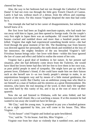cheered her heart.

Alas, the way to her bedroom had not run through the Cathedral of Notre Dame! It had not even run through the little grey French Church of Canton. Lately it had run, without much of a detour, from the offices and countinghouses of the town. For this reason Virginie despised the men that had come by it.

One triumph she had had in her career of disappointments, but nobody but herself knew of it.

Her first lover had been an English merchant-captain, who had made her run away with him to Japan, just then opened to foreign trade. On the couple's very first night in Japan there was an earthquake. All round their little hotel houses cracked and tumbled down and more than a hundred people were killed. Virginie that night had experienced something beside terror—she had lived through the great moment of her life. The thundering roar from heaven was directed against her personally, the earth shook and trembled at the loss of her innocence, the mighty breakers of the sea bewailed Virginie's fall! Frivolous human beings only—her lover with them—within this hour ignored the law of cause and effect and failed to realise the extent of her ruin.

Virginie had a good deal of kindness in her nature. In her present sad situation, after she had definitely come down from the Tuileries, she would have liked her lovers better had they left her free to love them in her own way, as poor pitiful people in need of sympathy. She might have put up with her present lover, Elishama's friend, if she could have made him see their liaison such as she herself saw it—as two lonely people's attempt to make, in an unpretentious bourgeois way and by means of a little mutual gentleness, the best of a sorry world. But Charley was an ambitious young man who liked to see himself as a man of fashion and his mistress as a great Demimondaine. His mistress, who knew the real meaning of the word, in their daily life together was tried hard by this vanity of his, and it lay at the root of most of their quarrels.

Now she sat and listened to Elishama, with her arms folded, and her lustrous eyes half closed, like a cat watching a mouse. If at this moment he had wanted to run away she would not have let him go.

'Mr Clay,' said the young man, 'is prepared to pay you a hundred guineas if, on a night appointed by him, you will come to his house. This, Miss Virginie . . .'

'To his house!' cried Virginie and looked up quite bewildered.

'Yes,' said he. 'To his house. And this, Miss Virginie . . .'

Virginie rose from her chair so violently that it tumbled over, and struck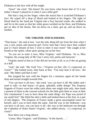Elishama in the face with all her might.

'Jesus!' she cried. 'His house! Do you know what house that is? It is my father's house! I played in it when I was a little girl!'

She had a ring on her finger, when she struck him it scratched Elishama's face. He wiped off a drop of blood and looked at his fingers. The sight of blood shed by her hand put Virginie into a fury beyond words, she walked to and fro in the room so that her white gown swished on the floor, and Elishama got an idea of the drama. She sat down on a chair, got up, and sat down on another.

### **VIII. VIRGINIE AND ELISHAMA**

'That house,' she said at last, 'was the only thing left me from the time when I was a rich, pretty and innocent girl. Every time that I have since then walked past it I have dreamt of how I were to enter it once more!' She caught at her breath as she spoke, white spots sprang out on her face.

'So you are to enter it now, Miss Virginie,' said Elishama. 'So is, Miss Virginie, the young lady of Mr Clay's story rich, pretty and innocent.'

Virginie stared at him as if she did not see him at all, or as if she sat gazing at a doll.

'God,' she said. 'My God! Yes—"*Virginie est fine, elle s'y comprend, en ironie!*" ' She looked away, then back at him. 'You may hear it all now,' she said. 'My father said that to me!'

She stopped her ears with her fingers for a moment, again let her hands drop and turned straight towards him.

'You can have it all now,' she cried, 'you can have it all! My father and I used to talk—in that house—of great, splendid, noble things! The Empress Eugenie of France wore her white satin shoes one single time only, then made a present of them to the convent schools for the little girls there to wear at their first communion! I was to have done the same thing—for Papa was proud of my small feet!' She lifted her skirt a little and looked down at her feet, in a pair of old slippers. 'The Empress of France made a great unexampled career for herself, and I was to have done the same. And the way to her bedroom—you can have it all now, you can have it all—the way to her bedroom ran through the Cathedral of Notre Dame! *Virginie*,' she added slowly, '*s'y comprend, en ironie!*'

Now there was a long silence.

'Listen, Miss Virginie,' said Elishama. 'In the shawls . . .'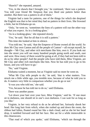'Shawls?' she repeated, amazed.

'Yes, in the shawls that I brought you,' he continued, 'there was a pattern. You told your friend Mr Simpson that you liked one pattern better than another. But there was a pattern in all of them.'

Virginie had a taste for patterns, one of the things for which she despised the English was that to her mind they had no pattern in their lives. She frowned a little, but let Elishama go on.

'Only,' he went on, 'sometimes the lines of a pattern will run the other way of what you expect. As in a looking-glass.'

'As in a looking-glass,' she repeated slowly.

'Yes,' he said. 'But for all that it is still a pattern.'

This time she looked at him in silence.

'You told me,' he said, 'that the Emperor of Rome owned all the world. So does Mr Clay own Canton and all the people of Canton'—all except myself, he thought—'Mr Clay, and other rich merchants like him, own it. If you look out into the street you will see many hundred people going north and south, east and west. How many of them would be going at all, if they had not been told to do so by other people? And the people who have told them, Miss Virginie, are Mr Clay and other rich merchants like him. Now he has told you to go to his house, and you will have to go.'

'No,' said Virginie.

Elishama waited a moment, but as Virginie said no more he went on.

'What Mr Clay tells people to do,' he said, 'that is what matters. You struck me a little while ago, you tremble now, because of what he told you to do. It matters very little in comparison whether you do go or not.'

'It was you who told me,' she said.

'Yes, because he has told me to do so,' said Elishama.

There was another pause.

'Let down your hair over your face, Miss Virginie,' said he. 'If one must sit in darkness, one should sit in one's own darkness. I can wait for as long as you like.'

Virginie, in her very refusal to do as he advised her, furiously shook her head. Her long hair from which, when she rushed up and down the room, the ribbon had fallen, floated round her like a dark cloud, and as she let her head drop, it tumbled forward and hid her face. She sat for a while immovable in this chiaroscuro.

'That road of which you spoke,' said Elishama, 'which ran through the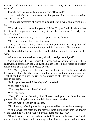Cathedral of Notre Dame—it is in this pattern. Only in this pattern it is reversed.'

From behind her veil of hair Virginie said. 'Reversed?'

'Yes,' said Elishama. 'Reversed. In this pattern the road runs the other way. And runs on.'

The strange sweetness of his voice, against her own will, caught Virginie's ear.

'You will make a career for yourself, Miss Virginie,' said Elishama, 'no less than the Empress of France. Only it runs the other way. And why not, Miss Virginie?'

Virginie, after a minute, asked: 'Did you know my father?'

'No, I did not know him,' said Elishama.

'Then,' she asked again, 'from where do you know that the pattern of which you speak does run in my family, and that there it is called a tradition?'

Elishama did not answer her, because he did not know the meaning of the word.

After another minute she said very slowly: 'And *pourquoi pas*?'

She flung back her hair, raised her head, and sat behind her table like a saleswoman behind her desk. To Elishama her face looked broader and flatter than before, as if a roller had passed over it.

'Tell Mr Clay from me,' she said, 'that I will not come for the price which he has offered me. But that I shall come for the price of three hundred guineas. That, if you like, is a pattern. Or—in such terms as Mr Clay will understand it is an old debt.'

'Is that your last word, Miss Virginie?' he asked.

'Yes,' said Virginie.

'Your very last word?' he asked again.

'Yes,' she said.

'Then, if it is so,' he said, 'I shall now hand you over three hundred guineas.' He took up his wallet and laid the notes on the table.

'Do you want a receipt?' she asked.

'No,' he said, reflecting that this bargain would be safer without a receipt.

Virginie swept the notes and the playing-cards, all together, into the drawer of the table. She was not going to play any more patience today.

'How do you know,' she said and looked Elishama in the face, 'that I shall not set fire to the house in the morning, before I leave it again, and burn your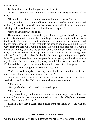master in it?'

Elishama had been about to go, now he stood still.

'I shall tell you one thing before I go,' said he. 'This story is the end of Mr Clay.'

'Do you believe that he is going to die with malice?' asked Virginie.

'No,' said he. 'No, I cannot tell. But one way or another, it will be the end of him. No man in the world, not the richest man within it, can take a story, which people have invented and told, and make it happen.'

'How do you know?' she asked.

He waited a moment. 'If you add up a column of figures,' he said slowly so as to make the matter clear to her, 'you begin from your right-hand side, with the lowest figure, and move left, to the tens, the hundreds, the thousands and the ten thousands. But if a man took into his head to add up a column the other way, from the left, what would he find? He would find that his total would come out wrong, and that his account-books would be worth nothing. Mr Clay's total will come out wrong, and his books will be worth nothing. And what will Mr Clay do without his books? It is not a good thing to me myself, Miss Virginie, I have been in his employ for seven years, and I shall now lose my situation. But there is no getting away from it.' This was the first time that Elishama did ever speak confidentially about his master to a third party.

'Where are you going now?' Virginie asked him.

'Me?' he said, surprised that anybody should take an interest in his movements. 'I am going home now to my room.'

'I wonder,' said she with a kind of awe in her voice, 'where that will be. And what it will be like. Had you a home when you were a child?'

'No,' said he.

'Had you brothers and sisters?' she asked again.

'No,' said he.

'No, I thought so,' said Virginie. 'For I see now who you are. When you came in, I thought that you were a small rat, out of Mr Clay's storehouses. *Mais toi—tu es le Juif Errant!*'

Elishama gave her a quick deep glance from his veiled eyes and walked away.

### **IX. THE HERO OF THE STORY**

On the night which Mr Clay had destined for his story to materialise, the full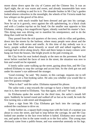moon shone down upon the city of Canton and the Chinese Sea. It was an April night, the air was warm and sweet, and already innumerable bats were soundlessly swishing to and fro in it. The oleander bushes in Mr Clay's garden looked almost colourless in the moonlight, the wheels of his Victoria made but low whisper on the gravel of his drive.

Mr Clay with much trouble had been dressed and got into his carriage. Now he sat in it gravely, erect against the silk upholstering, in a black cloak and with a London top-hat on his head. On the smaller seat opposite to him Elishama, cutting a less magnificent figure, silently watched his master's face. This dying man was driving out to manifest his omnipotence, and to do the thing that could not be done.

They passed from the rich quarters of the town, with its villas and gardens, down into the streets by the harbour, where many people were about and the air was filled with noises and smells. At this time of day nobody was in a hurry, people walked about leisurely or stood still and talked together, the carriage had to drive along slowly. Here and there lamps in many colours were hung out from the houses, like bright jewels in the pale evening air.

Mr Clay from his seat looked sharply at the men on the pavement. He had never before watched the faces of men in the street, the situation was new to him and would not be repeated.

A lonely sailor came walking up the street, gazing about him, and Mr Clay ordered Elishama to stop the carriage and accost him. So the clerk got out and under his master's eye addressed the stranger.

'Good evening,' he said. 'My master, in this carriage, requests me to tell you that you are a fine-looking sailor. He asks you whether you would like to earn five guineas tonight.'

'What is that?' said the sailor. Elishama repeated his phrase.

The sailor took a step towards the carriage to have a better look at the old man in it, then turned to Elishama. 'Say that again, will you?' he said.

As Elishama spoke the words for the third time, the sailor's mouth fell open. Suddenly he turned round and walked off as fast as he could, he took the first turning into a side-street and disappeared.

Upon a sign from Mr Clay Elishama got back into the carriage, and ordered the coachman to drive on.

A little further on, a square-built young man with the look of a seaman was about to cross the street, and had to stop before the carriage, he and Mr Clay looked one another in the face even before it halted. Elishama once more got out, and spoke to him in the same words as to the first sailor. This young man obviously came from a public-house, and was somewhat unsteady on his legs.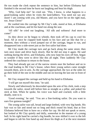He too made the clerk repeat the sentence to him, but before Elishama had finished it the second time he burst out laughing and beat his thigh.

'Why, God help me!' he cried out. 'This, I know, is what happens to a good-looking sailor when he visits the land-lubbers. You need not say any more! I am coming with you, old Master, and you have hit on the right man, too. Jesus Christ!'

He vaulted into the carriage by Mr Clay's side, stared at him, at Elishama and at the coachman, and let his hand run along the seat.

'All silk!' he cried out laughing. 'All silk and softness! And more to come!'

As they drove on he began to whistle, then took off his cap to cool his head. All at once he clapped both hands to his face and sat like that for a moment, then without a word jumped out of the carriage, began to run, and disappeared into a side-street just as the first sailor had done.

Mr Clay made the carriage turn and go back along the same street, then turn once more and drive back slowly. But he did not stop it again. He said nothing during the drive, and Elishama, who now kept his eyes off him, began to wonder if they were to drive like this all night. Then suddenly Mr Clay ordered the coachman to return to the house.

They had already got out of the narrow streets near the harbour and on to the road leading to Mr Clay's house, when three young sailors came straight towards them, arm in arm. As the carriage approached, the two at the sides let go their hold of the one in the middle and ran on leaving the last one in front of it.

Mr Clay stopped the carriage and held up his hand to Elishama.

'I will get out myself this time,' he said.

Slowly and laboriously he descended upon the arm of his clerk, took a step towards the sailor, stood still before him as straight as a pillar, and poked his stick at him. When he spoke, his voice was hard and cracked, with a little deadly, note to it.

'Good evening,' he said. 'You are a fine-looking sailor. Do you want to earn five guineas tonight?'

The young sailor was tall, broad and large-limbed, with very big hands. His hair was so fair and stood out so long and thick round his head, that at first Elishama believed him to have on a white fur cap. He did not speak or move, but looked at Mr Clay quietly and dully, somewhat in the manner of a young bull. In his right hand he carried a big bundle, he now shifted it over to the left and began to rub his free hand up and down his thigh as if at the next moment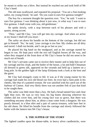he meant to strike out a blow. But instead he reached out and took hold of Mr Clay's hand.

The old man swallowed, and repeated his proposal. 'You are a fine-looking sailor, my young friend,' he said. 'Do you want to earn five guineas tonight?'

The boy for a moment thought the question over. 'Yes,' he said. 'I want to earn five guineas. I was thinking about it just now, in what way I was to earn five guineas. I shall come with you, old gentleman.'

He spoke slowly, with a stop between each of his phrases and with a quaint, strong accent.

'Then,' said Mr Clay, 'you will get into my carriage. And when we arrive at my house I shall tell you more.'

The sailor set down his bundle on the bottom of the carriage, but did not get in himself. 'No,' he said, 'your carriage is too fine. My clothes are all dirty and tarred. I shall run beside, and I can go as fast as you.'

He placed his big hand on the mudguard, and as the carriage started he began to run. He kept pace with the two tall English horses all the way, and when they stopped at the front door of Mr Clay's house he did not seem to be much out of breath.

Mr Clay's servants came out to receive their master and to help him out of his carriage and his cloak, and the butler of the house, a fat and bald Chinaman all dressed in green silk, appeared on the veranda and held up a lantern on a long pole. In the golden light of the lamp Elishama took a look at the host and the guest.

Mr Clay had strangely come to life. It was as if the young runner by his carriage had made his own old blood run freer, he even had a faint pink in his cheeks, like that of a painted woman. He was satisfied with his catch out of the harbour of Canton. And very likely there was not another fish of just that kind to be caught there.

The sailor was little more than a boy. He had a broad tanned face and clear light blue eyes. He was so very lean, his big bones showing wherever his clothes did not cover him, and his young face was so grave, that there was something uncanny about him, as about a man come from a dungeon. He was poorly dressed, in a blue shirt and a pair of canvas trousers, with bare feet in his old shoes. He lifted his bundle from the carriage and slowly followed the butler with the lantern into Mr Clay's house.

### **X. THE SUPPER OF THE STORY**

The lighted candles upon the dinner-table, in heavy silver candlesticks, were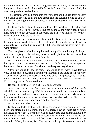manifoldly reflected in the gilt-framed glasses on the walls, so that the whole long room glittered with a hundred little bright flames. The table was laid, the food ready and the bottles drawn.

To Elishama, who had come into the room last and had sat down silently on a chair at one end of it, the two diners and the servants going to and fro noiselessly, waiting on them, all looked like human figures in a picture seen at a great distance.

Mr Clay had been helped into his pillow-filled armchair by the table, and here sat as erect as in the carriage. But the young sailor slowly gazed round him, afraid to touch anything in the room, and had to be invited two or three times to sit down before he did so.

The old man by a movement of his hand told his butler to pour out wine for his companion, watched him as he drank, and all through the meal had his glass refilled. To keep him company he did even, against his habit, sip a little wine himself.

The first glass of wine had a quick and strong effect on the boy. As he put down the empty glass he suddenly blushed so deeply that his eyes seemed to water with the heat from his burning cheeks.

Mr Clay in his armchair drew one profound sigh and coughed twice. When he began to speak his voice was low and a little hoarse, while he spoke it became shriller and stronger. But all the time he spoke very slowly.

'Now, my young friend,' he said, 'I am going to tell why I have fetched you, a poor sailor-boy, from a street by the harbour I am going to tell you why I have brought you to this house of mine, into which few people, even amongst the richest merchants of Canton, are ever allowed. Wait, and you shall hear all. For I have got many things to tell you.'

He paused a little, drew in his breath, and continued:

'I am a rich man, I am the richest man in Canton. Some of the wealth which in the course of a long life I have made, is here in my house, more is in my storehouses, and more even is on the rivers and on the sea. My name in China is worth more money than you have ever heard of. When, in China or in England, they name me, they name a million pounds.'

Again he made a short pause.

Elishama reflected that so far Mr Clay had recorded only such facts as had been long stored up in his mind, and he wondered how he would get on when he should have to move from the world of reality into that of imagination. For the old man, who in his long life had heard one story told, in his long life had never himself told a story, and had never pretended or dissimulated to anybody. When, however, Mr Clay again took up his recount, the clerk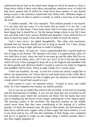understood that he had on his mind more things of which he meant to clear it. Deep down within it there were ideas, perceptions, emotions even, of which he had never spoken and of which he could never have spoken, to any human being except to the nameless, barefooted boy before him. Elishama began to realise the value of what is named a comedy, in which a man may at last speak the truth.

'A million pounds,' Mr Clay repeated. 'That million pounds is me myself. It is my days and my years, it is my brain and my heart, it is my life. I am alone with it in this house, I have been alone with it for many years, and I have been happy that it should be so. For the human beings whom in my life I have met and dealt with I have always disliked and despised. I have allowed few of them to touch my hand, I have allowed none of them to touch my money.

'And I have never,' he added thoughtfully, 'like other rich merchants, dreaded that my fortune should not last as long as myself. For I have always known how to keep it tight, and how to make it multiply.

'But then lately,' he went on, 'I have comprehended that I myself shall not last as long as my fortune. The moment will come, it is approaching, when we two shall have to part, when one half of me must go and the other half live on. Where and with whom, then, will it live on? Am I to let it fall into the hands which till now I have managed to keep off it, to be fingered and meddled with by those greedy and offensive hands? I would as soon let my body be fingered and meddled with by them. When at night I think of it I cannot sleep.

'I have not troubled,' he said, 'to look for a hand into which I might like to deliver my possessions, for I know that no such hand exists in the world. But it has, in the end, occurred to me that it might, give me pleasure to leave them in a hand which I myself had caused to exist.

'Had caused to exist,' he repeated slowly. 'Caused to exist, and called forth. As I have begotten my fortune, my million pounds.

'For it was not my limbs that ached in the tea-fields, in the mist of morning and the burning heat of midday. It was not my hand that was scorched on the hot iron-plates upon which the tea-leaves are dried. Not my hands that were torn in hauling taut the braces of the clipper, pressing her to her utmost speed. The starving coolies in the tea-fields, the dog-tired seamen on the middle watch never knew that they were contributing to the making of a million pounds. To them the minutes only, the pain in their hands, the hail-showers in their faces, and the poor copper coins of their wages had real existence. It was in my brain and by my will that this multitude of little things were combined and set to co-operate to make up one single thing: a million pounds. Have I not, then, legally begotten it?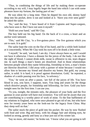'Thus, in combining the things of life and by making them co-operate according to my will, I may legally beget the hand into which I can with some pleasure leave my fortune, the lasting part of me.'

He was silent for a long time. Then he dipped his own old, skinny hand deep into his pocket, drew it out and looked at it. 'Have you ever seen gold?' he asked the sailor.

'No,' said the boy. 'I have heard of it from Captains and Super-cargoes, who have seen it. But I have not seen it myself.'

'Hold out your hand,' said Mr Clay.

The boy held out his big hand. On the back of it a cross, a heart and an anchor were tattooed.

'This,' said Mr Clay, 'is a five-guinea piece. The five guineas which you are to earn. It is gold.'

The sailor kept the coin on the flat of his hand, and for a while both looked at it concernedly. When Mr Clay took his eyes off it he drank a little wine.

'I myself,' he said, 'am hard, I am dry. I have always been so, and I would not have it otherwise. I have a distaste for the juices of the body. I do not like the sight of blood, I cannot drink milk, sweat is offensive to me, tears disgust me. In such things a man's bones are dissolved. And in those relationships between people which they name fellowship, friendship or love, a man's bones are likewise dissolved. I did away with a partner of mine because I would not allow him to become my friend and dissolve my bones. But gold, my young sailor, is solid. It is hard, it is proof against dissolution. Gold,' he repeated, a shadow of a smile passing over his face, 'is solvency.'

'You,' he went on after a pause, 'are full of the juices of life. You have blood in you, you have, I suppose, tears. You long and yearn for the things which dissolve people, for friendship and fellowship, for love. Gold you have tonight seen for the first time. I can use you.

'To you, tonight, the minutes only, the pleasure of your body and the five guineas in your pocket will have real existence. You will not be aware that you are contributing to a worthy piece of work of mine. To the fine bafflement of my relations in England, who were once pleased to get rid of me, but who have now for twenty years been on the look-out for the legacy from China. May they sleep well on that.'

The sailor stuck the piece of gold into his pocket. He was by now flushed with food and wine. Big and bony, with his shaggy hair and shining eyes, he looked as strong, greedy and lusty as a bear just out of his winter lair.

'Say no more, old master,' he broke out. 'I know what you are going to tell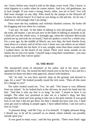me. I have, before now, heard it told on the ships, every word. This, I know, is what happens to a sailor when he comes ashore. And you, old gentleman, are in luck tonight. If you want a strong, hearty sailor, you are in luck. You will find none stronger on any ship. Who stood by the pumps in the blizzard off Lofoten for eleven hours? It is hard on you being so old and dry. As for me, I shall know well enough what I am doing.'

Once more the boy suddenly and violently blushed crimson. He broke off his bragging and was silent for a minute.

'I am not,' he said, 'in the habit of talking to rich old people. To tell you the truth, old master, I am not just now in the habit of talking to anybody at all. I shall tell you the whole story. A fortnight ago, when the schooner *Barracuda* picked me up and took me on board, I had not spoken a word for a whole year. For a year ago, by the middle of March, my own ship, the bark *Amelia Scott*, went down in a storm, and of all her crew I alone was cast ashore on an island. There was nobody but me there. It is not, tonight, more than three weeks since I walked there, on the beach of my island. There were many sounds on my island, but no one ever spoke. I myself sang a song there sometimes—you may sing to yourself. But I never spoke.'

### **XI. THE BOAT**

The unexpected strain of adventure in his sailor, and in his story, came agreeable to Mr Clay. He turned his half-closed eyes to the boy's face and for a moment let them rest there with approval, almost with kindness.

'Ah,' he said, 'so you have starved, slept on the ground, and dressed in rags, for a year?' He looked proudly round the rich room. 'Then all this must be a change to you?'

The sailor looked round too. 'Yes,' he said. 'This house is very different from my island.' As he looked back at the old man, he stuck his hand into his hair. 'And that is why my hair is so long,' he said. 'I meant to have it cut tonight. The other two promised to take me to a barber's shop, but they changed their mind and were going to take me to the girls instead. It was good luck to me that I did not get there, for then I should not have met you. I shall soon get used to talking to people again. I have talked before, I am not such a fool as I look.'

'A pleasant thing,' said Mr Clay, as if to himself. 'A highly pleasant thing, I should say, to be all by yourself on an island, where nobody can possibly intrude upon you.'

'It was good in many ways,' said the boy gravely. 'There were birds' eggs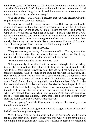on the beach, and I fished there too. I had my knife with me, a good knife, I cut a mark with it in the bark of a big tree each time that I saw a new moon. I had cut nine marks, then I forgot about it, and there were two or three more new moons before the *Barracuda* came along.'

'You are young,' said Mr Clay. 'I presume that you were pleased when the ship came and took you back to people.'

'I was pleased,' said the sailor, 'for one reason. But I had got used to the island, I had come to think that I were to remain there all my life. I told you there were sounds on the island. All night I heard the waves, and when the wind rose I would hear it round me to all sides. I heard when the sea-birds woke in the morning. One time it rained for a whole month and another time for a fortnight. Both times there were great thunderstorms. The rain came from the sky like a song, and the thunder like a man's voice, like my old Captain's voice. I was surprised. I had not heard a voice for many months.'

'Were the nights long?' asked Mr Clay.

'They were as long as the days,' answered the sailor. 'The day came, then the night, then the day. The one was as long as the other. Not like in my country, where the nights are short in summer and long in winter.'

'What did you think of at night?' asked Mr Clay.

'I thought mostly of one thing,' said the sailor. 'I thought of a boat. Many times I also dreamed that I had got her, that I launched her and steered her. She was to be a good strong, seaworthy boat. But she need not be big, not more than five lastages. A sloop would be the thing for me, with tall bulwarks. The stern should be blue, and I should carve stars round the cabin windows. My own home is in Marstal in Denmark. The old shipbuilder Lars Jensen Eager was a friend of my father's, he might help me to build the boat. I should make her trade with corn from Bandholm and Skelskor to Copenhagen. I did not want to die before I had got my boat. When I was taken up by the *Barracuda*, I thought that this was the first bit of my way to her, and that was the reason why I was pleased, then. And when I met you, old gentleman, and you asked me if I would earn five guineas, I knew that I had been right to come away from the island. And that was why I went with you.'

'You are young,' said Mr Clay again. 'Surely on the island you also thought about women?'

The boy sat silent for a long time and looked straight in front of him, as if he had in reality forgotten to speak.

'Yes,' he said. 'On the *Amelia Scott*, and on the *Barracuda* too, the others talked about their girls. I know, I know very well what you are paying me to do tonight. I am as good as any sailor. You will have no reason to complain of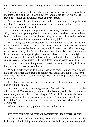me, Master. Your lady here, waiting for me, will have no reason to complain of me.'

Suddenly, for a third time, the blood rushed to his face—it sank back, mounted again and kept glowing darkly through the tan of his cheeks. He stood up from his chair, tall and broad and very grave.

'All the same,' he said in a new, deep voice, 'I may as well now go back to my ship. And you, my old gentleman, will take on another sailor for your job.' He stuck his hand into his pocket.

The faint rosy tinge disappeared from Mr Clay's cheeks. 'No,' he said. 'No, I do not want you to go back to your ship. You have been cast on a desert island, you have not spoken to a human being for a year. I like to think of that. I can use you. I shall take on no other sailor for my job.'

Mr Clay's guest took one step forward and there looked so big that the old man suddenly clenched the arms of the chair with his hands. He had before now been threatened by desperate men, and had beaten them off by the weight of his wealth, or by the force of his cool sharp brain. But the irate creature before him was too simple to give in to any of those arguments. He might have stuck his hand in his pocket to draw out the good knife of which he had just spoken. Was it, then, a matter of life and death to make a story come true?

The sailor took from his pocket the gold coin which Mr Clay had given him, and held it towards the old man.

'You had better not try to hold me back,' he said. 'You are very old, you have but little strength to stand up against me. Thank you, old Master, for the food and the wine. I shall now go back to my ship. Good night, old Gentleman.'

Mr Clay in his state of surprise and alarm could speak only lowly and hoarsely, but he spoke.

'And your boat, my fine young seaman,' he said. 'The boat which is to be all your own? The seaworthy smack of five lastages, which is to trade with corn from your own place to Copenhagen? What will she be, now that you are paying back your five guineas and going away? A story only, which you have been telling me—which will never come to be launched, which will never come to sail!'

After a moment the boy put the coin back in his pocket.

### **XII. THE SPEECH OF THE OLD GENTLEMAN IN THE STORY**

While the Nabob and the sailor-boy were entertaining one another in the brilliantly lighted dining-room, Virginie in the bedroom, where tonight all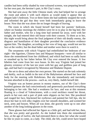candles had been softly shaded by rose-coloured screens, was preparing herself for her own part, the heroine's part, in Mr Clay's story.

She had sent away the little Chinese maid, who had helped her to arrange the room and adorn it with such objects as would make it appear like an elegant lady's bedroom. Two or three times she had suddenly stopped the work and informed the girl that they were both immediately going to leave the house. Now that she was alone she no longer thought of leaving.

The room in which she found herself had been her parents' bedroom, where on Sunday mornings the children were let in to play in the big bed. Her father and mother, who for a long time had seemed far away, were with her tonight, she had entered their old house with their consent. To them as to her, this night would bring about the final judgment of their old deadly enemy, the disgrace and humiliation of their daughter provided the conclusive evidence against him. The daughter, according to her vow of long ago, would not see his face at the verdict, but the dead father and mother were there to watch it.

The ornaments with which Virginie had embellished her bedroom of one night—the figurines, Chinese fans and Maquart bouquets—were all similar to those she remembered from her childhood, and which had been so sadly burnt or smashed up by her father before Mr Clay ever entered the house. A few bibelots had come from her own house. In this way Virginie had joined her gloomy existence of the last ten years with her gay and guiltless past of long ago, and had had it recognised by Monsieur and Madame Dupont.

She set to dress and adorn her own person. She started on the task solemnly and darkly, such as Judith in the tent of the Babylonians adorned her face and body for the meeting with Holofernes. But she immediately and inevitably became absorbed in the process—such as, very likely, Judith herself did.

Virginie was an honest person in money matters, out of Mr Clay's three hundred guineas she had conscientiously and generously purchased everything belonging to her role. She had a weakness for lace, and was at this moment floating in a cloud of Valenciennes, with a coral necklace round her throat, pearls in her ears and a pair of pink satin slippers on her feet. She powdered and rouged her face, blackened her eyebrows and painted her full lips, she let down her hair in rich silky ringlets over her smooth shoulders, and scented her neck, arms and bosom. When all was done, she gravely went up to one after another of the long looking-glasses in the room.

These glasses had reflected her figure as a little girl, and had told her, then, that she was pretty and graceful. As she looked into them she remembered how, at the age of twelve, she had entreated them to show her what she would be like in years to come, as a lady. The child, she felt, could never have hoped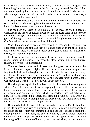to be shown, in a sweeter or rosier light, a lovelier, a more elegant and bewitching lady. Virginie's love of the dramatic art, inherited from her father and encouraged by him, came to her aid in the hour of need. If she was not what she appeared to be, neither had her father's business-transactions always been quite what they appeared to be.

During these reflections she had stepped out of her small silk slippers and stretched her fair, slim, strong body between the smooth sheets rich with lace, her dark silken tresses spread over the pillow-case.

She had been engrossed in the thought of her enemy, and she had become engrossed in the vision of herself. It was not till she heard steps in the corridor outside that she gave any thought to the third party in the story, her unknown guest of the night. Then for a second a little cold draught of contempt for Mr Clay's hired and bribed puppet ran through her mind.

When the doorknob turned she cast down her eyes, and till the door was once more opened and shut she kept her glance fixed upon the sheet. But in this withdrawal there was as much energy and vigour as in any direct glance of deadly, uncompromising enmity.

Mr Clay, in his long dressing-gown of heavy Chinese silk, came into the room leaning on his stick. Two respectful steps behind him a big, blurred shadow slowly crossed the threshold.

The one glass of wine he had taken with his guest had acted upon the invalid of many sleepless nights. He had also, a few minutes ago, been frightened a little, and although in the course of his life he had frightened many people, fear to himself was a rare experience and might well stir his blood in a new way. But the old man was drunk with a still stronger liquor. For tonight he was moving in a world created by his will and at his word.

His triumph had aged him, in a few hours his hair seemed to have grown whiter. But at the same time it had strangely rejuvenated him. He was at this hour conquering and subjugating, he was indeed, in absorbing them into his own being, annihilating the forces which unexpectedly had bid defiance to him. He was materialising a fantasy and changing a fable into fact. Dimly he felt that he was about to triumph over the person who had attempted to upset his own idea of the world—the Prophet Isaiah.

He smiled a little, he was a little bit unsteady on his legs. For the first time in his life he was impressed by a woman's beauty. He gazed almost happily at the girl in the bed, whom his command had called to life—and for a second the vague picture of a child, long ago shown to him by a proud father, appeared before him, and disappeared. He nodded his head in approval. His dolls were behaving well. The heroine of his story was pink and white, and her downcast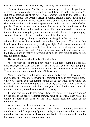eyes bore witness to alarmed modesty. The story was fetching headway.

This was the moment, Mr Clay knew, for the speech of the old gentleman in the story. He remembered it, word for word, from the night fifty years ago. But the consciousness of his power was somehow going to the head of the Nabob of Canton. The Prophet Isaiah is crafty, behind a pious mien he has knowledge of many ways and measures. Mr Clay had been a child only a very short time, until he had learned to speak and to understand the speech of other people. Now, as he was about to enter the heaven of his omnipotence, the Prophet laid his hand on his head and turned him into a child—in other words, the old stoneman was quietly entering his second childhood. He began to play with his story, he could not let go the theme of the dinner-table.

'You,' he began, poking his forefinger at the girl in the bed, 'and you' without looking at him he poked it at the boy, 'are young. You are in fine health, your limbs do not ache, you sleep at night. And because you can walk and move without pain, you believe that you are walking and moving according to your own will. But it is not so. You walk and move at my bidding. You are, in reality, two young, strong and lusty jumping-jacks within this old hand of mine.'

He paused, the little hard smile still on his face.

'So,' he went on, 'so are, as I have told you, all people jumping-jacks in a hand stronger than their own. So are, as I have told you, the poor jumpingjacks in the hands of the rich, the fools of this earth in the hands of the shrewd. They dance and drop as these hands pull the strings.

'When I am gone,' he finished, 'and when you two are left to yourselves, and believe that you are following the command of your own young blood only, you will still be doing nothing, nothing at all, but what I have willed you to do. You will be conforming to the plot of my story. For tonight this room, this bed, you yourselves with this same young hot blood in you—it is all nothing but a story turned, at my word, into reality.'

It came hard on him to tear himself from the room. He remained standing by the end of the bed for another minute, hung on his stick. Then with fine dignity he turned his back on the small actors upon the stage of his omnipotence.

As he opened the door Virginie raised her eyes.

She looked straight at the figure of her father's murderer, and saw a withdrawing and disappearing figure. Mr Clay's long Chinese dressing-gown trailed on the floor, and as he closed the door behind him it was caught in it, he had to open and close the door a second time.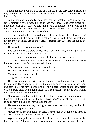#### **XIII. THE MEETING**

The room remained without a sound or a stir till, in the very same instant, the boy took two long steps forward and Virginie, in the bed, turned her head and looked at him.

At that she was so mortally frightened that she forgot her high mission, and for a moment wished herself back in her own house, and even under the patronage, such as it was, of Charley Simpson. For the figure by the end of the bed was not a casual sailor out of the streets of Canton. It was a huge wild animal brought in to crush her beneath him.

The boy stared at her, immovable except for his broad chest slowly going up and down with his deep regular breath. At last he said: 'I believe that you are the most beautiful girl in the world.' Virginie then saw that she had to do with a child.

He asked her. 'How old are you?'

She could not find a word to say. Was it possible, now, that her great dark tragedy was to be turned into a comedy?

The boy waited for an answer, then asked her again: 'Are you seventeen?'

'Yes,' said Virginie. And as she heard her own voice pronounce the word her face, turned towards him, softened a little.

'Then you and I are the same age,' said the boy.

He took another slow step and sat down on the bed.

'What is your name?' he asked.

'Virginie,' she answered.

He repeated the name twice and sat for some time looking at her. Then he lay down gently beside her on top of the quilt. In spite of his size he was light and easy in all his movements. She heard his deep breathing quicken, break off, and start again with a faint moan, as if something was giving way within him. They lay like this for a while.

'I have got something to tell you,' he suddenly broke out in a low voice. 'I have never till tonight slept with a girl. I have thought of it, often. I have meant to do it, many times. But I have never done it.'

He was silent once more, waiting to hear what she would say to this. As she said nothing he went on.

'It was not all my own fault,' he said. 'I have been away for a long time, in a place a long way off, where there were no girls.'

Again he stopped, and again spoke. 'I have never told the others on the boat,' he said. 'Nor my friends with whom I came ashore tonight. But I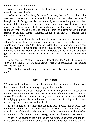thought that I had better tell you.'

Against her will Virginie turned her face towards him. His own face, quite close to hers, was all aglow.

'When I was in the place, far away from here, that I told you about,' he went on, 'I sometimes fancied that I had a girl with me, who was mine. I brought her bird's eggs and fish, and some big sweet fruits that grew there, but of which I do not know the name, and she was kind to me. We slept together in a cave that I found when I had been in the place for three months. When the full moon rose it shone into it. But I could not think of a name for her. I did not remember any girl's name—Virginie,' he added very slowly. 'Virginie.' And one more: 'Virginie.'

All at once he lifted the quilt and the sheet, and slid in beneath them. Although he still kept a little away from her she sensed his body there, big, supple, and very young. After a time he stretched out his hand and touched her. Her lace nightgown had slipped up on her leg, as now slowly the boy put out his hand it met her round naked knee. He started a little, let his fingers run gently over it, then withdrew his hand and felt his own lean and hard knee over.

A moment later Virginie cried out in fear of her life. 'God!' she screamed. 'For God's sake! Get up, we must get up. There is an earthquake—do you not feel the earthquake!'

'No,' the boy panted lowly into her face. 'No. It is not an earthquake. It is me.'

#### **XIV. THE PARTING**

When at last he fell asleep he held her close to him as in a vice, with his face bored into her shoulder, breathing deeply and peacefully.

Virginie, who had lately thought of so many things, lay awake but could think of nothing in the world. She had never in her life met with such strength. It would be useless and hopeless for her, here, to try to act on her own. She felt his mighty grip round her as a hitherto unknown kind of reality, which made everything else seem hollow and falsified.

In the middle of the night she suddenly remembered things which her mother had told her about her own people, the seafaring men of Brittany. Old French songs of the sailor's dangers, and of his homecoming, came back to her as on their own. In the end, from far away, came the sailor-wife's cradlesong.

When in the course of the night the boy woke up, he behaved with the girl in his bed like a bear with a honeycomb, growling over her in a wild state of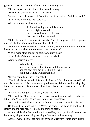greed and ecstasy. A couple of times they talked together.

'On the ships,' he said, 'I sometimes made a song.'

'What were your songs about?' she asked.

'About the sea,' he answered. 'And the life of the sailors. And their death.'

'Say a little of them to me,' said she.

After a moment he slowly recited:

As I was keeping the middle watch, and the night was cold, three swans flew across the moon, over her round face of gold.

'Gold,' he repeated, somewhat uneasily. And after a pause: 'A five-guinea piece is like the moon. And then not at all like her.'

'Did you make other songs?' asked Virginie, who did not understand what he meant, but somehow did not want him to be worried.

'Yes, I made other songs,' he said. 'About my boat.'

'Say a little of them to me, then,' she again asked.

Again he recited slowly:

When the sky is brown, and the sea yawns, three thousand fathoms down, and the boat runs downward like a whale, still Povl Velling will not turn pale.

'Is your name Paul, then?' she asked.

'Yes, Povl,' he answered. 'It is not a bad name. My father was named Povl, and his father too. It is the name of good seamen, faithful to their ship. My father was drowned six months before I was born. He is down there, in the sea.'

'But you are not going to drown, Paul?' she said.

'No,' said he. 'Maybe not. But I have many times wondered what my father thought of, when the sea took him at last, altogether.'

'Do you like to think of that sort of thing?' she asked, somewhat alarmed.

He thought her question over. 'Yes,' he said. 'It is good to think of the storms and the high sea. It is not bad to think of death.'

A little while after he called out, in a sudden, low cry: 'I shall have to go back to my ship as soon as it grows light. She sails in the morning.'

At these words a long, sad pain ran through Virginie's whole body. But the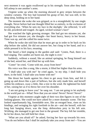next moment it was again swallowed up in his strength. Soon after they both fell asleep in one another's arms.

Virginie woke up when the morning showed in grey stripes between the window curtains. The boy had loosened his grasp of her, but was still, in his deep sleep, holding on to her hand.

The moment she woke she was gripped, as in a stranglehold, by one single thought. Never before had one thought filled her so entirely, to the exclusion of everything else. 'When he sees my face in the daylight,' she reflected, 'it will be old, powdered and rouged. An aged, wicked woman's face!'

She watched the light growing stronger. She had got ten minutes yet, she had got five minutes yet, she thought—her heart heavy, heavy in her breast. Time was up, and she called his name twice.

When he woke she told him that he must get up in order to be back on his ship before she sailed. He did not answer her, but clung to her hand, and in a while pressed it to his face, moaning.

She heard a bird singing in the garden and said: 'Listen, Paul, there is a bird singing. The candles are burnt out, the night is over.'

Suddenly, without a sound, like an animal springing, he flung himself out of the bed, seized her, and lifted her up with him.

'Come!' he cried, 'Come with me, away from here!'

His voice was like a song, like a storm, it lifted her higher than his arms.

'I shall take you with me!' he cried again, 'to my ship. I shall hide you there, in the hold. I shall take you home with me!'

She thrust her hands against his chest to get away from him, and felt it going up and down like a pair of bellows, but she only made him, and herself within his embrace, sway a little, like a tree in the wind. He tightened his hold of her, raising her as if to throw her over his shoulder.

'I am not going to leave you!' he sang out. 'I am not going to let anybody in the world part us—What! Now that you are mine! Never! Never! Never!'

Virginie at this moment caught sight of their two dim figures in one of the looking-glasses. She could not have asked for a more dramatic scene. The boy looked superhumanly big, formidable now, like an enraged bear, risen on his hindlegs, and swinging his right forelimb in the air—and she herself, with her long hair hanging down, was the limp, defenceless prey in his left arm. Writhing, she managed to get one foot to the ground. The boy felt her tremble, he let her down, but still held her close.

'What are you afraid of?' he asked, forcing her face up towards his own. 'You do not believe that I shall let anybody take you away from me!—You are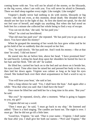coming home with me. You will not be afraid of the storms, or the blizzards, or the big waves, when I am with you. You will never be afraid in Denmark. There we shall sleep together every night. Like tonight. Like tonight!'

Virginie's deadly terror had nothing to do with storms, blizzards or big waves—she did not even, at this moment, dread death. She dreaded that he should see her face in the light of day. At first she dared not speak, for she did not feel sure of herself, and might say anything. But when she had stood on both feet for a minute she collected her whole being to find a way of escape.

'You can not do that,' she said, 'he has paid you.'

'What?' he cried out bewildered.

'That old man has paid you!' she repeated. 'He has paid you to go away at dawn. You have taken his money!'

When he grasped the meaning of her words his face grew white and he let go his hold of her so suddenly that she swayed on her feet.

'Yes,' he said slowly. 'He has paid me. And I took his money.—But at that time' he cried, 'I did not know!'

He stared into the air before him, above her head. 'I have promised him!' he said heavily. Letting his head drop upon her shoulders he buried his face in her hair and her flesh. 'Oh! oh! oh!' he wailed.

He lifted her, carried her back on to the bed and sat down on it beside her, his eyes closed. Time after time he raised her and pressed her body to his own, then laid her down again. Virginie was calmer as long as he kept his eyes closed. She looked back over their short acquaintance to find a word to say to him.

'You will have your boat,' she said at last.

After a long silence he said: 'Yes, I shall have the boat.' And again after a while: 'Was that what you said: that I shall have the boat?'

Once more he lifted her and held her for a long time in his arms. 'But you!' he said.

'But you?' he repeated, slowly, after a moment. 'What is going to happen to you, my girl?'

Virginie did not say a word.

'Then I must go,' he said, 'I must go back to my ship.' He listened and added: 'There is a bird singing. The candles are burnt out. The night is over. I must go.' But he did not go till a little later.

'Good-bye, Virginie,' he said. 'That is your name—Virginie. I shall name the boat after you. I shall give her both our names—"Povl and Virginie." She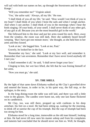will sail with both our names on her, up through the Storstroem and the Bay of Koege.'

'Will you remember me?' Virginie asked.

'Yes,' the sailor said. 'Always, all my life.' He rose.

'I shall think of you all my life,' he said. 'How would I not think of you in my boat? I shall think of you when I hoist the sails and when I weigh anchor. And when I cast anchor. I shall think of you in the mornings when I hear the birds singing. Of your body, of your smell. I shall never think of any other girl, of any girl at all. Because you are the most beautiful girl in the world.'

She followed him to the door and put her arms round his neck. Here, away from the window, the room was still dark. Here she suddenly heard herself weeping. 'But I have got one minute more,' she thought, as she held him in her arms and they kissed.

'Look at me,' she begged him. 'Look at me, Paul.'

Gravely, he looked her in the face.

'Remember my face,' she said. 'Look at my face well, and remember it. Remember that I am seventeen. Remember that I have never loved anybody till I met you.'

'I shall remember it all,' he said, 'I shall never forget your face.'

Clinging to him, her wet face lifted, she felt that he was freeing himself of her arms.

'Now you must go,' she said.

### **XV. THE SHELL**

By the light of that same dawn Elishama walked up Mr Clay's gravelled drive and entered the house, in order to be, in his quiet way, the full stop, or the epilogue, to the story.

In the long dining-room the table was still laid, and there was still a little wine in the glasses. The candles were burnt out, only one last flame flickered on its candlestick.

Mr Clay, too, was still there, propped up with cushions in his deep armchair, his feet on a stool. He had been sitting up, waiting for the morning, to drink off at sunrise the cup of his triumph. But the cup of triumph had been too strong for him.

Elishama stood for a long time, immovable as the old man himself, looking at him. He had never till now seen his master asleep and from his complaints and laments had concluded that he should never see him so. Well, he thought,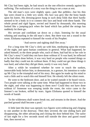Mr Clay had been right, he had struck on the one effective remedy against his suffering. The realisation of a story was the thing to set a man at rest.

The old man's eyes were slightly open—pale like pebbles—but his thin lips were closed in a little wry smile. His face was grey like the bony hands upon his knees. His dressing-gown hung in such deep folds that there hardly seemed to be a body in it to connect this face and head with these hands. The whole proud and rigid figure, envied and feared by thousands, this morning looked like a jumping-jack when the hand which has pulled the strings has suddenly let them go.

His servant and confidant sat down on a chair, listening for the usual whining and snarling in the old man's chest. But there was not a sound in the room. Elishama repeated to himself the words of his Prophet:

'And sorrow and sighing shall flee away.'

For a long time Mr Clay's clerk sat with him, meditating upon the events of the night, and upon human conditions in general. What had happened, he asked himself, to the three people who, each of them, had had his or her role in Mr Clay's story? Could they not have done without it? It was hard, he reflected as he had often done before, it was very hard on people who wanted things so badly that they could not do without them. If they could not get these things it was hard, and when they did get them, surely it was very hard.

After a while he wondered whether he were to touch the sunken, immovable body before him, to demonstrate, in a gesture, his intention to wake up Mr Clay to the triumphal end of his story. But again he made up his mind to wait a little and to watch this end himself first. He silently left the silent room.

He went to the bedroom door, and as he waited outside it he heard voices. Two people were talking at the same time. What had happened to those two in the night, and what was happening to them now? Could they not have done without it? Someone was weeping inside the room, the voice came to the listener's ear broken, stifled by tears. Again Elishama quoted to himself the words of Isaiah:

'In the wilderness shall waters break out, and streams in the desert. And the parched ground shall become a pool.'

A little later the door was opened, two figures were embracing and clinging to one another in the doorway. Then they severed, the one sliding back and disappearing, the other advancing and closing the door behind him. The sailor of last night for a few seconds stood still outside the door and gazed round him, then moved on.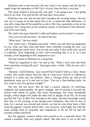Elishama took a step forward. He was loyal to his master and felt that he ought to get the attestation of Mr Clay's victory from the boy's own lips.

The sailor looked at him gravely and said: 'I am going away. I am going back to my ship. You will tell the old man that I have gone.'

Elishama now saw that he had been mistaken the evening before, the boy was not so young as he had taken him to be. It made but little difference—it was still a long time till he would be as old as Mr Clay, peacefully at rest in his armchair. For a long time yet he would be unsafe, in the hands of the elements, and of his own wants.

The clerk took upon himself to settle and balance up his master's concern.

'Now you can tell the story,' he said to the boy.

'What story?' the boy asked.

'The whole story,' Elishama answered. 'When you tell what has happened to you, what you have seen and done, from yesterday evening till now, you will be telling the whole story. You are the one sailor in the world who can tell it truthfully, from beginning to end, with everything that is in it, as it has actually, from beginning to end, happened to you.'

The boy looked at Elishama for a long time.

'What has happened to me?' he said at last. 'What I have seen and done from yesterday evening till now?' And again after a while: 'Why do you call it a story?'

'Because,' said Elishama, 'you yourself have heard it told as a story. About a sailor who comes ashore from his ship in a big town. And he is walking by himself in a street near the harbour, when a carriage drives up, and an old gentleman steps out of it and says to him: "You are a fine-looking sailor, do you want to earn five guineas tonight?" '

The boy did not move. But he had a curious capacity of collecting, suddenly and imperceptibly, his great strength, and of turning it towards the person with whom he spoke, like some threatening, like some formidable weight, which might well make the other feel in danger of his life. So he had puzzled Mr Clay at their first meeting in the street, and had downright scared him later in the evening, in the dining-room. Elishama, who had no fear in him, for a second was moved and stirred—so that he even drew back a little from the gigantic creature before him—not, however, with fright, but with the same strange kind of sympathy and compassion as all his life he had felt towards women and birds.

But the gigantic creature before him proved to be a peaceful beast. He waited a moment, then very quietly stated: 'But that story is not in the least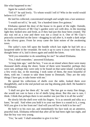like what happened to me.'

Again he waited a little.

'Tell it?' he said lowly. 'To whom would I tell it? Who in the world would believe it if I told it?'

He laid his collected, concentrated strength and weight into a last sentence:

'I would not tell it,' he said, 'for a hundred times five guineas.'

Elishama opened the door of the house to its guest of the night. Outside, the trees and flowers of Mr Clay's garden were wet with dew, in the morning light they looked new and fresh, as if they had just this hour been created. The sky was red as a rose and there was not a cloud in it. One of Mr Clay's peacocks screeched on the lawn—dragging its tail after it, it made a dark stripe in the silvery grass. From far away came the faint noises of the awakening town.

The sailor's eyes fell upon the bundle which last night he had left on a lacquered table in the verandah. He took it up to carry it away with him, then thought better of it, laid it down again and undid the knots.

'Will you remember to do something for me?' he asked Elishama.

'Yes, I shall remember,' answered Elishama.

'A long time ago,' said the boy, 'I was on an island where there were many thousand shells along the shore. Some of them were beautiful, perhaps they were rare, perhaps they were only to be found on that same island. I picked up a few every day, in the morning. I took some of them, the most beautiful of them, with me. I meant to take them home to Denmark. They are the only things I have got, to take home with me.'

He spread his collections of shells over the table, looked them over thoughtfully, and in the end picked out one big shining pink shell. He handed it to Elishama.

'I shall not give her them all,' he said. 'She has got so many fine things, she would not care to have a lot of shells lying about. But this one is rare, I think. I think that perhaps there is not another one just like it in all the world.'

He slowly felt the shell over with his fingers. 'It is as smooth and silky as a knee,' he said. 'And when you hold it to your ear there is a sound in it, a song. Will you give it to her from me? And will you tell her to hold it to her ear?'

He held it to his own ear, and immediately his face took on an attentive, peaceful look. Elishama reflected that after all he had been right last night, and that the boy was very young.

'Yes,' he said. 'I shall remember to give it to her.'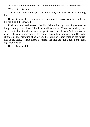'And will you remember to tell her to hold it to her ear?' asked the boy.

'Yes,' said Elishama.

'Thank you. And good-bye,' said the sailor, and gave Elishama his big hand.

He went down the verandah steps and along the drive with the bundle in his hand, and disappeared.

Elishama stood and looked after him. When the big young figure was no longer in sight, he himself lifted the shell to his ear. There was a deep, low surge in it, like the distant roar of great breakers. Elishama's face took on exactly the same expression as the sailor's face a few moments ago. He had a strange, gentle, profound shock, from the sound of a new voice in the house, and in the story. 'I have heard it before,' he thought, 'long ago. Long, long ago. But where?'

He let his hand sink.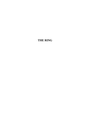# **THE RING**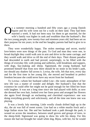$\mathbf{O}_{\text{mag}}^{\text{N}}$ N a summer morning a hundred and fifty years ago a young Danish Squire and his wife went out for a walk on their land. They had been married a week. It had not been easy for them to get married, for the wife's family was higher in rank and wealthier than the husband's. But the two young people, now twenty-four and nineteen years old, had been set on their purpose for ten years; in the end her haughty parents had had to give in to them.

They were wonderfully happy. The stolen meetings and secret, tearful love-letters were now things of the past. To God and man they were one, in broad daylight they could walk arm in arm and drive in the same carriage, and they would walk and drive so till the end of their days. Their distant paradise had descended to earth and had proved, surprisingly, to be filled with the things of everyday life; with jesting and railleries, with breakfasts and suppers, with dogs, hay-making and sheep. Sigismund, the young husband, had promised himself that from now there should be no stone in his bride's path, nor should any shadow fall across it. Lovisa, the wife, felt that now, every day and for the first time in her young life, she moved and breathed in perfect freedom because she could never have any secret from her husband.

To Lovisa—whom her husband called Lise—the rustic atmosphere of her new life was a matter of wonder and delight. Her husband's fear that the existence he could offer her might not be good enough for her filled her heart with laughter. It was not a long time since she had played with dolls; as now she dressed her own hair, looked over her linen press and arranged her flowers she again lived through an enchanting and cherished experience: one was doing everything gravely and solicitously, and all the time one knew one was playing.

It was a lovely July morning. Little woolly clouds drifted high up in the sky, the air was full of sweet scents. Lise had on a white muslin frock and a large Italian straw hat. She and her husband took a path through the park; it wound on across the meadows, between small groves and groups of trees, to the sheep-field. Sigismund was going to show his wife his sheep. For this reason she had not brought her small white dog, Bijou, with her, for he would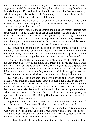yap at the lambs and frighten them, or he would annoy the sheep-dogs. Sigismund prided himself on his sheep, he had studied sheep-breeding in Mecklenburg and England, and had brought back with him Cotswold rams by which to improve his Danish stock. While they walked he explained to Lise the great possibilities and difficulties of the plan.

She thought: 'How clever he is, what a lot of things he knows!' and at the same time: 'What an absurd person he is, with his sheep! What a baby he is. I am a hundred years older than he.'

But when they arrived at the sheepfold the old sheep-master Mathias met them with the sad news that one of the English lambs was dead and two were sick. Lise saw that her husband was grieved by the tidings; while he questioned Mathias on the matter she kept silent and only gently pressed his arm. A couple of boys were sent off to fetch the sick lambs, the while master and servant went into the details of the case. It took some time.

Lise began to gaze about her and to think of other things. Twice her own thoughts made her blush deeply and happily, like a red rose, then slowly her blush died away and the two men were still talking about sheep. A little while after their conversation caught her attention. It had turned to a sheep-thief.

This thief during the last months had broken into the sheepfolds of the neighbourhood like a wolf, had killed and dragged away his prey like a wolf and like a wolf had left no trace after him. Three nights ago the shepherd and his son on an estate ten miles away had caught him in the act. The thief had killed the man and knocked the boy senseless, and had managed to escape. There were men sent out to all sides to catch him, but nobody had seen him.

Lise wanted to hear more about the horrible event, and for her benefit old Mathias went through it once more. There had been a long fight in the sheephouse, in many places the earthen floor was soaked with blood. In the fight the thief's left arm was broken; all the same he had climbed a tall fence with a lamb on his back. Mathias added that he would like to string up the murderer with these two hands of his, and Lise nodded her head at him gravely in approval. She remembered Red Riding Hood's wolf, and felt a pleasant little thrill running down her spine.

Sigismund had his own lambs in his mind, but he was too happy in himself to wish anything in the universe ill. After a minute he said 'Poor devil.'

Lise said, 'How can you pity such a terrible man? Indeed Grandmamma was right when she said that you were a revolutionary and a danger to society!' The thought of Grandmamma, and of the tears of past days, again turned her mind away from the gruesome tale she had just heard.

The boys brought the sick lambs and the men began to examine them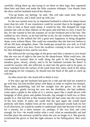carefully, lifting them up and trying to set them on their legs; they squeezed them here and there and made the little creatures whimper. Lise shrank from the show and her husband noticed her distress.

'You go home, my darling,' he said, 'this will take some time. But just walk ahead slowly, and I shall catch up with you.'

So she was turned away by an impatient husband to whom his sheep meant more than his wife. If any experience could be sweeter than to be dragged out by him to look at those same sheep, it would be this. She dropped her large summer hat with its blue ribbons on the grass and told him to carry it back for her, for she wanted to feel the summer air on her forehead and in her hair. She walked on very slowly, as he had told her to do, for she wished to obey him in everything. As she walked she felt a great new happiness in being altogether alone, even without Bijou. She could not remember that she had ever before in all her life been altogether alone. The landscape around her was still, as if full of promise, and it was hers. Even the swallows cruising in the air were hers, for they belonged to him, and he was hers.

She followed the curving edge of the grove and after a minute or two found that she was out of sight to the men by the sheep-house. What could now, she wondered, be sweeter than to walk along the path in the long flowering meadow grass, slowly, slowly, and to let her husband overtake her there? It would be sweeter still, she reflected, to steal into the grove and to be gone, to have vanished from the surface of the earth from him when, tired of the sheep and longing for her company, he should turn the bend of the path to catch up with her.

An idea struck her; she stood still to think it over.

A few days ago her husband had gone for a ride and she had not wanted to go with him, but had strolled about with Bijou in order to explore her domain. Bijou then, gambolling, had led her straight into the grove. As she had followed him, gently forcing her way into the shrubbery, she had suddenly come upon a glade in the midst of it, a narrow space like a small alcove with hangings of thick green and golden brocade, big enough to hold two or three people in it. She had felt at that moment that she had come into the very heart of her new home. If today she could find the spot again she would stand perfectly still there, hidden from all the world. Sigismund would look for her in all directions, he would be unable to understand what had become of her and for a minute, for a short minute—or, perhaps, if she was firm and cruel enough, for five—he would realise what a void, what an unendurably sad and horrible place the universe would be when she was no longer in it. She gravely scrutinised the grove to find the right entrance to her hiding-place, then went in.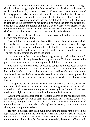She took great care to make no noise at all, therefore advanced exceedingly slowly. When a twig caught the flounces of her ample skirt she loosened it softly from the muslin, so as not to crack it. Once a branch took hold of one of her long golden curls; she stood still, with her arms lifted, to free it. A little way into the grove the soil became moist; her light steps no longer made any sound upon it. With one hand she held her small handkerchief to her lips, as if to emphasise the secretness of her course. She found the spot she sought and bent down to divide the foliage and make a door to her sylvan closet. At this the hem of her dress caught her foot and she stopped to loosen it. As she rose she looked into the face of a man who was already in the shelter.

He stood up erect, two steps off. He must have watched her as she made her way straight towards him.

She took him in in one single glance. His face was bruised and scratched, his hands and wrists stained with dark filth. He was dressed in rags, barefooted, with tatters wound round his naked ankles. His arms hung down to his sides, his right hand clasped the hilt of a knife. He was about her own age. The man and the woman looked at one another.

This meeting in the wood from beginning to end passed without a word, what happened could only be rendered by pantomime. To the two actors in the pantomime it was timeless, according to a clock it lasted four minutes.

She had never in her life been exposed to danger. It did not occur to her to sum up her position, or to work out the length of time it would take to call her husband or Mathias, whom at this moment she could hear shouting to his dogs. She beheld the man before her as she would have beheld a forest ghost: the apparition itself, not the sequels of it, changes the world to the human who faces it.

Although she did not take her eyes off the face before her she sensed that the alcove had been turned into a covert. On the ground a couple of sacks formed a couch, there were some gnawed bones by it. A fire must have been made in the night, for there were cinders threwn on the forest-floor.

After a while she realised that he was taking her in as she had taken in him. He was no longer just run to earth and crouching for a spring, but he was wondering, trying to know. At that she seemed to see herself with the eyes of the wild animal at bay in its dark hiding-place: her silently approaching white figure, which might mean death.

He moved his right arm till it hung down straight before him, between his legs. Without lifting the hand he bent the wrist and slowly raised the point of the knife till it pointed at her throat. The gesture was mad, unbelievable. He did not smile as he made it, but his nostrils distended, the corners of his mouth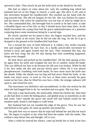quivered a little. Then slowly he put the knife back in the sheath by his belt.

She had no object of value about her, only the wedding-ring which her husband had set on her finger in church, a week ago. She drew it off, and in this movement dropped her handkerchief. She reached out her hand with the ring towards him. She did not bargain for her life. She was fearless by nature, and the horror with which he inspired her was not fear of what he might do to her. She commanded him, she besought him to vanish as he had come, to take a dreadful figure out of her life, so that it should never have been there. In the dumb movement her young form had the grave authoritativeness of a priestess conjuring down some monstrous being by a sacred sign.

He slowly reached out his hand to hers, his fingers touched hers, and her hand was steady at the touch. But he did not take the ring. As she let it go it dropped to the ground as her handkerchief had done.

For a second the eyes of both followed it. It rolled a few inches towards him and stopped before his bare foot. In a hardly perceivable movement he kicked it away and again looked into her face. They remained like that, she knew not how long, but she felt that during that time something happened, things were changed.

He bent down and picked up her handkerchief. All the time gazing at her, he again drew his knife and wrapped the tiny bit of cambric round the blade. This was difficult for him to do because his left arm was broken. While he did it his face under the dirt and sun-tan slowly grew whiter till it was almost phosphorescent. Fumbling with both hands, he once more stuck the knife into the sheath. Either the sheath was too big and had never fitted the knife, or the blade was much worn—it went in. For two or three more seconds his gaze rested on her face, then he lifted his own face a little, the strange radiance still upon it, and closed his eyes.

The movement was definitive and unconditional. In this one motion he did what she had begged him to do: he vanished and was gone. She was free.

She took a step backwards, the immovable, blind face before her, then bent as she had done to enter the hiding-place, and glided away as noiselessly as she had come. Once outside the grove she stood still and looked round for the meadow-path, found it and began to walk home.

Her husband had not yet rounded the edge of the grove. Now he saw her and helloed to her gaily; he came up quickly and joined her.

The path here was so narrow that he kept half behind her and did not touch her. He began to explain to her what had been the matter with the lambs. She walked a step before him and thought: All is over.

After a while he noticed her silence, came up beside her to look at her face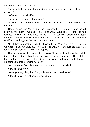and asked, 'What is the matter?'

She searched her mind for something to say, and at last said, 'I have lost my ring.'

'What ring?' he asked her.

She answered, 'My wedding-ring.'

As she heard her own voice pronounce the words she conceived their meaning.

Her wedding ring. 'With this ring'—dropped by the one party and kicked away by the other—'with this ring I thee wed.' With this lost ring she had wedded herself to something. To what? To poverty, persecution, total loneliness. To the sorrows and the sinfulness of this earth. 'And what therefore God has joined together let man not put asunder.'

'I will find you another ring,' her husband said. 'You and I are the same as we were on our wedding day, it will do as well. We are husband and wife today too, as much as yesterday, I suppose.'

Her face was so still that he did not know if she had heard what he said. It touched him that she should take the loss of his ring so to heart. He took her hand and kissed it. It was cold, not quite the same hand as he had last kissed. He stopped to make her stop with him.

'Do you remember where you had the ring on last?' he asked.

'No,' she answered.

'Have you any idea,' he asked, 'where you may have lost it?'

'No,' she answered. 'I have no idea at all.'